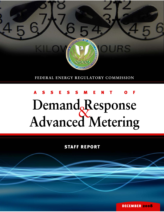

FEDERAL ENERGY REGULATORY COMMISSION

# Ω F Demand Response<br>Advanced Metering

# **STAFF REPORT**

**DECEMBER 2008**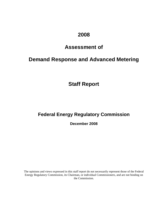# **2008**

# **Assessment of**

# **Demand Response and Advanced Metering**

# **Staff Report**

# **Federal Energy Regulatory Commission**

**December 2008**

The opinions and views expressed in this staff report do not necessarily represent those of the Federal Energy Regulatory Commission, its Chairman, or individual Commissioners, and are not binding on the Commission.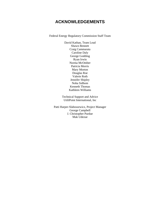## **ACKNOWLEDGEMENTS**

Federal Energy Regulatory Commission Staff Team

David Kathan, Team Lead Shawn Bennett Craig Cammarata Caroline Daly George Godding Ryan Irwin Norma McOmber Patricia Morris Mary Morton Douglas Roe Valerie Roth Jennifer Shipley Noha Sidhom Kenneth Thomas Kathleen Williams

Technical Support and Advice UtiliPoint International, Inc

Patti Harper-Slaboszewicz, Project Manager George Campbell J. Christopher Purdue Mak Udezue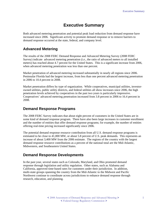## **Executive Summary**

Both advanced metering penetration and potential peak load reduction from demand response have increased since 2006. Significant activity to promote demand response or to remove barriers to demand response occurred at the state, federal, and company level.

#### **Advanced Metering**

The results of the 2008 FERC Demand Response and Advanced Metering Survey (2008 FERC Survey) indicate advanced metering penetration (*i.e.*, the ratio of advanced meters to all installed meters) has reached about 4.7 percent for the United States. This is a significant increase from 2006, when advanced metering penetration was less than one percent.

Market penetration of advanced metering increased substantially in nearly all regions since 2006. Peninsular Florida had the largest increase, from less than one percent advanced metering penetration in 2006 to 10.4 percent in 2008.

Market penetration differs by type of organization. While cooperatives, municipal utilities, investorowned utilities, public utility districts, and federal utilities all show increases since 2006, the high penetration levels achieved by cooperatives in the past two years is particularly impressive. Cooperatives' advanced metering penetration increased from 3.8 percent in 2006 to 16.4 percent in 2008.

#### **Demand Response Programs**

The 2008 FERC Survey indicates that about eight percent of customers in the United States are in some kind of demand response program. There have also been large increases in customer enrollment and the number of entities that offer demand response programs; for example, the number of entities offering real-time pricing increased significantly since 2006.

The potential demand response resource contribution from all U.S. demand response programs is estimated to be close to 41,000 MW, or about 5.8 percent of U.S. peak demands. This represents an increase of about 3,400 MW from the 2006 estimate. The regions of the country with the largest demand response resource contributions as a percent of the national total are the Mid-Atlantic, Midwestern, and Southeastern United States.

#### **Demand Response Developments**

In the past year, several states such as Colorado, Maryland, and Ohio promoted demand response through legislation and utility regulation. Other states, such as Alabama and California, approved time-based rates for customers under their jurisdiction. In addition, multi-state groups spanning the country from the Mid-Atlantic to the Midwest and Pacific Northwest continue to coordinate across jurisdictions to enhance demand response through research, education, and planning.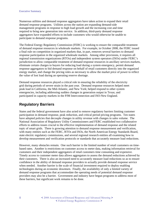Numerous utilities and demand response aggregators have taken action to expand their retail demand response programs. Utilities across the nation are expanding demand-side management programs in response to high load growth and the increasing cost and time required to bring new generation into service. In addition, third-party demand response aggregators have expanded efforts to include customers who would otherwise be unable to participate in demand response programs.

The Federal Energy Regulatory Commission (FERC) is working to ensure the comparable treatment of demand response resources in wholesale markets. For example, in October 2008, the FERC issued a final rule on competition in organized markets that, in part, removes several barriers to demand response participation in the organized wholesale markets. Among other provisions, it requires all regional transmission organizations (RTOs) and independent system operators (ISOs) under FERC's jurisdiction to allow comparable treatment of demand response resources in ancillary services markets, eliminate certain charges to buyers for reducing load during a system emergency, permit demand response aggregators to bid demand response on behalf of retail customers directly into the organized energy market, and change the pricing rules as necessary to allow the market price of power to reflect the value of lost load during an operating reserve shortage.

Demand response resources played a critical role in ensuring the reliability of the electricity grid during periods of severe strain in the past year. Demand response resources helped meet peak load in California, the Mid-Atlantic, and New York; helped respond to other system emergencies, including addressing sudden changes in generation output in Texas; and participated in capacity markets in the PJM Interconnection and ISO-New England.

## **Regulatory Barriers**

States and the federal government have also acted to remove regulatory barriers limiting customer participation in demand response, peak reduction, and critical period pricing programs. Ten states have adopted policies that decouple changes in utility revenue with changes in sales volume. The National Association of Regulatory Utility Commissioners and FERC established two collaborative efforts to address issues crucial to the effective implementation of demand response and the related topic of smart grids. There is growing attention to demand response measurement and verification, with many entities such as the FERC, RTOs and ISOs, the North American Energy Standards Board, state electric regulatory commissions, and several regional research entities all examining how to develop measurement and verification protocols or standards that accurately measure load reductions.

However, many obstacles remain. One such barrier is the limited number of retail customers on timebased rates. Another is restrictions on customer access to meter data, making information retrieval for customers and their independent aggregators of retail customers time consuming and expensive. Timely access to customer meter data allows aggregators to assess the demand reductions achieved by their customers. There is also an increased need to accurately measure load reductions so as to ensure confidence in the ability of demand response providers to actually provide demand response service when needed. Another barrier is the scale of financial investment required to deploy enabling technologies during an economic downturn. Finally, the availability of only a limited variety of demand response programs that accommodate the operating needs of potential demand response providers may also be a barrier. Government and industry have begun programs to address most of these barriers, but significant work remains to be done.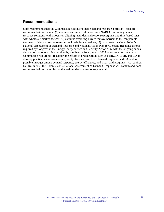Executive Summary

### **Recommendations**

Staff recommends that the Commission continue to make demand response a priority. Specific recommendations include: (1) continue current coordination with NARUC on finding demand response solutions, with a focus on aligning retail demand response programs and time-based rates with wholesale market designs; (2) continue exploring how to remove barriers to the comparable treatment of demand response resources in wholesale markets; (3) coordinate the Commission's National Assessment of Demand Response and National Action Plan for Demand Response efforts required by Congress in the Energy Independence and Security Act of 2007 with the ongoing annual demand response reporting required by the Energy Policy Act of 2005 to ensure effective use of Commission resources; (4) support the efforts of organizations such as NERC, NAESB, and EIA to develop practical means to measure, verify, forecast, and track demand response; and (5) explore possible linkages among demand response, energy efficiency, and smart grid programs. As required by law, in 2009 the Commission's National Assessment of Demand Response will contain additional recommendations for achieving the nation's demand response potential.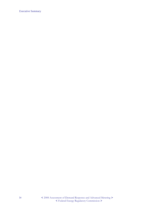Executive Summary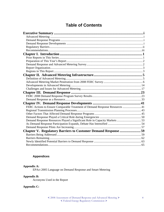## **Table of Contents**

| FERC Actions to Ensure Comparable Treatment of Demand Response Resources  41 |  |
|------------------------------------------------------------------------------|--|
|                                                                              |  |
|                                                                              |  |
|                                                                              |  |
| Demand Response Resources Played a Significant Role in Capacity Markets 53   |  |
|                                                                              |  |
|                                                                              |  |
| <b>Chapter V. Regulatory Barriers to Customer Demand Response 59</b>         |  |
|                                                                              |  |
|                                                                              |  |

#### **Appendices**

#### **Appendix A:**

EPAct 2005 Language on Demand Response and Smart Metering

#### **Appendix B:**

Acronyms Used in the Report

#### **Appendix C:**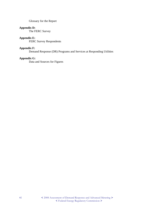Glossary for the Report

#### **Appendix D:**

The FERC Survey

#### **Appendix E:**

FERC Survey Respondents

#### **Appendix F:**

Demand Response (DR) Programs and Services at Responding Utilities

#### **Appendix G:**

Data and Sources for Figures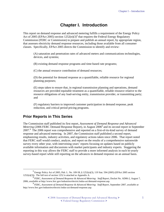## **Chapter I. Introduction**

This report on demand response and advanced metering fulfills a requirement of the Energy Policy Act of  $2005$  (EPAct  $2005$ ) section  $1252(e)(3)^1$  that requires the Federal Energy Regulatory Commission (FERC or Commission) to prepare and publish an annual report, by appropriate region, that assesses electricity demand response resources, including those available from all consumer classes. Specifically, EPAct 2005 directs the Commission to identify and review:

(A) saturation and penetration rates of advanced meters and communications technologies, devices, and systems;

(B) existing demand response programs and time-based rate programs;

(C) the annual resource contribution of demand resources;

(D) the potential for demand response as a quantifiable, reliable resource for regional planning purposes;

(E) steps taken to ensure that, in regional transmission planning and operations, demand resources are provided equitable treatment as a quantifiable, reliable resource relative to the resource obligations of any load-serving entity, transmission provider, or transmitting party; and

(F) regulatory barriers to improved customer participation in demand response, peak reduction, and critical period pricing programs.

#### **Prior Reports in This Series**

The Commission staff published its first report, *Assessment of Demand Response and Advanced Metering* (2006 FERC Demand Response Report), in August 2006**<sup>2</sup>** and its second report in September 2007.**<sup>3</sup>** The 2006 report was comprehensive and reported on a first-of-its-kind survey of demand response and advanced metering. In 2007, the Commission staff published a second report, emphasizing results, industry activities, and regulatory actions taken since 2006. That report noted that FERC staff would conduct, analyze, and report on the results of a comprehensive nationwide survey every other year, with intervening years' reports focusing on updates based on publicly available information and discussions with market participants and industry experts. Staggering the reporting in this way allows the FERC staff to provide a more informed analysis in each bi-yearly survey-based report while still reporting on the advances in demand response on an annual basis.

**<sup>1</sup>**  Energy Policy Act of 2005, Pub. L. No. 109-58, § 1252(e)(3), 119 Stat. 594 (2005) (EPAct 2005 section 1252(e)(3)). The full text of section 1252 is attached as Appendix A.

**<sup>2</sup>** FERC, *Assessment of Demand Response & Advanced Metering: Staff Report*, Docket No. AD06-2, August 7, 2006, *available at* http://www.ferc.gov/industries/electric/indus-act/demand-response.asp.

**<sup>3</sup>** FERC, *Assessment of Demand Response & Advanced Metering*: *Staff Report*, September 2007, *available at* http://www.ferc.gov/industries/electric/indus-act/demand-response.asp.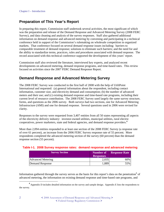## **Preparation of This Year's Report**

In preparing this report, Commission staff undertook several activities, the most significant of which was the preparation and release of the Demand Response and Advanced Metering Survey (2008 FERC Survey), and data cleaning and analysis of the survey responses. Staff also gathered additional information on demand response and advanced metering by convening and participating in a technical conference held in support of the Commission's rulemaking on wholesale competition in organized markets. That conference focused on several demand response issues including: barriers to comparable treatment of demand response; solutions to eliminate such barriers; and the need for and the ability to standardize terms, practices, rules and procedures associated with demand response. The record associated with this technical conference supported the development of this years' report.

Commission staff also reviewed the literature, interviewed key experts, and analyzed recent developments on advanced metering, demand response programs, and time-based rates. This review focused on activities since the 2007 FERC Demand Response Report.

## **Demand Response and Advanced Metering Survey**

The 2008 FERC Survey was conducted in the first half of 2008 with the help of UtiliPoint International and requested: (a) general information about the respondent, including contact information, customer size, and electricity demand and consumption; (b) the number of advanced meters and their use; and (c) existing demand response and time-based rate programs, including their current level of resource contribution. The 2008 FERC Survey used largely the same survey structure, forms, and questions as the 2006 survey. Both surveys had two sections, one for Advanced Metering Infrastructure (AMI) and one for demand response. Several questions used in 2006 were revised for clarity.

Responses to the survey were requested from 3,407 entities from all 50 states representing all aspects of the electricity delivery industry: investor-owned utilities, municipal utilities, rural electric cooperatives, power marketers, state and federal agencies, and demand response providers.**<sup>4</sup>**

More than 2,094 entities responded to at least one section of the 2008 FERC Survey (a response rate of over 61 percent), an increase from the 2006 FERC Survey response rate of 55 percent. More respondents completed the advanced metering section of the survey (60 percent) than the demand response section (55 percent).

| <b>Survey Section</b>    | Number of<br><b>Responses</b> | Response Rate |  |
|--------------------------|-------------------------------|---------------|--|
| <b>Advanced Metering</b> | 2,035                         | 60%           |  |
| Demand Response          | 1,889                         | 55%           |  |

#### **Table I-1. 2008 Survey response rates: demand response and advanced metering**

Information gathered through the survey serves as the basis for this report's data on the penetration<sup>5</sup> of advanced metering, the information on existing demand response and time-based rate programs, and

**<sup>4</sup>** Appendix D includes detailed information on the survey and sample design. Appendix E lists the respondents to the survey.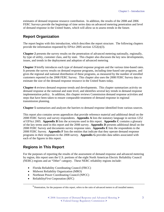estimates of demand response resource contribution. In addition, the results of the 2008 and 2006 FERC Surveys provide the beginnings of time series data on advanced metering penetration and level of demand response in the United States, which will allow us to assess trends in the future.

## **Report Organization**

The report begins with this introduction, which describes the report structure. The following chapters provide the information requested by EPAct 2005 section 1252(e)(3).

**Chapter 2** presents the survey results on the penetration of advanced metering nationally, regionally, by type of utility, customer class, and by state. This chapter also discusses the key new developments, issues, and trends in the deployment and adoption of advanced metering

**Chapter 3** briefly introduces each type of demand response program and the various time-based rates. It presents the survey results on demand response programs, including time-based rate programs, and gives the regional and national distribution of these programs, as measured by the number of enrolled customers reported in the 2008 FERC Survey. This chapter also uses the 2008 FERC Survey data to estimate the size of the demand response resource in the United States today.

**Chapter 4** reviews demand response trends and developments. This chapter summarizes activity on demand response at the national and state level, and identifies several key trends in demand response implementation policy. In addition, this chapter reviews Commission demand response activities and steps that have been taken to ensure comparable treatment of demand response in regional transmission planning.

**Chapter 5** summarizes and analyzes the barriers to demand response identified from various sources.

This report also contains seven appendices that provide reference material and additional detail on the 2008 FERC Survey and survey respondents. **Appendix A** lists the statutory language in section 1252 of EPAct 2005. **Appendix B** lists the acronyms used in this report. **Appendix C** contains a glossary of the key terms used in this report and the 2008 survey. **Appendix D** presents additional detail on the 2008 FERC Survey and documents survey response rates. **Appendix E** lists the respondents to the 2008 FERC Survey. **Appendix F** lists the entities that indicate that they operate demand response programs in their responses to the 2008 survey. **Appendix G** provides data tables associated with each of the figures in this report.

## **Regions in This Report**

For the purposes of reporting the results of the assessment of demand response and advanced metering by region, this report uses the U.S. portions of the eight North American Electric Reliability Council (NERC) regions and an "Other" category. These NERC reliability regions include:

- Florida Reliability Coordinating Council (FRCC)
- Midwest Reliability Organization (MRO)
- Northeast Power Coordinating Council (NPCC)
- Reliability*First* Corporation (RFC)

**<sup>5</sup>** <sup>5</sup> Penetration, for the purposes of this report, refers to the ratio of advanced meters to all installed meters.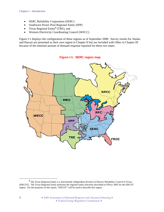- SERC Reliability Corporation (SERC)
- Southwest Power Pool Regional Entity (SPP)
- Texas Regional Entity<sup>6</sup> (TRE), and
- Western Electricity Coordinating Council (WECC)

Figure I-1 displays the configuration of these regions as of September 2008. Survey results for Alaska and Hawaii are presented as their own region in Chapter II but are included with Other in Chapter III because of the minimal amount of demand response reported for these two states.



**Figure I-1: NERC region map** 

**<sup>6</sup>** The Texas Regional Entity is a functionally independent division of Electric Reliability Council of Texas (ERCOT). The Texas Regional Entity performs the regional entity functions described in EPAct 2005 for the ERCOT region. For the purposes of this report, "ERCOT" will be used to describe this region.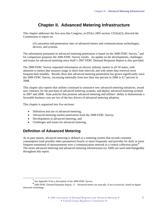## **Chapter II. Advanced Metering Infrastructure**

This chapter addresses the first area that Congress, in EPAct 2005 section 1252(e)(3), directed the Commission to report on:

(A) saturation and penetration rates of advanced meters and communications technologies, devices, and systems.

The information presented on advanced metering penetration is based on the 2008 FERC Survey,**<sup>7</sup>** and for comparison purposes the 2006 FERC Survey results. An update on the developments, challenges, and issues for advanced metering since Staff's 2007 FERC Demand Response Report is also provided.

The 2008 FERC Survey requested information on electric industry meters in all 50 states, with attention to meters that measure usage in short time intervals and with meter data retrieval more frequent than monthly. Results show that advanced metering penetration has grown significantly since the 2006 FERC Survey, increasing nationally from less than one percent in 2006 to 4.7 percent in 2008.

This chapter also reports that utilities continued to announce new advanced metering initiatives, award new contracts for the purchase of advanced metering systems, and deploy advanced metering systems in 2007 and 2008. State policies that promote advanced metering and utilities' ability to demonstrate a favorable business case are two of the key drivers of advanced metering adoption.

This chapter is organized into five sections:

- Definition and use of advanced metering,
- Advanced metering market penetration from the 2008 FERC Survey,
- Developments in advanced metering, and
- Challenges and issues for advanced metering.

#### **Definition of Advanced Metering**

As in past reports, advanced metering is defined as a metering system that records customer consumption (and possibly other parameters) hourly or more frequently and provides for daily or more frequent transmittal of measurements over a communication network to a central collection point.**<sup>8</sup>** The terms advanced metering and advanced metering infrastructure (or AMI) are used interchangeably throughout this report.

**<sup>7</sup>**  $7$  See Appendix D for a description of the 2008 FERC Survey.

**<sup>8</sup>** 2006 FERC Demand Response Report, 17. Advanced meters are typically, if not exclusively, based on digital electronic technology.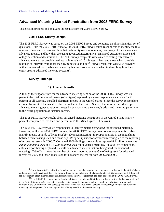## **Advanced Metering Market Penetration from 2008 FERC Survey**

This section presents and analyzes the results from the 2008 FERC Survey.

#### **2008 FERC Survey Design**

The 2008 FERC Survey was based on the 2006 FERC Survey and contained an almost identical set of questions. Like the 2006 FERC Survey, the 2008 FERC Survey asked respondents to identify the total number of meters by customer class that their entity owns or operates, how many of their meters are advanced meters, and how they are using advanced metering, *e.g.*, enhanced customer service and outage detection and restoration. The 2008 survey recipients were asked to distinguish between advanced meters that provide readings at intervals of 15 minutes or less, and those which provide readings at intervals from more than 15 minutes to an hour.<sup>9</sup> Survey recipients were also provided with an enhanced list of advanced metering features from which to select in describing how their entity uses its advanced metering system(s).

#### **Survey Findings**

#### **1) Overall Results**

Although the response rate for the advanced metering section of the 2008 FERC Survey was 60 percent, the total number of meters (of all types) reported by survey respondents accounts for 91 percent of all currently installed electricity meters in the United States. Since the survey respondents account for most of the installed electric meters in the United States, Commission staff developed advanced metering penetration estimates by extrapolating the survey's advanced metering penetration to the entire population of installed meters.

The 2008 FERC Survey results show advanced metering penetration in the United States is at 4.7 percent, compared to less than one percent in 2006. (See Figure II-1 below.)

The 2008 FERC Survey asked respondents to identify meters *being used* for advanced metering. However, unlike the 2006 FERC Survey, the 2008 FERC Survey does not ask respondents to also identify meters *capable of being used for* advanced metering. Improper analysis in distinguishing between meters *being used* and those *capable of being used* for advanced metering led to the reporting of erroneous results in 2006.**<sup>10</sup>** Corrected 2006 findings show entities reported 8.4 million meters as *capable of being used* and 947,224 as *being used* for advanced metering. In 2008, by comparison, entities report having deployed 6.7 million advanced meters that are being used for advanced metering. Table II-1 shows the number of meters reported as *capable of being used* for advanced meters for 2006 and those *being used* for advanced meters for both 2006 and 2008.

**<sup>9</sup>** <sup>9</sup> Commission staff's definition for advanced metering also requires metering data be uploaded to the utility's back end computer systems at least daily. In order to focus on this definition of advanced metering, Commission staff did not ask for information about other collection and measurement interval lengths that had been collected in the 2006 FERC Survey.

**<sup>10</sup>** The 2006 FERC Survey as originally published had indicated that the overall penetration of advanced metering in the United States was 5.9 percent. It was later discovered that an error had been made in analysis performed under contract to the Commission. The correct penetration levels for 2006 are 0.7 percent for metering *being used* as advanced metering and 5.9 percent for *metering capable of being used* for advanced metering.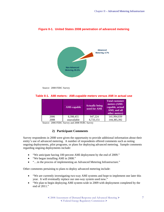

#### **Figure II-1. United States 2008 penetration of advanced metering**

Source: 2008 FERC Survey

#### **Table II-1. AMI meters: AMI-***capable* **meters versus AMI in actual use**

|      | <b>AMI-capable</b> | <b>Actually being</b><br>used for AMI | <b>Total customer</b><br>meters (AMI-<br>capable, actual<br>AMI, and all<br>other meters) |
|------|--------------------|---------------------------------------|-------------------------------------------------------------------------------------------|
| 2006 | 8,398,455          | 947.224                               | 141,994,039                                                                               |
| 2008 | unavailable        | 6,733,151                             | 144,385,392                                                                               |

Source: 2006 FERC Survey and 2008 FERC Survey

#### **2) Participant Comments**

Survey respondents in 2008 were given the opportunity to provide additional information about their entity's use of advanced metering. A number of respondents offered comments such as noting ongoing deployments, pilot programs, or plans for deploying advanced metering. Sample comments regarding ongoing deployments include:

- "We anticipate having 100 percent AMI deployment by the end of 2009."
- "We began installing AMI in 2008."
- "…in the process of implementing an Advanced Metering Infrastructure."

Other comments pertaining to plans to deploy advanced metering include:

- "We are currently investigating two-way AMI systems and hope to implement one later this year. It will eventually replace our one-way system used now."
- "We plan to begin deploying AMI system-wide in 2009 with deployment completed by the end of 2011."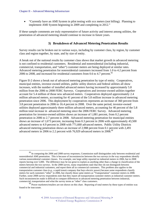• "Currently have an AMI System in pilot testing with xxx meters (not billing). Planning to implement AMI System beginning in 2009 and completing in 2012."

If these sample comments are truly representative of future activity and interest among utilities, the penetration of advanced metering should continue to increase in future years.

#### **3) Breakdown of Advanced Metering Penetration Results**

Survey results can be broken out in various ways, including by customer class, by region, by customer class and region together, by state, and by size of entity.

A break out of the national results by customer class shows that market growth in advanced metering is not confined to residential customers. Residential and nonresidential (including industrial, commercial, transportation, and "other") customer meters are being deployed at similar rates. Advanced metering penetration for nonresidential customers increased from 1.0 to 4.2 percent from 2006 to 2008, and increased for residential customers from 0.6 to 4.7 percent.**<sup>11</sup>**

Figure II-2 shows a break out of advanced metering penetration by type of entity. Cooperatives, municipal entities, investor-owned utilities, public utility districts and federal utilities all show increases, with the number of installed advanced meters having increased by approximately 5.8 million from the 2006 to 2008 FERC Surveys. Cooperatives and investor-owned utilities together account for 5.4 million of those new advanced meters. Cooperatives deployed approximately 2.4 million advanced meters, accounting for 41 percent of the 5.8 million increase in advanced metering penetration since 2006. This deployment by cooperatives represents an increase of 360 percent from 3.8 percent penetration in 2006 to 16.4 percent in 2008. Over the same period, investor-owned utilities deployed approximately three million advanced meters, accounting for 46 percent of the 5.8 million total increase in advanced metering since the 2006 FERC Survey. Advanced metering penetration for investor-owned utilities shows an increase of 1,081 percent, from 0.2 percent penetration in 2006 to 2.7 percent in 2008. Advanced metering penetration for municipal entities shows an increase of 1,673 percent, increasing from 0.3 percent in 2006 with approximately 43,500 advanced meters to 4.9 percent in 2008 with 771,660 advanced meters. Public Utility Districts advanced metering penetration shows an increase of 2,988 percent from 0.1 percent with 2,491 advanced meters in 2006 to 2.2 percent with 76,929 advanced meters in 2008.**<sup>12</sup>**

**<sup>11</sup>** In comparing the 2006 and 2008 survey responses, Commission staff distinguishes only between residential and nonresidential AMI penetration. This is because of inconsistencies between the two surveys in the way respondents identify various nonresidential customer classes. For example, one large utility reported no industrial meters in 2006, but in 2008 reports having over 5,000. The difference may be too great to explain as anything other than a change in classification of the meters between the two surveys. In the 2008 survey, many respondents state that they do not distinguish between commercial and industrial customers, and report them all as commercial customers. This problem also applies to the transportation customer class (*e.g.*, a rapid transit company that buys electric power) because some respondents classify meters for such customers "other" in 2006, but classify those same meters as "Transportation" customer meters in 2008. Further, some 2008 survey respondents note that they report all transportation customer meters as industrial customer meters. Such inconsistencies make it difficult to compare differences in advanced metering penetration between industrial, commercial, transportation and what the survey terms as "other" class customers.

**<sup>12</sup>** Power marketers/retailers are not shown on this chart. Reporting of total meters by these types of entities was found to be inaccurate.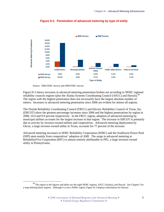

**Figure II-2. Penetration of advanced metering by type of entity** 

Source: 2006 FERC Survey and 2008 FERC Survey

Figure II-3 shows increases in advanced metering penetration broken out according to NERC regional reliability councils regions (plus the Alaska Systems Coordinating Council (ASCC) and Hawaii).**<sup>13</sup>** The region with the highest penetration does not necessarily have the largest absolute number of meters. Increases in advanced metering penetration since 2006 are evident for almost all regions.

The Florida Reliability Coordinating Council (FRCC) and Electric Reliability Council of Texas, Inc. (ERCOT) show the greatest percentage increases since 2006 and the highest penetrations by region in 2008, 10.4 and 9.0 percent respectively. In the FRCC region, adoption of advanced metering by municipal utilities accounts for the largest increase in that region. The increase in ERCOT is primarily due to activity by investor-owned utilities and cooperatives. Advanced metering deployment by Oncor, a large investor-owned utility in Texas, accounts for 77 percent of the increase.

Advanced metering increases in SERC Reliability Corporation (SERC) and the Southwest Power Pool (SPP) stem mainly from cooperatives' adoption of AMI. The surge in advanced metering at Reliability*First* Corporation (RFC) is almost entirely attributable to PPL, a large investor-owned utility in Pennsylvania.

**<sup>13</sup>** The region in the figures and tables are the eight NERC regions, ASCC (Alaska), and Hawaii. See Chapter I for a map defining these regions. Although it is not a NERC region, Figure II-3 displays information for Hawaii.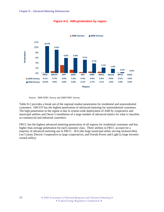

#### **Figure II-3. AMI penetration by region**

Source: 2006 FERC Survey and 2008 FERC Survey

Table II-2 provides a break out of the regional market penetration for residential and nonresidential customers. ERCOT has the highest penetration of advanced metering for nonresidential customers. The high penetration in the region is due to system-wide deployment of AMI by cooperative and municipal utilities and Oncor's installation of a large number of advanced meters for what it classifies as commercial and industrial customers.

FRCC has the highest advanced metering penetration of all regions for residential customers and has higher than average penetration for each customer class. Three utilities in FRCC account for a majority of advanced metering use in FRCC: JEA (the large municipal utility serving Jacksonville), Lee County Electric Cooperative (a large cooperative), and Florida Power and Light (a large investorowned utility).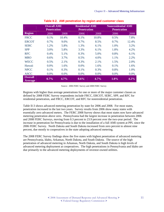|                                  | <b>Overall AMI</b><br><b>Penetration</b> |       | <b>Residential AMI</b><br><b>Penetration</b> |         | <b>Nonresidential AMI</b><br><b>Penetration</b> |         |
|----------------------------------|------------------------------------------|-------|----------------------------------------------|---------|-------------------------------------------------|---------|
| <b>Region</b>                    | 2006                                     | 2008  | 2006                                         | 2008    | 2006                                            | 2008    |
| <b>FRCC</b>                      | 0.1%                                     | 10.4% | 0.1%                                         | 10.8%   | 0.5%                                            | 7.8%    |
| <b>ERCOT</b>                     | $0.7\%$                                  | 9.0%  | $0.7\%$                                      | 8.5%    | $0.7\%$                                         | 12.4%   |
| <b>SERC</b>                      | 1.2%                                     | 5.8%  | 1.3%                                         | 6.1%    | 1.0%                                            | 3.2%    |
| <b>SPP</b>                       | 3.0%                                     | 5.8%  | 3.3%                                         | 6.1%    | 1.8%                                            | 4.2%    |
| <b>RFC</b>                       | 0.4%                                     | 5.1%  | 0.3%                                         | 5.0%    | 0.8%                                            | 6.1%    |
| <b>MRO</b>                       | $0.6\%$                                  | 3.7%  | 0.5%                                         | 4.0%    | 1.1%                                            | 2.2%    |
| <b>WECC</b>                      | 0.5%                                     | 2.1%  | 0.3%                                         | 2.1%    | 1.5%                                            | 2.0%    |
| Hawaii                           | $0.0\%$                                  | 1.6%  | $0.0\%$                                      | 1.6%    | $0.1\%$                                         | 1.6%    |
| <b>NPCC</b>                      | 0.1%                                     | 0.3%  | 0.1%                                         | 0.3%    | 0.8%                                            | 1.0%    |
| <b>ASCC</b>                      | $0.0\%$                                  | 0.0%  | 0.0%                                         | $0.0\%$ | 0.0%                                            | $0.0\%$ |
| <b>Overall</b><br><b>Average</b> | $0.7\%$                                  | 4.7%  | $0.6\%$                                      | $4.7\%$ | $1.0\%$                                         | $4.2\%$ |

#### **Table II-2. AMI penetration by region and customer class**

Source: 2006 FERC Survey and 2008 FERC Survey

Regions with higher than average penetrations for one or more of the major customer classes as defined by 2008 FERC Survey respondents include FRCC, ERCOT, SERC, SPP, and RFC for residential penetration, and FRCC, ERCOT, and RFC for nonresidential penetration.

Table II-3 shows advanced metering penetration by state for 2006 and 2008. For most states, penetration increased in the last two years. Survey results from 2006 show many states with essentially zero advanced meters. The FERC 2008 Survey shows that most states now have advanced metering penetration above zero. Pennsylvania had the largest increase in penetration between 2006 and 2008 FERC Surveys, moving from 0.3 percent to 23.9 percent over the two-year period. The increase in penetration for Pennsylvania is due to the installation of a full AMI system at PPL since the 2006 FERC Survey. North Dakota and South Dakota increased from zero percent to almost nine percent, due mostly to cooperatives in the state adopting advanced metering.

The 2008 FERC Survey findings show the five states with highest penetration of advanced metering are Pennsylvania, Idaho, Arkansas, North Dakota, and South Dakota. The source of the high penetration of advanced metering in Arkansas, North Dakota, and South Dakota is high levels of advanced metering deployment at cooperatives. The high penetrations in Pennsylvania and Idaho are due primarily to the advanced metering deployments of investor-owned utilities.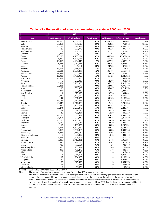|                      |                   | 2006                |                    |                   | 2008                |                    |  |
|----------------------|-------------------|---------------------|--------------------|-------------------|---------------------|--------------------|--|
| <b>State</b>         | <b>AMI</b> meters | <b>Total meters</b> | <b>Penetration</b> | <b>AMI</b> meters | <b>Total meters</b> | <b>Penetration</b> |  |
| Pennsylvania         | 18,200            | 6,053,110           | 0.3%               | 1,443,285         | 6,036,064           | 23.9%              |  |
| Idaho                | 29.062            | 739.199             | 3.9%               | 105.933           | 769.963             | 13.8%              |  |
| Arkansas             | 75,118            | 1,494,383           | 5.0%               | 168,466           | 1,488,124           | 11.3%              |  |
| North Dakota         | 29                | 367,776             | 0.0%               | 33,336            | 375,473             | 8.9%               |  |
| South Dakota         | 7                 | 484,728             | 0.0%               | 41,191            | 475,477             | 8.7%               |  |
| Oklahoma             | 60,273            | 2,024,592           | 3.0%               | 161,795           | 1,875,325           | 8.6%               |  |
| Texas                | 28,200            | 10,195,134          | 0.3%               | 868,204           | 10,870,895          | 8.0%               |  |
| Florida              | 8,479             | 9,679,565           | 0.1%               | 765,406           | 9,591,363           | 8.0%               |  |
| Georgia              | 73,312            | 4,404,447           | 1.7%               | 342,772           | 4,537,717           | 7.6%               |  |
| Missouri             | 8,986             | 3,087,821           | 0.3%               | 204,498           | 3,098,055           | 6.6%               |  |
| Vermont              | 1                 | 331,161             | 0.0%               | 20,755            | 375,202             | 5.5%               |  |
| Alabama              | 89,702            | 2,738,519           | 3.3%               | 139,972           | 2,774,764           | 5.0%               |  |
| Kentucky             | 27,501            | 2,225,485           | 1.2%               | 105,460           | 2,161,142           | 4.9%               |  |
| South Carolina       | 19,655            | 2,007,339           | 1.0%               | 114,619           | 2,373,047           | 4.8%               |  |
| Kansas               | 18,913            | 1,430,953           | 1.3%               | 61,423            | 1,426,832           | 4.3%               |  |
| Wisconsin            | 19,882            | 2,983,075           | 0.7%               | 117,577           | 3,039,830           | 3.9%               |  |
| Wyoming              | $\boldsymbol{0}$  | 272,033             | 0.0%               | 12,268            | 318,282             | 3.9%               |  |
| Arizona              | 5,521             | 2,783,083           | 0.2%               | 96,727            | 2,810,224           | 3.4%               |  |
| North Carolina       | 29.411            | 4,681,178           | 0.6%               | 143.093           | 4,771,479           | 3.0%               |  |
| Iowa                 | 110               | 1,591,985           | 0.0%               | 46,407            | 1,714,774           | 2.7%               |  |
| Washington           | 477               | 3,061,233           | 0.0%               | 69,377            | 2,987,355           | 2.3%               |  |
| New Mexico           | 1                 | 875,393             | 0.0%               | 20,776            | 904,861             | 2.3%               |  |
| Oregon               | 2,960             | 1,821,710           | 0.2%               | 39,797            | 1,890,423           | 2.1%               |  |
| Louisiana            | 44                | 1,037,355           | 0.0%               | 44,103            | 2,186,249           | 2.0%               |  |
| Indiana              | 13,137            | 3,217,359           | 0.4%               | 61,551            | 3,115,205           | 2.0%               |  |
| <b>Illinois</b>      | 43,043            | 5,510,470           | 0.8%               | 112,410           | 5,701,533           | 2.0%               |  |
| Tennessee            | 426               | 3,165,211           | 0.0%               | 60,385            | 3,160,551           | 1.9%               |  |
| Colorado             | 39.274            | 2,263,873           | 1.7%               | 39,873            | 2,246,184           | 1.8%               |  |
| Montana              | 162               | 529,135             | 0.0%               | 8,979             | 549,136             | 1.6%               |  |
| Hawaii               | 45                | 465,314             | 0.0%               | 6,550             | 405,228             | 1.6%               |  |
| Minnesota            | 11,780            | 2,537,414           | 0.5%               | 37,071            | 2,542,113           | 1.5%               |  |
| Michigan             | 31,254            | 4,877,345           | 0.6%               | 73,948            | 5,311,570           | 1.4%               |  |
| California           | 40,153            | 14,253,873          | 0.3%               | 170,896           | 14,595,958          | 1.2%               |  |
| Nebraska             | 1,520             | 937,148             | 0.2%               | 8,630             | 970,774             | 0.9%               |  |
| Nevada               | 17                | 1,193,873           | 0.0%               | 10,835            | 1,292,331           | 0.8%               |  |
| Ohio                 | 1,958             | 6,307,050           | 0.0%               | 28,042            | 5,544,353           | 0.5%               |  |
| Connecticut          | 3,862             | 1,580,365           | 0.2%               | 5,838             | 1,600,768           | 0.4%               |  |
| New Jersey           | 25,222            | 3,884,140           | 0.6%               | 9,866             | 3,900,716           | 0.3%               |  |
| District of Columbia | $\mathbf{0}$      | 809,412             | 0.0%               | 1,348             | 809,412             | 0.2%               |  |
| New York             | 3,071             | 7,906,309           | 0.0%               | 12,778            | 7,811,335           | 0.2%               |  |
| Virginia             | 5,016             | 3,412,011           | 0.1%               | 6,448             | 3,965,584           | 0.2%               |  |
| Massachusetts        | 6,940             | 3,244,778           | 0.2%               | 3,907             | 3,077,679           | 0.1%               |  |
| Maine                | 716               | 773,164             | 0.1%               | 426               | 780,748             | 0.1%               |  |
| New Hampshire        | 306               | 759,514             | 0.0%               | 260               | 763,683             | 0.0%               |  |
| Rhode Island         | 398               | 480,275             | 0.1%               | 148               | 480,135             | 0.0%               |  |
| Alaska               | 6                 | 305,949             | 0.0%               | 18                | 315,419             | 0.0%               |  |
| Utah                 | $\mathbf{1}$      | 1,036,605           | 0.0%               | 37                | 1,056,718           | 0.0%               |  |
| West Virginia        | 17                | 1,234,035           | 0.0%               | 10                | 1,183,513           | 0.0%               |  |
| Maryland             | 130               | 1,972,886           | 0.0%               | 8                 | 1,938,948           | 0.0%               |  |
| Mississippi          | 82                | 1,015,493           | 0.0%               | 3                 | 1,454,275           | 0.0%               |  |
| Delaware             | 16                | 421,331             | 0.0%               | $\boldsymbol{0}$  | 438,020             | 0.0%               |  |
| Virgin Islands       | $\mathbf{0}$      | 53,628              | 0.0%               | $\overline{0}$    | 53,628              | 0.0%               |  |

#### **Table II-3 – Penetration of advanced metering by state in 2006 and 2008**

Source: 2006 FERC Survey and 2008 FERC Survey

Notes: The number of meters is extrapolated to account for less than 100 percent response rate.

The number of installed meters in Table II-3 varies slightly between 2006 and 2008 in large part because of the variation in the number of meters reported by survey respondents, and also because of the method used to calculate the number of meters in a state. The number of meters in a state is calculated by adding to the direct survey responses an estimate of the number of meters for non-respondents. The number of meters for non-respondents is calculated from 2006 data for those that responded in 2006 but not 2008 and from EIA customer data otherwise. Commission staff did not attempt to reconcile the meter data to other data sources.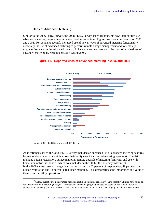#### **Uses of Advanced Metering**

Similar to the 2006 FERC Survey, the 2008 FERC Survey asked respondents how their entities use advanced metering, beyond interval meter reading collection. Figure II-4 shows the results for 2006 and 2008. Respondents identify increased use of newer types of advanced metering functionality, especially the use of advanced metering to perform remote outage management and to remotely upgrade firmware on the advanced meters. Enhanced customer service is the most often cited use of advanced metering by respondents, as it was in 2006.

#### **Figure II-4. Reported uses of advanced metering in 2006 and 2008**



Source: 2006 FERC Survey and 2008 FERC Survey

As mentioned earlier, the 2008 FERC Survey included an enhanced list of advanced metering features for respondents' use in describing how their entity uses its advanced metering system(s). The list included outage restoration, outage mapping, remote upgrade of metering firmware, and use with home-area networks, none of which was included in the 2006 FERC Survey instrument. In the 2008 survey results, outage detection was cited by 62 percent of respondents, 49 percent cite outage restoration and 32 percent cite outage mapping. This demonstrates the importance and value of these uses for utility operations.**<sup>14</sup>**

**<sup>14</sup>** *Outage detection* using advanced metering is still an emerging capability. Until recently, utilities have relied on calls from customers reporting outages. This results in some outages going undetected, especially at remote locations. Outage detection using advanced metering detects more outages and is much faster than relying on calls from customers.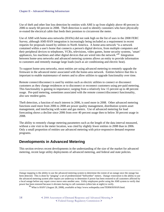Use of theft and other line loss detection by entities with AMI is up from slightly above 40 percent in 2006 to nearly 60 percent in 2008. Theft detection is used to identify customers who have physically re-routed the electrical cable that feeds their premises to circumvent the meter.

Use of AMI with home-area networks (HANs) did not rank high on the list of uses in the 2008 FERC Survey, although AMI-HAN integration is increasingly being included as a requirement in recent requests for proposals issued by utilities in North America. A home-area network "is a network contained within a user's home that connects a person's digital devices, from multiple computers and their peripheral devices to telephones, VCRs, televisions, video games, home security systems, 'smart' appliances, fax machines and other digital devices that are wired into the network."**<sup>15</sup>** Integration between home-area networks and advanced metering systems allows an entity to provide information to customers and remotely manage large loads (such as air conditioning and electric heat).

To support home-area networks, most entities are using advanced metering to remotely upgrade the firmware in the advanced meter associated with the home-area network. Entities believe that this is important to enable maintenance of meters and to allow utilities to upgrade functionality over time.

Remote connect/disconnect is used by entities such as electric utilities to connect or disconnect customers as they change residences or to disconnect or reconnect customers using pre-paid metering. This functionality is gaining in importance; surging from a relatively low 15 percent up to 48 percent usage. Pre-paid metering, sometimes associated with the remote connect/disconnect functionality, also saw modest gains.

Theft detection, a function of much interest in 2006, is used more in 2008. Other advanced metering functions used more from 2006 to 2008 are power quality management, distribution system asset management, and interfacing with water and gas meters. Use of advanced metering for load forecasting shows a decline since 2006 from over 40 percent usage then to below 30 percent usage in 2008.

The ability to remotely change metering parameters such as the length of the data interval measured, without a site visit to the meter location, was cited by slightly fewer entities in 2008 than in 2006. Only a small proportion of entities use advanced metering with price-responsive demand response programs.

## **Developments in Advanced Metering**

This section reviews recent developments in the understanding of the size of the market for advanced metering, recent large utility deployments of advanced metering, and federal and state policies.

l

*Outage mapping* is the ability to use the advanced metering system to determine the extent of an outage once the outage has been detected. This is done by "pinging" a set of predetermined "bellwether" meters. *Outage restoration* is the ability to use the advanced metering system after repairs are underway to determine if power has been restored to all customers affected by a local outage before any repair crews move onto another area. Utility employees prefer using the AMI system to verify that power has been restored because it obviates having to call customers (often late at night) to verify.

**<sup>15</sup>** What is HAN? (August 28, 2008), *available at* http://www.webopedia.com/TERM/H/HAN.html.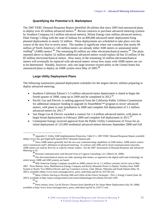#### **Quantifying the Potential U.S. Marketplace**

The 2007 FERC Demand Response Report identified 28 utilities that since 2005 had announced plans to deploy over 45 million advanced meters.**<sup>16</sup>** Recent contracts to purchase advanced metering systems by Southern Company (4.2 million advanced meters), Alliant Energy (one million advanced meters), Duke Energy's filing with the state of Indiana for an 800,000 advanced meter deployment bring planned deployments to nearly 52 million. These deployments are scheduled to take place over the course of the next five to seven years. The number is significant when one considers that nearly 60 million of North America's 145 million meters are already either AMI meters or automated meter reading**<sup>17</sup>** (AMR) meters.**<sup>18</sup>** The remaining 85 million are older electromechanical meters.**<sup>19</sup>** The plans reported above to deploy 52 million additional advanced meters would replace all but 33 million of the 85 million electromechanical meters. How many of the remaining 33 million electromechanical meters will eventually be replaced with advanced meters versus how many with AMR meters are yet to be determined. Notably, however, only one large investor-owned utility in the United States has announced plans to deploy an AMR system since May of 2005.**<sup>20</sup>**

#### **Large Utility Deployment Plans**

The following summarizes planned deployment schedules for the largest electric utilities preparing to deploy advanced metering:

- Southern California Edison's 5.3 million advanced meter deployment is slated to begin the fourth quarter of 2008, ramp up in 2009 and be completed in 2012.**<sup>21</sup>**
- Pacific Gas and Electric is seeking approval from the California Public Utilities Commission for additional ratepayer funding to upgrade its SmartMeter™ program to *newer* advanced meters, with plans to start installation in 2008 and complete full deployment of 5.1 million advanced meters by 2011.**<sup>22</sup>**
- San Diego Gas & Electric awarded a contract for 1.4 million advanced meters, with plans to begin broad deployments in February 2009 and complete full deployment in 2011.**<sup>23</sup>**
- Centerpoint Energy received approval from the Public Utility Commission of Texas for an initial deployment of 125,000 residential advanced meters between September 2008 and Fall

**<sup>16</sup>** Appendix F, Utility AMI Implementation Projection, Table F-1, 2007 FERC Demand Response Report *available at*http://www.ferc.gov/legal/staff-reports/09-07-demand-response.pdf.

<sup>&</sup>lt;sup>17</sup> Since AMR meters generally lack the two-way communicating capabilities of AMI meters, AMR meters cannot meet Commission staff's definition of advanced metering. In contrast with AMI and its fixed communications networks, AMR meters are read by drive-by or walk-by remote readers. *See* the 2007 Assessment of Demand Response and Advanced Metering at 24.

**<sup>18</sup>** Personal communication with Howard Scott of Cognyst Consulting, LLC (March 29, 2008).

<sup>&</sup>lt;sup>19</sup>The electromechanical meters are older spinning disk meters, as opposed to the digital solid state technology on which newer AMR and AMI systems are based.

**<sup>20</sup>** Mid-American Energy Company awarded an AMR contract for its 1.2 million customer service area in May 2007. Press Release, Itron, MidAmerican Energy Company and Rocky Mountain Power to Deploy Turnkey Itron AMR System to Nearly Two Million Electric and Gas Customers in Iowa, Utah, Illinois, Nebraska and South Dakota (May 29, 2007), *available at*http://www.itron.com/pages/news\_press\_individual.asp?id=itr\_015749.xml.

**<sup>21</sup>** *Many Utilities Starting to Develop AMI and Utility-of-the-Future Strategies - Part 2*, Energy Central (June 18, 2007), *available at* http://topics.energycentral.com/centers/datamanage/view/detail.cfm?aid=1495.

**<sup>22</sup>** *Id.*

**<sup>23</sup>** Press release, Itron, Gas & Electric Chooses Itron OpenWay® for Smart Meter Deployment (July 30, 2008), *available at* http://www.itron.com/pages/news\_press\_individual.asp?id=itr\_016717.xml.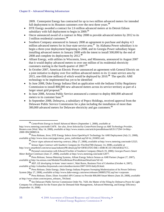2009. Centerpoint Energy has contracted for up to two million advanced meters for intended full deployment to its Houston customers over the next three years.**<sup>24</sup>**

- DTE Energy awarded a contract for 2.6 million advanced meters at its Detroit Edison subsidiary with full deployment to begin in 2009.**<sup>25</sup>**
- Oncor announced award of a contract in May 2008 to provide advanced meters by 2012 to its 3 million residential customers.**<sup>26</sup>**
- Southern Company announced in January 2008 an agreement to purchase and deploy 4.3 million advanced meters for its four-state service area.<sup>27</sup> Its Alabama Power subsidiary is to begin a three-year deployment beginning in 2008, and its Georgia Power subsidiary began installing advanced meters in January 2008 with the intent to install 500,000 by the end of 2008 and complete its deployment by 2012.**<sup>28</sup>**
- Alliant Energy, with utilities in Wisconsin, Iowa, and Minnesota, announced in August 2007 that it would deploy advanced meters to over one million of its residential electricity customers starting in the fourth quarter of 2007.**<sup>29</sup>**
- In October 2007, American Electric Power announced an agreement with General Electric on a joint initiative to deploy over five million advanced meters to its 11-state service area by 2015, one-fifth (one million) of which would be deployed by 2010.**<sup>30</sup>** The specific AMI technology to be implemented has yet to be identified
- In June 2008, Duke Energy Indiana filed an application with the Indiana Utility Regulatory Commission to install 800,000 new advanced meters across its service territory as part of a larger smart grid proposal.**<sup>31</sup>**
- In June 2008, Arizona Public Service announced a contract to deploy 800,000 advanced meters to its customer base.**<sup>32</sup>**
- In September 2008, Delmarva, a subsidiary of Pepco Holdings, received approval from the Delaware Public Service Commission for a plan including the installation of more than 300,000 advanced meters for Delaware electricity and gas customers.**<sup>33</sup>**

**<sup>24</sup>** *CenterPoint Energy to Install Advanced Meters* (September 1, 2008), *available at* http://www.metering.com/node/13478. *See also*, *Itron Selected by CenterPoint Energy as AMI Technology Provider*, Reuters.com (Wed. May 14, 2008), *available at* http://www.reuters.com/article/pressRelease/idUS117294+14-May-2008+BW20080514.

**<sup>25</sup>** Press Release, *Itron,* DTE Energy Selects Itron OpenWay® Technology for AMI Deployment (July 21, 2008), *available at* http://www.itron.com/pages/news\_press\_individual.asp?id=itr\_016692.xml.

**<sup>26</sup>** *Oncor signs advanced metering contract*, (May 27, 2008), *available at* http://www.metering.com/node/12525.

**<sup>27</sup>** *Sensus Signs Contract with Southern Company for FlexNet(TM)* (January 14, 2008), *available at*

http://www.smartbrief.com/news/aaaa/industryPR-detail.jsp?id=DFB51FD5-04E1-430B-8C1D-19EA83E627CC.

**<sup>28</sup>** Personal conversation with Edward Fischler of Southern Company (March 19, 2008); *Georgia Powers Smart Meter Rollout Continues* (June 27, 2008), *available at* http://www.metering.com/node/12877.

**<sup>29</sup>** Press Release, Sensus Metering Systems, Alliant Energy Selects Sensus as AMI Partner (August 27, 2007), *available at* http://na.sensus.com/Module/PressRelease/PressReleaseDetail/amr?id=42.

**<sup>30</sup>** *AEP, GE developing in-home 'smart meters',* Matt Burns, Business First of Columbus (October 4, 2007), *available at* http://columbus.bizjournals.com/columbus/stories/2007/10/01/daily26.html.

**<sup>31</sup>** Press Release, Duke Energy, Duke Energy Indiana Proposes Sweeping Modernization of Its Power Delivery System (May 27, 2008), *available at* http://www.duke-energy.com/news/releases/2008052702.asp?sec=corporate.

**<sup>32</sup>** Press Release, Elster, Elster Awarded APS Contract to Provide 800,000 Smart Meters (June 20, 2008), *available at* http://www.elster.com/en/press\_releases\_704.html.

**<sup>33</sup>** See Delaware Public Service Commission Order No. 7420, the Matter of the Filing by Delmarva Power & Light Company for a Blueprint for the Future plan for Demand-Side Management, Advanced Metering, and Energy Efficiency (September 16, 2008).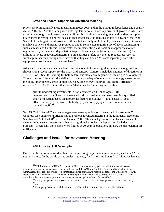#### **State and Federal Support for Advanced Metering**

Provisions promoting advanced metering in EPAct 2005 and in the Energy Independence and Security Act of 2007 (EISA 2007), along with state regulatory policies, are key drivers of growth in AMI sales, especially among large investor-owned utilities. In addition to enacting federal directives in support of advanced metering, Congress has also encouraged state policies in support of advanced metering. Several of the largest investor-owned utilities that are readying full deployments are located in states that have policies and incentives promoting and in some cases requiring use of advanced metering, such as Texas and California. Some states are implementing less traditional approaches to rate regulation, *e.g.*, accelerated depreciation, to provide an incentive (or remove a disincentive) for utilities to invest in advanced metering. Some utilities prefer, however, to request recovery via surcharge rather than through base rates so that they can track AMI costs separately from other equipment costs included in their rate base.**<sup>34</sup>**

Advanced metering may be considered one component of a smart grid system, and Congress has shown strong recent support for the smart grid concept. Congress included a number of directives in Title XIII of EISA 2007 calling for both federal and state encouragement of smart grid development. Title XIII states, "Smart Grid is defined to include a variety of operational and energy measures including smart meters, smart appliances, renewable energy resources, and energy efficiency resources." EISA 2007 directs that states "shall consider" requiring each utility:

prior to undertaking investments in non-advanced grid technologies… [to] demonstrate to the State that the electric utility considered an investment in a qualified smart grid system based on appropriate factors, including: (i) total costs; (ii) costeffectiveness; (iii) improved reliability; (iv) security; (v) system performance; and (vi) societal benefit.**<sup>35</sup>**

Sec. 1307 of EISA 2007 also encourages rate-base capitalization of smart grid investments.**<sup>36</sup>** Congress took another significant step to promote advanced metering in the Emergency Economic Stabilization Act of 2008<sup>37</sup> passed in October 2008. This new legislation establishes permanent changes in how smart meters and other smart grid technologies are depreciated for federal tax purposes. Previously, these assets were figured at 20-year depreciation, but now the depreciation life is 10 years.

#### **Challenges and Issues for Advanced Metering**

#### **AMI Industry Still Developing**

Even as utilities press forward with advanced metering projects, a number of analysts deem AMI as not yet mature. In the words of one analyst, "to date, AMI or related Smart Grid initiatives have not

**<sup>34</sup>** Will McNamara of KEMA reports that AMI is most commonly paid for with trackers and customer reimbursements on an annual basis. For example, in Con Ed's AMI filing with the New York State Public Service Commission, it requested approval of "a surcharge, adjusted annually, to recover all capital and O&M costs for AMI deployment, plus lost revenues." *New Trends Emerging for AMI Cost Recovery*, Energy Central (August 31, 2007), *available at* http://topics.energycentral.com/centers/datamanage/view/detail.cfm?aid=1547.

**<sup>35</sup>** Energy Independence and Securities Act of 2007, Pub. L. No. 110-140, §1305, 121 Stat. 1787 (2007). **<sup>36</sup>** *Id.*

**<sup>37</sup>** Emergency Economic Stabilization Act of 2008, Pub.L. No. 110-343, 122 Stat 3765 (2008).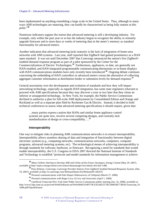been implemented on anything resembling a large scale in the United States. Thus, although in many ways AMI technologies are maturing, they can hardly be characterized as being fully mature at this point."**<sup>38</sup>**

Numerous indicators support the notion that advanced metering is still a developing industry. For example, only within the past year or so has the industry begun to recognize the ability to remotely upgrade firmware and to store days or weeks of metering data in the meter's memory as standard functionality for advanced meters.

Another indication that advanced metering lacks maturity is the lack of integration of home-area networks with AMI systems. Last year, staff reported that ZigBee® had gained prominence as a HAN open standard. It was not until December 2007 that Comverge announced the nation's first ZigBee® enabled demand response program as part of a pilot sponsored by the Center for the Commercialization of Electric Technologies.**<sup>39</sup>** Furthermore, appliances, to date, are generally not HAN-enabled, and HAN-integrated programmable communicating thermostats or in-home displays with HAN communications modules have only recently been introduced.<sup>40</sup> Ongoing debate continues concerning the embedding of HAN controllers in advanced meters versus the alternative of collecting aggregate customer information at distribution feeder or substation levels for demand response.**<sup>41</sup>**

General uncertainty over the development and evolution of standards and how they will impact networking technology, especially as regards HAN integration, has some state regulators reluctant to proceed with AMI specifications because they may discover a year or two later that they chose an inferior or unsupported technology. In New York, for example, the Public Service Commission declined to authorize a plan for full-scale AMI deployments by Consolidated Edison and Orange and Rockland as well as a separate plan filed by Rochester Gas & Electric. Instead, it decided to hold technical conferences to assess what advanced metering specifications it should require, given that:

…many parties express caution that HANs and similar home appliance control systems are quite new, involve several competing designs, and currently lack standardization of design or cross-compatibility….**<sup>42</sup>**

#### **Interoperability**

One way to mitigate risks in planning AMI communications networks is to ensure interoperability. Interoperability allows seamless sharing of data and integration of functionality between digital electronic systems (*e.g.*, computing networks, communications networks, computers, computer programs, advanced metering systems, etc). The technological means of achieving interoperability is through standards for software, hardware, or firmware. Recognizing a need for standards that would enable interoperability, the U.S. Congress in EISA 2007 directed the National Institute of Standards and Technology to establish "protocols and model standards for information management to achieve

**<sup>38</sup>** *Many Utilities Starting to Develop AMI and Utility-of-the-Future Strategies*, Energy Central (May 29, 2007), *available at* http://topics.energycentral.com/centers/datamanage/view/detail.cfm?aid=1486.

**<sup>39</sup>**Press Release, Comverge, Comverge Provides Nation's First ZigBee® Enabled Demand Response System, (Dec. 19, 2007), *available at* http://ir.comverge.com//ReleaseDetail.cfm?ReleaseID=282476.

**<sup>40</sup>** Personal communications with Patti Harper-Slaboszewicz of Utilipoint (March 27, 2008).

**<sup>41</sup>** Personal communications with Roger Levy of Levy and Associates (April 1, 2008).

**<sup>42</sup>** Unofficial Transcript New York State Public Service Commission public meeting (Jan. 16, 2008), *available at*  http://www3.dps.state.ny.us/pscweb/WebFileRoom.nsf/Web/B4055A9F579CE42A852573EC00665B77/\$File/Transcript\_01 1608.pdf?OpenElement.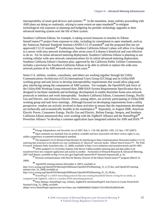interoperability of smart grid devices and systems."**<sup>43</sup>** In the meantime, many utilities proceeding with AMI plans are doing so cautiously, relying to some extent on open standards<sup>44</sup> to mitigate technological risk exposure or planning and budgeting for periodic technology upgrades to their advanced metering system over the life of their system.

Southern California Edison, for example, is taking several measures to insulate its Edison SmartConnect™ project from exposure to risks, including its commitment to open standards, such as the American National Standards Institute (ANSI) C12.19 standard**<sup>45</sup>** and the proposed (but not yet approved) C12.22 standard.**<sup>46</sup>** Furthermore, Southern California Edison's plans will allow it to change to a newer wide-area network technology after seven years if it deems it beneficial and cost-effective to do so. For its initial advanced metering deployment, Southern California Edison is planning to use existing cellular wide-area network communications for its initial advanced metering deployment. Southern California Edison's business plan, approved by the California Public Utilities Commission, includes a provision for Southern California Edison to be able to refresh or replace the wide-area network portion of its AMI network every seven years.**<sup>47</sup>**

Some U.S. utilities, vendors, consultants, and others are working together through the Utility Communications Architecture (UCA) International Users Group (UCAIug) and its UtilityAMI working group and task forces to develop interoperability requirements that would allow plug-andplay interfacing among the components of AMI systems. For example, the OpenHAN task force of the UtilityAMI Working Group released their 2008 HAN System Requirements Specification that is designed to facilitate standards and technology development to enable dissimilar home-area network protocols to interface and work interoperably. Southern California Edison, Consumers Energy, Pacific Gas and Electric, and American Electric Power, among others, are actively participating in UtilityAMI working group and task force meetings. Although focused on developing requirements from a utility perspective, vendors are actively involved in these activities to ensure that the requirements developed are technically and economically feasible in the marketplace.**<sup>48</sup>** Separately, in August 2008, American Electric Power, Consumers Energy, Pacific Gas and Electric, Reliant Energy, Sempra, and Southern California Edison announced they were working with the ZigBee® Alliance and the HomePlug®**<sup>49</sup>** Powerline Alliance "to develop a common application layer integrated solution for AMI and HAN."**<sup>50</sup>**

**<sup>43</sup>** Energy Independence and Securities Act of 2007, Pub. L. 110-140, §§1303, 1305, 121 Stat. 1787 (2007).

**<sup>44</sup>** Open standards are standards that are publicly available and have associated with them various rights to use, unlike a proprietary or patented technological standard.

**<sup>45</sup>** The proposed C12.22 (Protocol Specification for Interfacing to Data Communications Networks) enables C12.19 metering data structures to be shared over any combination of "physical" network media. *Edison SmartConnect™: The Path Forward*, Utilipoint Daily IssueAlert (Jan. 21, 2008), *available at* http://www.utilipoint.com/issuealert/article.asp?id=2965.

**<sup>46</sup>** ANSI standard C12.19 (Utility Industry End Device Tables) enables metering data and data tables to be transferred from one computer application and system to another. Assessment of Demand Response & Advanced Metering, 2007 Staff Report, *available at* http://www.ferc.gov/legal/staff-reports/09-07-demand-response.pdf, p. 34.

**<sup>47</sup>** Personal communications with Paul De Martini, Director of the Edison SmartConnect™ program (March 31, 2008).

**<sup>48</sup>** OpenHAN meeting minutes (December 4, 2007), *available at*

http://www.ucaiug.org/OpenHAN/Meeting%20Minutes/OpenHAN%20meeting\_12\_4\_07.doc, and OpenHAN meeting minutes (Jan. 25, 2008) *available at* 

http://www.ucaiug.org/OpenHAN/Meeting%20Minutes/OpenHAN%20meeting\_01\_25\_08.doc.

**<sup>49</sup>** HomePlug® is a HAN networking protocol that uses existing household electric wiring for its media, as compared with ZigBee®, which is a wireless HAN networking protocol.

**<sup>50</sup>** Press Release, HomePlug®.org, Utilities, ZigBee®® and HomePlug®® Join Forces to Create Wired HAN Standard (Aug. 25, 2008), *available* 

*at*http://www.HomePlug®.org/news/pr/view?item\_key=6ddbf0d46d2156a8cb71f25199c02b2dfd20ce8b.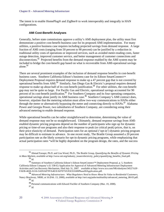The intent is to enable HomePlug® and ZigBee® to work interoperably and integrally in HAN configurations.

#### **AMI Cost-Benefit Analyses**

Generally, before state commissions approve a utility's AMI deployment plan, the utility must first demonstrate a positive cost-benefit business case for its proposed AMI implementation. For many utilities, a positive business case requires including projected savings from demand response. A large fraction of AMI costs (ranging from 50 percent to 90 percent) can be justified by a reduction in traditional utility costs of operations or improved services, such as avoided meter-reading costs, faster outage detection, improved customer service, and better management of customer connections and disconnections.**<sup>51</sup>** Projected benefits from the demand response enabled by the AMI system may be included to bridge the cost-benefit gap based on what is recoverable from AMI-operational savings alone.**<sup>52</sup>**

There are several prominent examples of the inclusion of demand response benefits in cost-benefit business cases. Southern California Edison's business case for its Edison SmartConnect™ Deployment Proposal requires demand response to make up a 47 percent gap that is not covered by operational benefits from AMI.**<sup>53</sup>** Similarly, San Diego Gas & Electric's proposal requires demand response to make up about half of its cost-benefit justification.**<sup>54</sup>** For other utilities, the cost-benefit gap may not be quite so large. For Pacific Gas and Electric, operational savings accounted for 90 percent of its cost-benefit justification.<sup>55</sup> For Southern Company and its four operating companies, operational savings alone justify its AMI business case.**<sup>56</sup>** Southern Company's AMI contract does, however, stipulate that the metering solution must allow two-way communications to HANs either through the meter or alternatively bypassing the meter and connecting directly to HANs.**<sup>57</sup>** Alabama Power and Georgia Power, two subsidiaries of Southern Company, are considering using their advanced metering to enable demand response.

While operational benefits can be rather straightforward to determine, determining the value of demand response may not be so straightforward. Ultimately, demand response savings from AMIenabled dynamic pricing programs depend on the number of participants who sign up for dynamic pricing or time-of-use programs and also their response to peak (or critical peak) prices, that is, on their price elasticity of demand. Participation rates for an optional ('opt-in') dynamic pricing program may be difficult to estimate in advance. In one recent study, The Brattle Group assumed a 20 percent participation rate as the likely scenario for opt-in dynamic pricing programs, while emphasizing that actual participation rates "will be highly dependent on the program design, the rates, and the success

**<sup>51</sup>**Ahmad Faruqui, Ph.D. and Lisa Wood, Ph.D., The Brattle Group, *Quantifying the Benefits of Dynamic Pricing in Mass Markets, available at* http://www.eei.org/industry\_issues/electricity\_policy/quantifying\_benefits\_final.pdf. **<sup>52</sup>** *Id.*

**<sup>53</sup>** Summary of Southern California Edison's Edison SmartConnect™ Deployment Proposal, p. 5, Southern California Edison Company's (U 338-E) Application for Approval of Advanced Metering Infrastructure Deployment Activities and Cost Recovery Mechanism, filed July 31, 2007. *available at* http://www.sce.com/NR/rdonlyres/34527A3F-FAEB-4650-A516-5AD5A07FFA4E/0/A0707XXXSCEAMIPhaseIIIApplication.pdf.

**<sup>54</sup>** *Advanced Metering Infrastructure: What Regulators Need to Know About Its Value to Residential Customers*, Nancy Brockway, NRRI, at 16 (Feb. 13, 2008), *available at* http://nrri.org/pubs/multiutility/advanced\_metering\_08-03.pdf. **<sup>55</sup>** *Id.* 

**<sup>56</sup>** Personal communications with Edward Fischler of Southern Company (Mar. 19, 2008). **<sup>57</sup>** *Id.*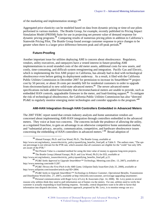of the marketing and implementation strategy."**<sup>58</sup>**

Aggregated price elasticity can be modeled based on data from dynamic pricing or time-of-use pilots performed in various markets. The Brattle Group, for example, recently published its Pricing Impact Simulation Model (PRISM) Suite for use in projecting net present value of demand response for dynamic pricing programs.**<sup>59</sup>** Comparing results of numerous pricing pilots in addition to California's Statewide Pricing Pilot, The Brattle Group found average customer response to price changes to be greater when there is a larger price difference between peak and off-peak periods.**<sup>60</sup>**

#### **Future-Proofing**

Another important issue for utilities deploying AMI is concern about obsolescence. Regulators, vendors, utility executives, and ratepayers have a vested interest in future-proofing AMI implementations to avoid stranded costs of the old meter assets, additional costs for new assets, and costly, time-consuming, and difficult system reengineering and integration. Pacific Gas and Electric, which is implementing the first AMI project in California, has already had to deal with technological obsolescence even before getting its deployment underway. As a result, it filed with the California Public Utilities Commission in December 2007 for permission to increase its SmartMeter™ project cost by 50 percent, or about 26 cents per monthly bill for residential customers in order to upgrade from electromechanical to new solid-state advanced meters.**<sup>61</sup>** The newer advanced-meter specifications include added functionality that electromechanical meters are unable to provide, such as embedded HAN controls, upgradeable firmware in the meter, and load-limiting support.**<sup>62</sup>** To mitigate the risk of technological obsolescence, the California Public Utilities Commission has also "directed PG&E to regularly monitor emerging meter technologies and consider upgrades to the program."**<sup>63</sup>**

#### **AMI-HAN Integration through HAN Controllers Embedded in Advanced Meters**

The 2007 FERC report noted that certain industry analysts and home automation vendors are concerned about implementing AMI-HAN integration through controllers embedded in the advanced meters. They voice at least two concerns. The concerns include the prudence of allowing the utility, as a regulated franchise, to gain an advantage in an otherwise competitive home automation market, and "substantial privacy, security, communication, competitive, and hardware obsolescence issues concerning the embedding of HAN controllers in advanced meters."**<sup>64</sup>** Broad adoption of

**<sup>58</sup>** Ahmad Faruqui, Ph.D. and Lisa Wood, Ph.D., The Brattle Group, *available at*

http://www.eei.org/industry\_issues/electricity\_policy/quantifying\_benefits\_final.pdf, at Table 9. The authors state, "The optout percentage is not relevant for the PTR rate, which assumes that all customers are eligible for the "credit" but only 50% are aware of the PTR."

**<sup>59</sup>** Net Present Value is a standard method for using the time value of money to appraise long-term projects.

**<sup>60</sup>** The Brattle Group (Ahmad Faruqui, Ph.D. and Lisa Wood, Ph.D.) for EEI, *available at*

http://www.eei.org/industry\_issues/electricity\_policy/quantifying\_benefits\_final.pdf, p.21.

**<sup>61</sup>** *PG&E Seeks Approval to Upgrade SmartMeter™ Technology*, Metering.com (Dec. 13, 2007), *available at* http://www.metering.com/node/11287.

**<sup>62</sup>** *PG&E Throws the First Pitch in the AMI Game,* Utilipoint Daily IssueAlert (July 25, 2008), *available at*  http://www.utilipoint.com/issuealert/article.asp?ID=2894.

**<sup>63</sup>** *PG&E Seeks to Upgrade SmartMeter™ Technology to Enhance Customer, Operational Benefits*, Transmission and Distribution World (Dec. 27, 2007), *available at* http://tdworld.com/customer\_service/pge-upgrading-smartmeter/.

**<sup>64</sup>** Personal communications with Roger Levy of Levy & Associates (Apr. 14, 2008). Mr. Levy points to several reasons why utilities think they need to pull information out of homes via the meters. For one, utilities need to verify the customer is actually responding to load-limiting requests. Secondly, central dispatchers want to be able to factor that information into dispatch decisions. An alternative approach, proposed by Mr. Levy, is to monitor energy use at a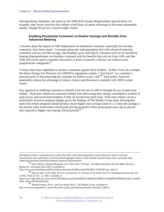interoperability standards, one based on the 2008 HAN System Requirements Specification, for example, may lessen concerns that utilities would have an unfair advantage in the home automation market, though the privacy concern might remain.

#### **Enabling Residential Customers to Realize Savings and Benefits from Advanced Metering**

Concerns about the impact of AMI deployment on residential customers, especially low-income customers, have been raised. Consumer advocates seek guarantees that with advanced metering customers will see real bill savings, that disabled, poor, and elderly customers will not be harmed by bearing disproportionate cost burdens compared with the benefits they receive from AMI, and that AMI will not be used to remotely disconnect or limit a customer's electric use without some programmatic safeguards.**<sup>65</sup>**

Various states have legislation to protect consumers against these burdens. In New York, for example, the Home Energy Fair Practices Act (HEFPA) regulations require a "last knock" at a customer's premises prior to disconnecting the customer for failure to pay a bill.**<sup>66</sup>** Such policy, however, potentially reduces the advantage of remote connect and disconnect available with AMI to some extent.

One approach to enabling customers to benefit from the use of AMI is through the use of peak-time rebates. Peak-time rebates let customers benefit from decreasing their energy consumption at times of peak prices, and yet be held harmless if they do not decrease their load. Peak-time rebates can be a particularly attractive program design, given the findings of The Brattle Group study showing that peak-time rebate programs should produce much higher total savings (close to 2.5 times the savings in net present value terms) than critical peak pricing programs where participants must opt-in and are also exposed to higher rates during critical periods.**<sup>67</sup>**

 distribution feeder or substation level where the utility and central dispatcher would effectively receive real time measurement and verification of the diversified aggregate impact of the demand response faster than is possible when collecting individual household demand response measurements.

**<sup>65</sup>** *Smart Meters, Demand Response and "Real Time" Pricing: Too Many Questions and Not Many Answers*, Barbara R. Alexander (July 2007), *available at* 

**<sup>66</sup>** State of New York Public Service Commission, at a session of the Public Service Commission held in the City of New York on Dec. 12, 2007, *available at* 

http://www3.dps.state.ny.us/pscweb/WebFileRoom.nsf/Web/6DEBE23FB000219D852573B60068A93B/\$File/202C\_05e093 4etal\_order.pdf?OpenElement.

**<sup>67</sup>** Ahmad Faruqui, Ph.D., and Lisa Wood, Ph.D., The Brattle Group, *available at*  http://www.eei.org/industry\_issues/electricity\_policy/quantifying\_benefits\_final.pdf, Table 9.

http://www.narucmeetings.org/Presentations/Dynamic%20Pricing%20NARUC%202007.ppt, slide 23.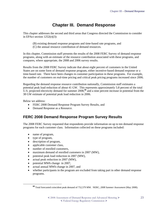## **Chapter III. Demand Response**

This chapter addresses the second and third areas that Congress directed the Commission to consider in EPAct section 1252(e)(3):

- (B) existing demand response programs and time-based rate programs, and
- (C) the annual resource contribution of demand resources.

In this chapter, Commission staff presents the results of the 2008 FERC Survey of demand response programs, along with an estimate of the resource contribution associated with these programs, and compares, where appropriate, the 2008 and 2006 survey results.

Results from the 2008 FERC Survey indicate that about eight percent of customers in the United States are on some form of demand response program, either incentive-based demand response or a time-based rate. There have been changes in customer participation in these programs. For example, the number of customers on real-time pricing and critical peak pricing programs increased since 2006.

Regarding the demand response resource contribution nationally, Commission staff estimates a potential peak load reduction of about 41 GW. This represents approximately 5.8 percent of the total U.S. projected electricity demand for summer 2008,**<sup>68</sup>** and a nine percent increase in potential from the 38 GW estimate of potential peak load reduction in 2006.

Below we address:

- FERC 2008 Demand Response Program Survey Results, and
- Demand Response as a Resource.

## **FERC 2008 Demand Response Program Survey Results**

The 2008 FERC Survey requested that respondents provide information on up to ten demand response programs for each customer class. Information collected on these programs included:

- name of program,
- type of program,
- description of program,
- applicable customer class,
- number of enrolled customers,
- maximum demand of enrolled customers in 2007 (MW),
- potential peak load reduction in 2007 (MW),
- actual peak reduction in 2007 (MW),
- potential MWh change in 2007,
- actual annual MWh change in 2007, and
- whether participants in the program are excluded from taking part in other demand response programs.

**<sup>68</sup>** Total forecasted coincident peak demand of 752,579 MW. NERC, *2008 Summer Assessment* (May 2008).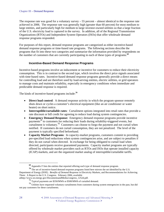The response rate was good for a voluntary survey  $-55$  percent  $-$  almost identical to the response rate achieved in 2006. The response rate was generally high (greater than 60 percent) for most medium to large entities, and particularly high for medium to large investor-owned utilities so that a large fraction of the U.S. electricity load is captured in the survey. In addition, all of the Regional Transmission Organizations (RTOs) and Independent System Operators (ISOs) that offer wholesale demand response programs responded.

For purposes of this report, demand response programs are categorized as either incentive-based demand response programs or time-based rate programs. The following sections describe the programs that fit into these two categories and summarize the information provided by respondents on the number of customers that are currently participating in each of these types of programs.**<sup>69</sup>**

#### **Incentive-Based Demand Response Programs**

Incentive-based programs involve an inducement or incentive for customers to reduce their electricity consumption. This is in contrast to the second type, which involves the direct price signals associated with time-based rates. Incentive-based demand response programs generally provide a direct means for controlling load and are therefore used by load-serving entities, electric utilities, or grid operators to manage costs and maintain reliability, especially in emergency conditions when immediate and predictable demand response is required.

The kinds of incentive-based programs include:**<sup>70</sup>**

- **Direct load control**: A demand response activity in which the program sponsor remotely shuts down or cycles a customer's electrical equipment (like an air conditioner or water heater) on short notice.
- **Interruptible/curtailable rates**: Curtailment options integrated into retail rates that provide a rate discount or bill credit for agreeing to reduce load during system contingencies.
- **Emergency Demand Response:** Emergency demand response programs provide incentive payments**<sup>71</sup>** to customers for reducing their loads during reliability-triggered events, but curtailment is voluntary.<sup>72</sup> Customers can choose to forgo the payment and not curtail when notified. If customers do not curtail consumption, they are not penalized. The level of the payment is typically specified beforehand.
- **Capacity Market Programs**: In capacity-market programs, customers commit to providing pre-specified load reductions when system contingencies arise, and are subject to penalties if they do not curtail when directed. In exchange for being obligated to curtail load when directed, participants receive guaranteed payments. Capacity market programs are typically offered by wholesale market providers such as RTOs and ISOs that operate installed capacity (ICAP) markets, and are the organized market analog of interruptible/curtailable tariffs.

**<sup>69</sup>** Appendix F lists the entities that reported offering each type of demand response program.

**<sup>70</sup>** The set of incentive-based demand response programs listed here mirrors the set identified by the U.S. Department of Energy (DOE). *Benefits of Demand Response in* Electricity Markets, and Recommendations for Achieving Them: A Report to the U.S. Congress. February 2006, *available at*http://www.oe.energy.gov/DocumentsandMedia/congress\_1252d.pdf.

**<sup>71</sup>** Typical payments are \$350/MWh or \$500/MWh of curtailed demand.

**<sup>72</sup>** Utilities have requested voluntary curtailments from customers during system emergencies in the past, but did not pay customers for these curtailments.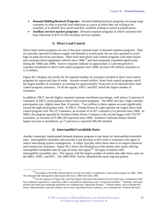- **Demand Bidding/Buyback Programs**: Demand bidding/buyback programs encourage large customers to offer to provide load reductions at a price at which they are willing to be curtailed, or to identify how much load they would be willing to curtail at posted prices.
- **Ancillary services market programs**: Demand response programs in which customers bid load reductions in RTO or ISO ancillary services markets.

#### **1) Direct Load Control**

Direct load control programs are one of the most common types of demand response programs. They are typically operated to balance supply and demand at system peak, but are also operated to avoid high on-peak electricity purchases. There have been direct load control programs with meter-based and consumer-based equipment controls since 1968,<sup>73</sup> and these programs expanded significantly during the 1980s and 1990s. Survey responses indicate an approximate 3.5 percent growth in customer enrollment in direct load control programs since 2006, up from 4.95 million customers to 5.13 million.

Figure III-1 displays the results for the reported number of customers enrolled in direct load control programs by region and type of entity. Investor-owned utilities' direct load control programs enroll the largest number of customers, accounting for approximately 78 percent of all reported direct load control program customers. Of all the regions, FRCC and RFC enroll the largest number of customers.

In addition, FRCC has the highest reported customer enrollment percentage, with almost 13 percent of customers in FRCC participating in direct load control programs. The MRO also has a high customer participation rate, slightly more than 10 percent. Two utilities in these regions account significantly toward the high participation rates. In FRCC, Florida Power & Light operates the largest direct load control program with 782,227 customers, an increase of 41,657 customers (5.6 percent) since 2006. In MRO, the program operated by Northern States Power Company is the second largest with 370,797 customers, an increase of 87,480 (30.9 percent) since 2006. Southern California Edison had the largest increase in enrollment, up 71 percent to a reported 284,336 enrolled.

#### **2) Interruptible/Curtailable Rates**

Another commonly implemented demand response program is one based on interruptible/curtailable rates. Interruptible/curtailable rates provide a rate discount or bill credit to customers who agree to reduce load during system contingencies. A utility typically offers these rates to its largest industrial and commercial customers. Figure III-2 shows the distribution of the entities who report offering interruptible/curtailable rates by type of entity and region.**<sup>74</sup>** All types of entities offer interruptible/curtailable rates. The regions with the largest number of entities that offer these rates are the MRO, SERC, and RFC. The 2006 FERC Survey identified the same regional pattern.

**<sup>73</sup>** According to the EPRI, Detroit Edison was the first utility to implement a load control program in 1968. EPRI, *The Demand-Side Management Information Directory,* EPRI EM-4326, 1985.

**<sup>74</sup>** For the purposes of Figure III-2 and later figures that report information for each entity type, Commission staff has combined cooperatives, cooperative G&Ts, and political subdivisions into "Cooperative Entities." Similarly, municipal utilities and municipal marketing authorities are combined into "Municipal Entities." Federal entities, such as Bonneville Power Administration, and state utilities, such as the Long Island Power Authority, are combined into "Federal and State."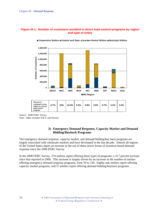#### **Figure III-1. Number of customers enrolled in direct load control programs by region and type of entity**



■ Cooperative Entities ■ Federal and State ■ Investor-Owned Utilities ■ Municipal Entities

Source: 2008 FERC Survey<br>Note: Other includes ASCC and Hawaii.

#### **3) Emergency Demand Response, Capacity Market and Demand Bidding/Buyback Programs**

The emergency demand response, capacity market, and demand bidding/buy back programs are largely associated with wholesale markets and have developed in the last decade. Almost all regions of the United States report an increase in the use of these newer forms of incentive-based demand response since the 2006 FERC Survey.

In the 2008 FERC Survey, 274 entities report offering these types of programs, a 217 percent increase since that reported in 2006. This increase is largely driven by an increase in the number of entities offering emergency demand response programs, from 59 to 136. Eighty-one entities report offering capacity market programs, and 57 entities report offering demand bidding/buyback programs.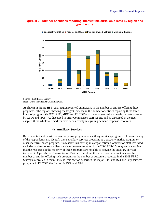## **Figure III-2. Number of entities reporting interruptible/curtailable rates by region and type of entity**



■ Cooperative Entities ■ Federal and State ■ Investor-Owned Utilities ■ Municipal Entities

Source: 2008 FERC Survey Note: Other includes ASCC and Hawaii.

As shown in Figure III-3, each region reported an increase in the number of entities offering these programs. The regions showing the largest increase in the number of entities reporting these three kinds of programs (NPCC, RFC, MRO and ERCOT) also have organized wholesale markets operated by RTOs and ISOs. As discussed in prior Commission staff reports and as discussed in the next chapter, these wholesale markets have been actively integrating demand response resources.

#### **4) Ancillary Services**

Respondents identify 249 demand response programs as ancillary services programs. However, many of the respondents also identify these ancillary services programs as a capacity market program or other incentive-based program. To resolve this overlap in categorization, Commission staff reviewed each demand response ancillary services program reported in the 2008 FERC Survey and determined that the resources in the majority of these programs are not able to provide the ancillary services included in Open Access Transmission Tariffs. Therefore, this discussion does not analyze the number of entities offering such programs or the number of customers reported in the 2008 FERC Survey as enrolled in them. Instead, this section describes the major RTO and ISO ancillary services programs in ERCOT, the California ISO, and PJM.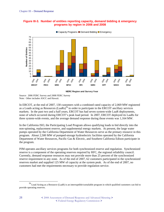



■ Capacity Programs ■ Demand Bidding ■ Emergency

In ERCOT, at the end of 2007, 130 customers with a combined rated capacity of 2,069 MW registered as a Loads acting as Resources (LaaRs)**<sup>75</sup>** in order to participate in the ERCOT ancillary services markets. In the past two and a half years, ERCOT has had seven system-wide LaaR deployments, none of which occurred during ERCOT's peak load period. In 2007, ERCOT deployed its LaaRs for three system-wide events, and the average demand response during those events was 1,164 MW.

In the California ISO, the Participating Load Program allows qualifying loads to bid directly into the non-spinning, replacement reserve, and supplemental energy markets. At present, the large water pumps operated by the California Department of Water Resources serve as the primary resource in this program. About 2,500 MW of pumped-storage hydroelectric facilities operated by the California Department of Water Resources, Pacific Gas & Electric, and Southern California Edison participate in the program.

PJM operates ancillary services programs for both synchronized reserve and regulation. Synchronized reserve is a component of the operating reserves required by RFC, the regional reliability council. Currently, demand response resources may not provide more than 25 percent of the synchronized reserve requirement in any zone. As of the end of 2007, 62 customers participated in the synchronized reserves market and supplied 125 MW of capacity at the system peak. As of the end of 2007, no customers had met the requirements necessary to provide regulation service.

**NERC Region and Survey Year**

Source: 2006 FERC Survey and 2008 FERC Survey Note: Other includes ASCC and Hawaii.

**<sup>75</sup>** Load Acting as a Resource (LaaR) is an interruptible/curtailable program in which qualified customers can bid to provide operating reserves.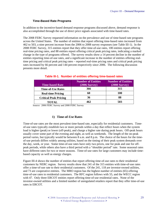## **Time-Based Rate Programs**

In addition to the incentive-based demand response programs discussed above, demand response is also accomplished through the use of direct price signals associated with time-based rates.

The 2008 FERC Survey requested information on the prevalence and use of time-based rate programs across the United States. The number of entities that report offering time-based rates increased from 462 to 503, a nine percent increase from the 2006 to 2008 survey responses (see Table III-1). In the 2008 FERC Survey, 315 entities report that they offer time-of-use rates, 100 entities report offering real-time pricing rates, and 88 entities report offering critical peak pricing rates, indicating a marked change in the type of programs offered. The survey results show a 14 percent decline in the number of entities reporting time-of-use rates, and a significant increase in the number of entities offering realtime pricing and critical peak pricing rates – reported real-time pricing rates and critical peak pricing rates increased by 66 percent and 144 percent respectively since 2006. The following discussion presents more detail.

| <b>Time-based Rate</b>       | <b>Number of Entities</b><br>$(2006$ Survey) | <b>Number of Entities</b><br>$(2008$ Survey) |
|------------------------------|----------------------------------------------|----------------------------------------------|
| <b>Time-of-Use Rates</b>     | 366                                          | 315                                          |
| <b>Real-time Pricing</b>     | 60                                           | 100                                          |
| <b>Critical Peak Pricing</b> | 36                                           | 88                                           |
| TOTAL                        | 462                                          | 503                                          |

### **Table III-1. Number of entities offering time-based rates**

Source: 2006 FERC Survey and 2008 FERC Survey

## **1) Time-of-Use Rates**

Time-of-use rates are the most prevalent time-based rate, especially for residential customers. Timeof-use rates typically establish two or more periods within a day that reflect hours when the system load is higher (peak) or lower (off-peak), and charge a higher rate during peak hours. Off-peak hours usually cover some part of the evening and night, as well as weekends. The length of the on-peak period varies, but typically would be between 8 a.m. and 8 p.m. The choice of the hours for the timeof-use periods differs widely among utilities, based on the timing of their peak system demands over the day, week, or year. Some time-of-use rates have only two prices, one for peak and one for offpeak periods, while others also have a third period with a "shoulder period" rate. Some seasonal rates have different rates for two or more seasons. Time-of-use rates for large customers may include timebased capacity as well as energy charges.

Figure III-4 shows the number of entities that report offering time-of-use rates to their residential customers by NERC region. Survey results show that 241 of the 315 entities with time-of-use rates offer a time-of-use rate to their residential customers. Of the 241, 118 are investor-owned utilities, and 73 are cooperative entities. The MRO region has the highest number of entities (65) offering time-of-use rates to residential customers. The RFC region follows with 55, and the WECC region with 47. Only three ERCOT entities report offering time-of-use residential rates. None of the investor-owned utilities and a limited number of unregulated retailers report that they offer time-of-use rates in ERCOT.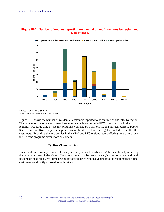## **Figure III-4. Number of entities reporting residential time-of-use rates by region and type of entity**



■ Cooperative Entities ■ Federal and State **□** Investor-Oned Utilities ■ Municipal Entities

Source: 2008 FERC Survey Note: Other includes ASCC and Hawaii.

Figure III-5 shows the number of residential customers reported to be on time-of-use rates by region. The number of customers on time-of-use rates is much greater in WECC compared to all other regions. Two large time-of-use rate programs operated by a pair of Arizona utilities, Arizona Public Service and Salt River Project, comprise most of the WECC total and together include over 500,000 customers. Even though more entities in the MRO and RFC regions report offering time-of-use rates, the Arizona programs cover more customers.

## **2) Real-Time Pricing**

Under real-time pricing, retail electricity prices vary at least hourly during the day, directly reflecting the underlying cost of electricity. The direct connection between the varying cost of power and retail rates made possible by real-time pricing introduces price responsiveness into the retail market if retail customers are directly exposed to such prices.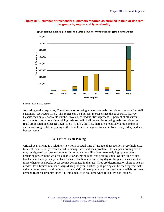### **Figure III-5. Number of residential customers reported as enrolled in time-of-use rate programs by region and type of entity**



■ Cooperative Entities ■ Federal and State ■ Investor-Owned Utilities ■ Municipal Entities

According to the responses, 85 entities report offering at least one real-time pricing program for retail customers (see Figure III-6). This represents a 54 percent increase since the 2006 FERC Survey. Despite their smaller absolute number, investor-owned utilities represent 55 percent of all survey respondents offering real-time pricing. Almost half of all the entities offering real-time pricing at retail are located in either RFC (21) or SERC (18). In RFC, there are a relatively large number of entities offering real-time pricing as the default rate for large customers in New Jersey, Maryland, and Pennsylvania.

## **3) Critical Peak Pricing**

Critical peak pricing is a relatively new form of retail time-of-use rate that specifies a very high price for electricity use only when needed to manage a critical peak problem. Critical peak pricing events may be triggered by system contingencies or when the utility faces extremely high prices when procuring power in the wholesale market or operating high-cost peaking units. Unlike time-of-use blocks, which are typically in place for six to ten hours during every day of the year (or season), the times when critical peaks occur are not designated in the rate. They are determined on short notice, as needed, for a limited number of days during the year. Critical peak pricing can be used together with either a time-of-use or a time-invariant rate. Critical peak pricing can be considered a reliability-based demand response program since it is implemented in real time when reliability is threatened.

Source: 2008 FERC Survey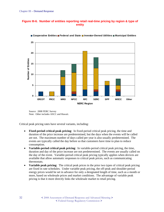## **Figure III-6. Number of entities reporting retail real-time pricing by region & type of entity**



■ Cooperative Entities ■ Federal and State ■ Investor-Owned Utilities ■ Municipal Entities

Source: 2008 FERC Survey<br>Note: Other includes ASCC and Hawaii.

Critical peak pricing rates have several variants, including:

- **Fixed-period critical peak pricing**: In fixed-period critical peak pricing, the time and duration of the price increase are predetermined, but the days when the events will be called are not. The maximum number of days called per year is also usually predetermined. The events are typically called the day before so that customers have time to plan to reduce consumption.
- **Variable-period critical peak pricing**: In variable-period critical peak pricing, the time, duration and day of the price increase are not predetermined. The events are usually called on the day of the event. Variable-period critical peak pricing typically applies when devices are available that allow automatic responses to critical peak prices, such as communicating thermostats.
- **Variable peak pricing**: The critical peak prices in the prior two types of critical peak pricing are fixed in rate schedules. Under variable peak pricing, the off-peak and shoulder-period energy prices would be set in advance for only a designated length of time, such as a month or more, based on wholesale prices and market conditions. The advantage of variable peak pricing is that it more directly links the wholesale market to retail pricing.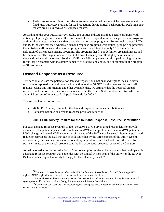• **Peak time rebates**: Peak time rebates are retail rate schedules in which customers remain on fixed rates but receive rebates for load reductions during critical peak periods. Peak time peak rebates are also known as critical peak rebates.

According to the 2008 FERC Survey results, 194 entities indicate that they operate programs with critical peak pricing components. However, most of these respondents also categorize their programs as time-of-use rates or other incentive-based demand response programs. For example, several RTOs and ISOs indicate that their wholesale demand response programs were critical peak pricing programs. Commission staff reviewed the reported programs and determined that only 20 of them fit our definition of critical peak pricing programs. The programs that fit our definition are small in size and few in number. The largest, operated by Gulf Power Company, enrolls slightly less than nine thousand residential customers. Southern California Edison operates a critical peak pricing program for its large customers with maximum demands of 500 kW and above, and enrollment in the program of 31 customers.

## **Demand Response as a Resource**

This section discusses the potential for demand response on a national and regional basis. Survey respondents reported potential peak load reduction totaling 37 GW for all customer classes in all regions. Using this information, and other available data, we estimate that the potential annual resource contribution of demand response resources in the United States is about 41 GW, which is about 5.8 percent of forecasted U.S. peak demands for 2008.**<sup>76</sup>**

This section has two subsections:

- 2008 FERC Survey results for the demand response resource contribution, and
- Estimated nationwide demand response peak load reduction.

#### **2008 FERC Survey Results for the Demand Response Resource Contribution**

For each demand response program or rate, the 2008 FERC Survey asked respondents to provide estimates of the potential peak load reductions (in MW), actual peak reductions (in MW), potential MWh change and actual MWh changes as of the end of the 2007 calendar year.**<sup>77</sup>** Potential peak load reduction represents the load that can be reduced either by the direct control of the utility system operator or by the customer in response to a utility request to curtail load and forms the basis for staff's estimate of the annual resource contribution of demand resources requested by Congress.**<sup>78</sup>**

Actual peak reduction is the reduction in MW consumption achieved by customers that participated in a demand response program that coincides with the annual system peak of the utility (or the RTO or ISO to which a respondent utility belongs) for the calendar year 2007.

**<sup>76</sup>** The term U.S. peak demands refers to the NERC's forecasts of peak demand for 2008 for the eight NERC regions. NERC regional peak demand forecasts are by their nature non-coincident.

**<sup>77</sup>** Potential peak load reduction is defined as "the installed load reduction capability during the time of annual system peak load," consistent with the Energy Information Administration's definition.

**<sup>78</sup>** Commission staff used the same methodology to develop estimates of resource contribution as in the 2006 Demand Response Report.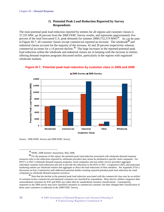## **1) Potential Peak Load Reduction Reported by Survey Respondents**

The total potential peak load reduction reported by entities for all regions and customer classes is 37,335 MW, up 26 percent from the 2006 FERC Survey results, and represents approximately five percent of the total forecasted U.S. peak demands for summer 2008 (752,579 MW)<sup>79</sup>. As can be seen in Figure III-7, all customer classes except commercial reported an increase. The wholesale**<sup>80</sup>** and industrial classes account for the majority of the increase, 42 and 39 percent respectively whereas commercial accounts for a 14 percent decline.**<sup>81</sup>** The large increases in the reported potential peak load reduction within the wholesale and industrial classes are in keeping with the increase in entities offering demand response programs discussed earlier, particularly in the regions with organized wholesale markets.

## **Figure III-7. Potential peak load reduction by customer class in 2006 and 2008**



**2006 Survey 2008 Survey**

Source: 2006 FERC Survey and 2008 FERC Survey

**<sup>79</sup>** NERC *2008 Summer Assessment*, May 2008.

**<sup>81</sup>** Note that the decline in the potential peak load reduction associated with the commercial class may be an artifact of variation in how commercial and industrial customers are classified by respondents. Most electric utilities categorize their nonresidential customers by KW and KWh size rather than by standardized customer classifications. Consequently, responses to the 2006 survey may have classified customers as commercial customer, but then changed their classification of these same customers to industrial in the 2008 FERC Survey.

**<sup>80</sup>** For the purposes of this report, the potential peak load reduction associated with wholesale demand response resources refer to the reductions reported by wholesale providers that cannot be attributed to specific retail companies. For RTO's or ISO's wholesale demand response programs, retail companies and non-utility service providers aggregate individual customer load reductions and sell or provide the reductions to the RTO or ISO. Cooperative G&Ts and municipal marketing entities are wholesale entities that aggregate or direct the load reductions of their members. See Appendix D for a discussion on how Commission staff addressed potential double-counting reported potential peak load reductions by retail companies as wholesale demand response resources.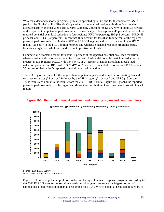Wholesale demand response programs, primarily operated by RTOs and ISOs, cooperative G&Ts (such as the North Carolina Electric Cooperative) and municipal market authorities (such as the Massachusetts Municipal Wholesale Electric Company), account for 12,656 MW or about 34 percent of the reported total potential peak load reduction nationally. They represent 40 percent or more of the reported potential peak load reduction in four regions: RFC (40 percent); SPP (48 percent); MRO (53 percent); and NPCC (72 percent). In contrast, they account for less than four percent of the reported potential peak load reduction in the WECC and ERCOT regions and only six percent in the SERC region. No entity in the FRCC region reported any wholesale demand response programs, partly because an organized wholesale market is not operative in Florida.

Commercial customers account for about 11 percent of the reported potential peak load reduction whereas residential customers account for 16 percent. Residential potential peak load reduction is greatest in two regions: FRCC with 1,644 MW, or 27 percent of national residential peak load reduction potential and RFC with 1,337 MW, or 2 percent. Residential customers in FRCC provide 55 percent of that region's reported potential peak load reduction.

The RFC region accounts for the largest share of potential peak load reduction for existing demand response resources (24 percent) followed by the MRO region (21 percent) and SERC (16 percent). These results are similar to the results from the 2006 FERC Survey. Figure III-8 graphs the reported potential peak load reduction by region and shows the contribution of each customer class within each region.



#### **Figure III-8. Reported potential peak load reduction by region and customer class**

**Residential Commercial Industrial Transport Other Wholesale**

Source: 2008 FERC Survey Note: Other includes ASCC and Hawaii.

Figure III-9 presents potential peak load reduction by type of demand response program. According to the 2008 FERC Survey responses, direct load control programs represent the largest portion of national peak load reduction potential, accounting for 11,045 MW of potential peak load reduction, or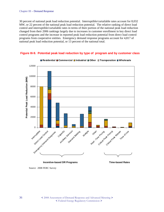30 percent of national peak load reduction potential. Interruptible/curtailable rates account for 8,032 MW, or 22 percent of the national peak load reduction potential. The relative ranking of direct load control and interruptible/curtailable rates in terms of their portion of the national peak load reduction changed from their 2006 rankings largely due to increases in customer enrollment in key direct load control programs and the increase in reported peak load reduction potential from direct load control programs from cooperative entities. Emergency demand response programs account for 4,817 of national peak load reduction potential, or 13 percent of the national total.

## **Figure III-9. Potential peak load reduction by type of program and by customer class**



**Residential Commercial Industrial Other Transporation Wholesale**

Source: 2008 FERC Survey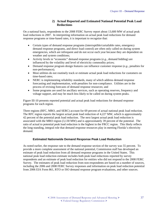## **2) Actual Reported and Estimated National Potential Peak Load Reductions**

On a national basis, respondents to the 2008 FERC Survey report about 13,600 MW of actual peak load reductions in 2007. In interpreting information on actual peak load reductions for demand response programs or time-based rates, it is important to recognize that:

- Certain types of demand response programs (interruptible/curtailable rates, emergency demand response programs, and direct load control) are often only called on during system emergencies, which are infrequent and do not occur each year because they are dependent on weather and system conditions;
- Activity levels in "economic" demand response programs (*e.g.*, demand bidding) are influenced by the volatility and level of electricity commodity prices;
- Demand response program design features can influence customer response (*e.g.*, penalties for non-performance);
- Most utilities do not routinely track or estimate actual peak load reductions for customers on time-based rates;
- NERC is implementing reliability standards, many of which address demand response forecasting and implementation, with penalties for non-compliance. Utilities are in the process of revising forecasts of demand response resources; and
- Some programs are used for ancillary services, such as operating reserves, frequency and voltage support, and may be much less likely to be called on during system peaks.

Figure III-10 presents reported potential and actual peak load reductions for demand response programs for each region.

Three regions (RFC, MRO, and SERC) account for 69 percent of actual national peak load reduction. The RFC region reports the largest actual peak load reduction of 4,227 MW, which is approximately 42 percent of the potential peak load reduction. The next largest actual peak load reduction is associated with the MRO region (3,130 MW) and is approximately 39 percent of the potential. The ratio of actual to potential peak load reduction is the highest in the FRCC region. This likely reflects the long-standing, integral role that demand response resources play in meeting Florida's electricity demand.

## **Estimated Nationwide Demand Response Peak Load Reduction**

As noted earlier, the response rate to the demand response section of the survey was 55 percent. To provide a more complete assessment of the national potential, Commission staff has developed an estimate of peak load reduction from all demand response programs in the United States. This national peak load reduction estimate includes both peak load reductions reported by survey respondents and an estimate of peak load reduction for entities who did not respond to the 2008 FERC Survey. The estimates of peak load reduction from non-respondents are based on a number of sources, including the 2006 and 2008 FERC Survey responses and information on peak load reduction potential from 2006 EIA Form 861, RTO or ISO demand response program evaluations, and other sources.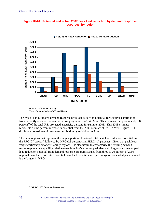

## **Figure III-10. Potential and actual 2007 peak load reduction by demand response resources, by region**

The result is an estimated demand response peak load reduction potential (or resource contribution) from currently operated demand response programs of 40,943 MW. This represents approximately 5.8 percent**<sup>82</sup>**of the total U.S. projected electricity demand for summer 2008. This 2008 estimate represents a nine percent increase in potential from the 2006 estimate of 37,552 MW. Figure III-11 displays a breakdown of resource contribution by reliability regions.

The three regions that represent the largest portion of national total peak load reduction potential are the RFC (27 percent) followed by MRO (23 percent) and SERC (17 percent). Given that peak loads vary significantly among reliability regions, it is also useful to characterize the existing demand response potential capability relative to each region's summer peak demand. Regional estimated peak load reduction potential from demand response programs ranges from three to 20 percent of 2008 regional peak load forecasts. Potential peak load reduction as a percentage of forecasted peak demand is the largest in MRO.

Source: 2008 FERC Survey<br>Note: Other includes ASCC and Hawaii.

**<sup>82</sup>** NERC 2008 Summer Assessment.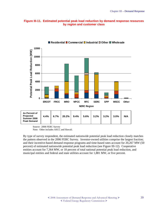## **Figure III-11. Estimated potential peak load reduction by demand response resources by region and customer class**



#### **Residential Commercial Industrial Other Wholesale**

Source: 2008 FERC Survey<br>Note: Other includes ASCC and Hawaii.

By type of survey respondent, the estimated nationwide potential peak load reduction closely matches the pattern observed in the 2006 FERC Survey. Investor-owned utilities comprise the largest fraction; and their incentive-based demand response programs and time-based rates account for 20,267 MW (50 percent) of estimated nationwide potential peak load reduction (see Figure III-12). Cooperative entities account for 7,364 MW, or 18 percent of total national potential peak load reduction, and municipal entities and federal and state utilities account for 1,881 MW, or five percent.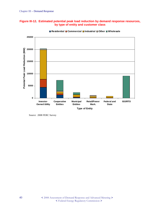

**Figure III-12. Estimated potential peak load reduction by demand response resources, by type of entity and customer class**

Source: 2008 FERC Survey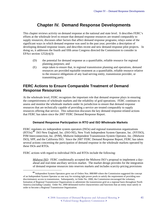# **Chapter IV. Demand Response Developments**

This chapter reviews activity on demand response at the national and state level. It describes FERC's efforts at the wholesale level to ensure that demand response resources are treated comparably to supply resources; discusses other factors that affect demand response programs; relays some of the significant ways in which demand response was used in the past year; provides a description of developing demand response issues; and describes recent and new demand response pilot projects. In doing so, it addresses the fourth and fifth areas Congress directed the Commission to consider in EPAct section 1252(e)(3):

- (D) the potential for demand response as a quantifiable, reliable resource for regional planning purposes; and
- (E) steps taken to ensure that, in regional transmission planning and operations, demand resources are provided equitable treatment as a quantifiable, reliable resource relative to the resource obligations of any load-serving entity, transmission provider, or transmitting party.

## **FERC Actions to Ensure Comparable Treatment of Demand Response Resources**

At the wholesale level, FERC recognizes the important role that demand response plays in ensuring the competitiveness of wholesale markets and the reliability of grid operations. FERC continues to assess and monitor the wholesale markets under its jurisdiction to ensure that demand response resources that are technically capable of providing a service are treated comparably to supply resources offering that service. This subsection discusses the key demand response-related actions that FERC has taken since the 2007 FERC Demand Response Report.

#### **Demand Response Participation in RTO and ISO Wholesale Markets**

FERC regulates six independent system operators (ISOs) and regional transmission organizations (RTOs):**<sup>83</sup>** ISO New England, Inc. (ISO-NE), New York Independent System Operator, Inc. (NYISO), PJM Interconnection, Inc. (PJM), Midwest Independent Transmission System Operator, Inc. (Midwest ISO), SPP, and the California ISO. Since the 2007 FERC Demand Response Report, FERC has taken several actions concerning the participation of demand response in the wholesale markets operated by these ISOs and RTOs.

FERC actions with regard to individual ISOs and RTOs include the following:

*Midwest ISO*: FERC conditionally accepted the Midwest ISO's proposal to implement a dayahead and real-time ancillary services market. The market design provides for the integration of demand response resources into reserves markets and includes scarcity-pricing provisions

**<sup>83</sup>** Independent System Operators grew out of Orders Nos. 888/889 where the Commission suggested the concept of an Independent System Operator as one way for existing tight power pools to satisfy the requirement of providing nondiscriminatory access to transmission. Subsequently, in Order No. 2000, the Commission encouraged the voluntary formation of Regional Transmission Organizations to administer the transmission grid on a regional basis throughout North America (including Canada). Order No. 2000 delineated twelve characteristics and functions that an entity must satisfy in order to become a Regional Transmission Organization.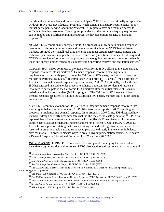that should encourage demand response to participate.**<sup>84</sup>** FERC also conditionally accepted the Midwest ISO's resource adequacy program, which contains mandatory requirements for any market participant serving load in the Midwest ISO region to have and maintain access to sufficient planning resources. The program provides that the resource adequacy requirement can be met by any qualified planning resources, be they generation capacity or demand response.**<sup>85</sup>**

*NYISO*: FERC conditionally accepted NYISO's proposal to allow certain demand response resources to offer operating reserves and regulation service into the NYISO-administered markets, provided they install real-time metering and meet certain performance criteria and technical specifications comparable to those required of generation resources. FERC required NYISO to provide information on the progress of the ongoing process to accommodate batch loads and energy storage technologies in providing operating reserves and regulation service.<sup>86</sup>

*California ISO*: FERC continues to monitor the California ISO's efforts to integrate demand response resources into its markets.**<sup>87</sup>** Demand response resources meeting certain requirements can currently participate in the California ISO's energy and ancillary services markets as Participating Load.**<sup>88</sup>** In compliance with a prior FERC order,**<sup>89</sup>** the California ISO filed its first annual demand response report in January 2008.**<sup>90</sup>** Additionally, the California ISO has engaged in a stakeholder process to enhance opportunities for demand response resources to participate in the California ISO's markets after the initial release of its market redesign and technology update (MRTU) program. The California ISO intends to allow demand response resources to bid into the California ISO energy markets and provide certain ancillary services.**<sup>91</sup>**

*SPP*: FERC continues to monitor SPP's efforts to integrate demand response resources into its energy imbalance services market.**<sup>92</sup>** SPP filed two status reports in 2007 regarding its progress in implementing demand response. In its August 1, 2007 filing, SPP discussed how its market design currently accommodates behind-the-meter wholesale generation.**<sup>93</sup>** SPP also reported that it has a three-year commitment with the Electric Power Research Institute to explore best practices of demand response and energy efficiency. On February 4, 2008, SPP filed a follow-up report, stating that it was working on market design issues that needed to be resolved in order to enable demand response to participate directly in the energy imbalance services market. In order to discuss ways to break down implementation barriers, SPP hosted a Demand Response Educational Forum on July 27 and July 28, 2008.

*PJM and ISO-NE*: In PJM, FERC responded to a complaint challenging the sunset of an incentive program for demand response. FERC also acted to address concerns about potential

**<sup>88</sup>** See CAISO FERC Electric Tariff, Third Replacement Volume No. I, Sheet No. 27A and Appendix B.4, Participating Load Agreement.

**<sup>84</sup>** *Midwest Indep. Transmission Sys. Operator, Inc*., 122 FERC ¶ 61,172 (2008).

**<sup>85</sup>** *Midwest Indep. Transmission Sys. Operator, Inc*., 122 FERC ¶ 61,283 (2008).

**<sup>86</sup>** *New York Independent System Operator, Inc*., 123 FERC ¶ 61,203 (2008).

**<sup>87</sup>** See *Cal. Indep. Sys. Operator Corp*., 119 FERC ¶ 61,313 at P 226 (2007).

**<sup>89</sup>** *Cal. Indep. Sys. Operator Corp*., 119 FERC ¶ 61,313 at P 226 (2007).

**<sup>90</sup>** CAISO First Annual Report Evaluating Demand Response, FERC Docket No. ER06-615-018 (Jan. 25, 2008).

<sup>&</sup>lt;sup>91</sup> See CAISO Straw Proposal: Post-Release 1 MRTU Functionality for Demand Response (Nov. 9, 2007).

**<sup>92</sup>** See *Southwest Power Pool, Inc*., 114 FERC ¶ 61,289, at P 229 (2006).

**<sup>93</sup>** SPP's August 1, 2007 filing in FERC Docket No. ER06-451-024.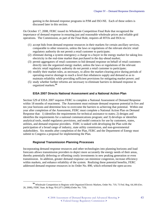gaming in the demand response programs in PJM and ISO-NE. Each of these orders is discussed later in this section.

On October 17, 2008, FERC issued its Wholesale Competition Final Rule that recognized the importance of demand response in ensuring just and reasonable wholesale prices and reliable grid operations. The Commission, as part of the Final Rule, requires all RTOs and ISOs to:

- (1) accept bids from demand response resources in their markets for certain ancillary services, comparable to other resources, unless the laws or regulations of the relevant electric retail regulatory authority do not permit a retail customer to participate;
- (2) eliminate during a system emergency a charge to a buyer in the energy market for taking less electricity in the real-time market than purchased in the day-ahead market;
- (3) permit aggregators of retail customers to bid demand response on behalf of retail customers directly into the organized energy market, unless the laws or regulations of the relevant electric retail regulatory authority do not permit a retail customer to participate;
- (4) modify their market rules, as necessary, to allow the market-clearing price during periods of operating-reserve shortage to reach a level that rebalances supply and demand so as to maintain reliability while providing sufficient provisions for mitigating market power; and
- (5) study whether further reforms are necessary to eliminate barriers to demand response in organized markets.**<sup>94</sup>**

## **EISA 2007 Directs National Assessment and a National Action Plan**

Section 529 of EISA 2007 requires FERC to complete a National Assessment of Demand Response within 18 months of enactment. The Assessment must estimate demand response potential in five and ten year horizons and determine how to overcome the barriers to achieving that potential. Within one year after completion of the Assessment, FERC must complete a National Action Plan on Demand Response that: 1) identifies the requirements for technical assistance to states; 2) designs and identifies the requirements for a national communications program; and 3) develops or identifies analytical tools, model regulatory provisions, and model contracts for use by customers, states, utilities, and demand response providers. FERC is tasked with developing the Plan with the participation of a broad range of industry, state utility commission, and non-governmental stakeholders. Six months after completion of the Plan, FERC and the Department of Energy must submit to Congress a proposal for implementing the Plan.

## **Regional Transmission Planning Processes**

Incorporating demand response resources and other technologies into planning horizons and load forecasts allows transmission providers to depict more accurately the energy needs of their areas, thereby potentially deferring or offsetting costly investments in new peaking generation or even transmission. In addition, greater demand response can minimize congestion, increase efficiency within markets, and enhance reliability of the system. Realizing these potential benefits, FERC addressed demand response resources in its Order No. 890, which reformed the open-access

**<sup>94</sup>** Wholesale Competition in Regions with Organized Electric Markets, Order No. 719, 73 Fed. Reg. 64,100 (Oct. 28, 2008), FERC Stats. & Regs. ¶ 61,071 (2008) (Order No. 719).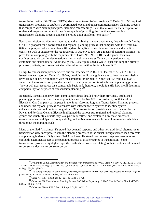#### Chapter IV – Demand Response Developments

transmission tariffs (OATTs) of FERC-jurisdictional transmission providers.**<sup>95</sup>** Order No. 890 required transmission providers to establish a coordinated, open, and transparent transmission planning process that complies with certain principles, including comparability,**<sup>96</sup>** and that allows for the incorporation of demand response resources if they "are capable of providing the functions assessed in a transmission planning process, and can be relied upon on a long-term basis."**<sup>97</sup>**

Each transmission provider was required to either submit (as a new attachment, "Attachment K", to its OATT) a proposal for a coordinated and regional planning process that complies with the Order No. 890 principles, or make a compliance filing describing its existing planning process and how it is consistent with or superior to the requirements in Order No. 890. As a means of assisting transmission providers in complying with the requirements of Order No. 890, FERC held regional technical conferences to discuss implementation issues as well as ensure sufficient participation among customers and stakeholders. Additionally, FERC staff published a White Paper outlining the primary processes, criteria, and issues that should be addressed within the Attachment K.**<sup>98</sup>**

Filings by transmission providers were due on December 7, 2007. On December 27, 2007, FERC issued a rehearing order, Order No. 890-A, providing additional guidance as to how the transmission provider can achieve compliance with the comparability principle. Specifically, Order No. 890-A stated that the transmission provider needed to identify as part of its Attachment K planning process "how it will treat resources on a comparable basis and, therefore, should identify how it will determine comparability for purposes of transmission planning."**<sup>99</sup>**

In general, transmission providers' compliance filings detailed how their previously established planning processes satisfied the nine principles in Order No. 890. For instance, South Carolina Electric & Gas Company participates in the South Carolina Regional Transmission Planning process, and under this regional process coordinates with interconnected systems to identify system enhancements that could relieve congestion. Other transmission providers such as Tucson Electric Power and Portland General Electric highlighted the various sub-regional and regional planning groups and reliability councils they take part in or follow, and explained how these processes encourage open participation, comparability, and active involvement from all interested stakeholders throughout the planning cycle.

Many of the filed Attachment Ks stated that demand response and other non-traditional alternatives to transmission were incorporated into the planning processes at the outset through various load forecasts and planning horizons. Only a few filed Attachment Ks stated that demand response resources are explicitly examined as part of the planning process or as alternatives to transmission. Some transmission providers highlighted specific methods or processes relating to their treatment of demand response and demand response resources:

**<sup>95</sup>** *Preventing Undue Discrimination and Preference in Transmission Service*, Order No. 890, 72 FR 12,266 (March 15, 2007), FERC Stats. & Regs. ¶ 31,241 (2007), order on reh'g, Order No. 890-A, 73 FR 2984 (Jan. 16, 2008), FERC Stats. & Regs. ¶31,261 (2007).

**<sup>96</sup>** The other principles are coordination, openness, transparency, information exchange, dispute resolution, regional participation, economic planning studies, and cost allocation.

**<sup>97</sup>** Order No. 890, FERC Stats. & Regs. ¶ 31,241 at P 479.

**<sup>98</sup>** Order No. 890 Transmission Planning Process Staff White Paper, Aug. 2, 2007, filed in Docket Nos. RM05-25- 000 and RM05-17-000.

**<sup>99</sup>** Order No. 890-A, FERC Stats. & Regs. ¶ 31,261 at P 216.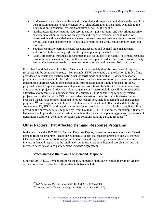- PJM seeks to determine what level and type of demand response would alleviate the need for a transmission upgrade to relieve congestion. That information is then made available to the Transmission Expansion Advisory Committee as well as the public.
- NorthWestern Energy requires load-serving entities, point-to-point, and network transmission customers to submit information on any demand response resource, demand reduction, conservation and demand-side management, demand response resource savings, conservation savings, and other customer load-reduction alternatives that would reduce or alter their load forecasts.
- Southern Company permits demand response resource and demand-side management stakeholders to have voting rights in its regional planning stakeholder process.
- PacifiCorp permits transmission customers to ask for studies of the ability of demand response resources not otherwise included in the transmission plan to reduce the overall cost of reliably serving the forecasted needs of the transmission provider and its transmission customers.

FERC has found that some of the filed Attachment Ks adequately describe how demand response resources will be comparably treated. For example, FERC concluded that the California ISO's filing provided an adequate explanation, noting that the tariff made explicit that: 1) demand response programs that are proposed for inclusion in the base case for the transmission plan or as alternatives to transmission upgrades will be considered in the transmission plan if timely proposed; 2) timely proposed demand response programs and generation projects will be subject to the same screening criteria as other projects; 3) demand-side management and interruptible loads will be considered as alternatives to transmission upgrades when the California ISO is considering reliability-related projects; and 4) the California ISO must consider the costs and benefits of viable alternatives to proposed transmission projects designed to relieve congestion, including demand-side management programs.**<sup>100</sup>** In recognition that Order No. 890-A was not issued until after the due date for filing Attachments Ks, FERC has directed other transmission providers to make a further compliance filing providing the necessary details required by Order No. 890-A. FERC has noted, for example, that tariff language should provide for participation throughout the transmission planning process by sponsors of transmission solutions, generation solutions, and solutions utilizing demand response.**<sup>101</sup>**

# **Other Factors That Affected Demand Response Programs**

In the year since the 2007 FERC Demand Response Report, numerous developments have affected demand response programs. These developments suggest that such programs are likely to increase. Chief among these is the continued promotion of demand response by states, utilities' increased interest in demand response at the retail level, continued cross-jurisdictional coordination, and the increased activities of third-party demand response aggregators.

## **States Increase their Focus on Demand Response**

Since the 2007 FERC Demand Response Report, numerous states have worked to promote greater demand response. Examples of these state initiatives include:

**<sup>100</sup>** *Cal. Indep. Sys. Operator, Inc*., 123 FERC ¶ 61,283 at P 106 (2008).

**<sup>101</sup>** See, *e.g.*, Tampa Electric Company, 124 FERC ¶ 61,026 at P 42 (2008).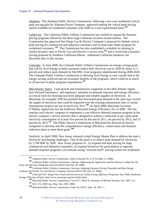*Alabama*: The Alabama Public Service Commission, following a two-year residential critical peak pricing pilot by Alabama Power Company, approved making the critical peak pricing option available for residential customers with AMI on a non-experimental basis.**<sup>102</sup>**

*California*: The California Public Utilities Commission has worked to expand the dynamic pricing programs offered by the three large California investor-owned utilities. The Commission has approved San Diego Gas & Electric Company's proposal for default critical peak pricing for commercial and industrial customers and its peak-time rebate program for residential customers.**<sup>103</sup>** The Commission has also established a schedule for phasing in similar dynamic rates in Pacific Gas and Electric's service area,**<sup>104</sup>** and is reviewing a dynamic pricing proposal by Southern California Edison. Additional California initiatives are discussed later in this section.

*Colorado*: In June 2008, the Colorado Public Utilities Commission set energy savings goals that call for Xcel Energy to help customers reduce their electricity use in 2020 by about 11.5 percent and reduce peak demand by 944 MW, from programs implemented during 2009-2020. The Colorado Public Utilities Commission is allowing Xcel Energy to earn a profit tied to the energy savings achieved and net economic benefits of the programs, which could be as much as 20 percent of utility program expenditures.**<sup>105</sup>**

*Mid-Atlantic States*: Load growth and transmission congestion in the Mid-Atlantic region have focused lawmakers' and regulators' attention on demand response and energy efficiency as critical tools for ensuring near-term adequate and reliable supplies of electricity. In Maryland, for example, PJM has testified that forecasted peak demand in the state may exceed the supply of electricity that could be imported over the existing transmission lines if certain transmission projects are not in service by 2011.**<sup>106</sup>** In April 2008, Maryland Governor O'Malley signed into law the EmPower Maryland Energy Efficiency Act of 2008. The law requires each electric company to implement a cost-effective demand response program in the electric company's service territory that is designed to achieve a reduction in per capita peak electricity consumption of at least five percent by the end of 2011, ten percent by 2013, and 15 percent by 2015.**<sup>107</sup>** The Public Service Commission of Maryland has directed all electric companies to develop and file comprehensive energy efficiency, conservation and demand reduction plans to meet these goals.**<sup>108</sup>**

Similarly, in April 2008, New Jersey released a draft Energy Master Plan to address the state's electricity and heating challenges. One of the goals is to reduce peak demand for electricity by 5,700 MW by 2020. New Jersey proposes to: (1) expand real-time pricing for large commercial and industrial customers; (2) expand incentives for participation in regional demand response programs; (3) evaluate strong "inverted tariff" pricing system for residential

**<sup>102</sup>** Alabama Public Service Commission, Order in Docket No. U-4732 (May 13, 2008).

**<sup>103</sup>** California Public Utilities Commission, Opinion Addressing the Application and the Motion to Adopt the All Party and All Issue Settlement, Decision 08-02-034 (Feb. 28, 2008).

**<sup>104</sup>** California Public Utilities Commission, Decision Adopting Dynamic Pricing Timetable and Rate Design Guidance for Pacific Gas and Electric Company, Decision 08-07-045 (July 31, 2008).

**<sup>105</sup>** *Colorado PUC Adopts New Goals and Incentives for Utility Energy Efficiency Programs*, June 2008, Southwest Energy Efficiency Project, http://www.swenergy.org/news/index.html.

<sup>106</sup> Maryland Public Service Commission, Case 9117, Phase II, testimony of Michael Kormos, Oct. 2007, 3-4.

**<sup>107</sup>** H.B. 374, 2008 Leg., Reg. Sess. (Md. 2008).

**<sup>108</sup>** Maryland Public Service Commission, Order No. 81637, Sept. 28, 2007, 1.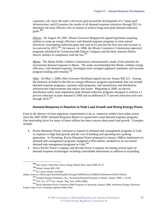customers; (4) move the state's electricity grid toward the development of a "smart grid" infrastructure; and (5) monitor the results of all demand response initiatives through 2011 to determine the most effective mix of actions to achieve long-term peak demand reduction goals.**<sup>109</sup>**

*Illinois*: On August 28, 2007, Illinois Governor Blagojevich signed legislation requiring utilities to ramp up energy efficiency and demand response programs to meet annual electricity consumption reduction goals that start at 0.2 percent the first year and increase to two percent by 2015.**<sup>110</sup>** On January 14, 2008, the Illinois Commerce Commission approved programs submitted by Commonwealth Edison Company and the three Ameren Illinois electric utilities in compliance with the law.**<sup>111</sup>**

*Maine*: The Maine Public Utilities Commission commissioned a study of the potential for incremental demand response in Maine. The study recommended that Maine combine energy efficiency with demand response, investigate more stringent appliance standards, and increase program funding and certainty.**<sup>112</sup>**

*Ohio*: On May 1, 2008, Ohio Governor Strickland signed into law Senate Bill 221. Among the elements included in the bill are energy-efficiency program requirements that can include demand response programs, customer-sited programs, and transmission and distribution infrastructure improvements that reduce line losses. Beginning in 2009, an electric distribution utility must implement peak demand reduction programs designed to achieve a 1 percent reduction in peak demand in 2009 and an additional 0.75 percent reduction each year through 2018.**<sup>113</sup>**

#### **Demand Response in Reaction to Peak Load Growth and Rising Energy Prices**

Even in the absence of state regulatory requirements to do so, numerous utilities have taken action since the 2007 FERC Demand Response Report to expand their retail demand response programs. One motivating factor for many of these utilities has been concern about peak load growth. Examples include:

- Rocky Mountain Power continues to expand its demand-side management programs in Utah in response to high load growth and the cost of building and operating new peaking generation. In Wyoming, Rocky Mountain Power proposed in January 2008 to implement six demand-side management programs, budgeted at \$34 million, modeled on its successful demand-side management programs in Utah.**<sup>114</sup>**
- Sierra Pacific Power Company and Nevada Power Company are testing several types of demand response technologies including controllable thermostats in addition to expanding

**<sup>109</sup>** New Jersey, Draft New Jersey Energy Master Plan, April 2008, 56-57.

**<sup>110</sup>** Illinois Senate Bill 1592.

**<sup>111</sup>** ICC press release, *available* 

*at*http://www.icc.illinois.gov/downloads/public/Energy%20Efficiency%20Plan%20release1%202-6-08.doc.

**<sup>112</sup>** Synapse Energy Economics, Inc., Increasing Demand Response in Maine, January 2008, 1, 26-30.

**<sup>113</sup>** S.B. 221, 127<sup>th</sup> Gen. Assem., Reg. Sess. (Ohio 2008).

**<sup>114</sup>** *Rocky Mountain Power Proposes DSM Programs in Wyoming*, January 2008, Southwest Energy Efficiency Project, http://www.swenergy.org/news/index.html.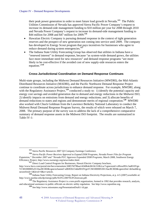their peak power generation in order to meet future load growth in Nevada.**<sup>115</sup>** The Public Utilities Commission of Nevada has approved Sierra Pacific Power Company's request to increase its demand-side management funding to \$10 million per year for 2008 through 2010 and Nevada Power Company's request to increase its demand-side management funding to \$44 million for 2008 and \$47 million for 2009.**<sup>116</sup>**

- Hawaiian Electric Company is pursuing demand response in the context of tight generation reserves and the prospect of new generation not coming into service until 2009. The company has developed its Energy Scout program that pays incentives for businesses who agree to reduce demand during system emergencies.**<sup>117</sup>**
- The Indiana State Utility Forecasting Group has observed that utilities in Indiana have a "renewed interest" in demand response, because "as system-wide demand grows, the utilities face more immediate need for new resources" and demand response programs "are more likely to be cost-effective if the avoided cost of new supply-side resources enters the equation."**<sup>118</sup>**

## **Cross-Jurisdictional Coordination on Demand Response Continues**

Multi-state groups, including the Midwest Demand Resources Initiative (MWDRI), the Mid-Atlantic Distributed Resources Initiative (MADRI), and the Pacific Northwest Demand Response Project continue to coordinate across jurisdictions to enhance demand response. For example, MWDRI, along with the Regulatory Assistance Project,<sup>119</sup> conducted a study to: 1) identify the potential capacity and energy cost savings and avoided generation due to demand and energy reductions in the Midwest ISO; 2) identify impacts on emissions from demand and energy reductions; and 3) allocate benefits of demand reductions to states and regions and demonstrate merits of regional cooperation.**<sup>120</sup>** MWDRI also worked with Chuck Goldman from the Lawrence Berkeley National Laboratory to conduct the Midwest Retail Demand Response Program Survey, the results of which were released on March 7, 2008. The primary purpose of the survey was to address the lack of a comprehensive comparative summary of demand response assets in the Midwest ISO footprint. The results are summarized in Table IV-1:

**<sup>115</sup>** Sierra Pacific Resources 2007 Q3 Company Earnings Conference.

**<sup>116</sup>** *Sierra Pacific Power Receives Approval to Expand DSM Programs, Nevada Power Files for Program Expansion," December 2007 and "Nevada PUC Approves Expanded DSM Programs*, March 2008, Southwest Energy Efficiency Project, http://www.swenergy.org/news/index.html.

**<sup>117</sup>** Direct Load Control Program for Businesses, Hawaii Electric Company brochure, http://www.heco.com/portal/site/heco/menuitem.508576f78baa14340b4c0610c510b1ca/?vgnextoid=cd9cea991c3ad010Vgn VCM1000005c011bacRCRD&vgnextchannel=a0b9f2b154da9010VgnVCM10000053011bacRCRD&vgnextfmt=default&vg nextrefresh=1&level=0&ct=article.

**<sup>118</sup>** Indiana State Utility Forecasting Group, Report on Indiana Electricity Projections, at p. 4-5 (2007) *available at:* http://www.purdue.edu/dp/energy/pdfs/SUFG/2007SUFGforecast.pdf.

**<sup>119</sup>** The Regulatory Assistance Project is a non-profit organization, formed in 1992 that provides research, analysis, and educational assistance to public officials on electric utility regulation. See http://www.raponline.org.

**<sup>120</sup>** See http://www.misostates.org/PresentationDraft1-1d.ppt.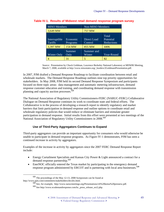|                          | <b>MISO Members</b>  |                        | Non-MISO Members                 |  |
|--------------------------|----------------------|------------------------|----------------------------------|--|
| 3,649 MW                 |                      | <b>757 MW</b>          |                                  |  |
| Interruptible<br>Tariffs | Economic<br>Programs | Direct Load<br>Control | Total<br>Potential<br>Reductions |  |
| 3,397 MW                 | 154 MW               | <b>855 MW</b>          | 4406                             |  |
| <b>Winter Only</b>       | Summer<br>Only       | Summer and<br>Winter   | Year-Round                       |  |
|                          | 31                   | 5                      | 82                               |  |

#### **Table IV-1. Results of Midwest retail demand response program survey**

 Source: Presentation by Chuck Goldman, Lawrence Berkeley National Laboratory at MDWRI Meeting, March 7, 2008, available at http://www.misostates.org/\_borders/2GoldmaniPresentation.pdf.

In 2007, PJM drafted a Demand Response Roadmap to facilitate coordination between retail and wholesale markets. The Demand Response Roadmap outlines nine top priority opportunities for stakeholders. In May 2008, PJM held its second Demand Response Symposium and participants focused on three topic areas: data management and automatic metering infrastructure, demand response customer education and training, and coordinating demand response with transmission planning and capacity auction processes.**<sup>121</sup>**

The National Association of Regulatory Utility Commissioners-FERC (NARUC-FERC) Collaborative Dialogue on Demand Response continues its work to coordinate state and federal efforts. The Collaborative is in the process of developing a research report to identify regulatory and market barriers that limit participation in demand response and outline options to coordinate retail and wholesale regulatory policies that would reduce or eliminate barriers and stimulate greater participation in demand response. Initial results from this effort were presented at two meetings of the National Association of Regulatory Utility Commissioners in 2008.**<sup>122</sup>**

## **Use of Third-Party Aggregators Continues to Expand**

Third-party aggregators can provide an important opportunity for consumers who would otherwise be unable to participate in demand response programs. As Figure IV-1 demonstrates, PJM has seen a continued increase in activity by aggregators.

Examples of the increase in activity by aggregators since the 2007 FERC Demand Response Report include:

- Energy Curtailment Specialists and Kansas City Power & Light announced a contract for a demand response partnership.**<sup>123</sup>**
- EnerNOC officially entered the Texas market by participating in the emergency demand response program administered by ERCOT and is partnering with local area businesses.**<sup>124</sup>**

**<sup>121</sup>** The proceedings of the May 12-13, 2008 Symposium can be found at http://www.pjm.com/committees/stakeholders/drs/drs.html.

**<sup>122</sup>** See, for example, http://www.narucmeetings.org/Presentations/v6%20kema%20presnew.pdf.

**<sup>123</sup>** See http://www.ecsdemandresponse.com/kc\_press\_release\_oct2.php.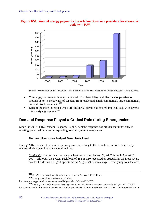



Source: Presentation by Susan Covino, PJM at National Town Hall Meeting on Demand Response, June 3, 2008.

- Comverge, Inc. entered into a contract with Southern Maryland Electric Cooperative to provide up to 75 megawatts of capacity from residential, small commercial, large commercial, and industrial consumers.**<sup>125</sup>**
- Each of the three investor-owned utilities in California has entered into contracts with several third-party aggregators.**<sup>126</sup>**

# **Demand Response Played a Critical Role during Emergencies**

Since the 2007 FERC Demand Response Report, demand response has proven useful not only in meeting peak load but also in responding to other system emergencies.

## **Demand Response Helped Meet Peak Load**

During 2007, the use of demand response proved necessary to the reliable operation of electricity markets during peak hours in several regions.

*California*: California experienced a heat wave from August 29, 2007 through August 31, 2007. Although the system peak load of 48,515 MW occurred on August 31, the most severe day for California ISO grid operators was August 29, when a stage 1 emergency was declared

**<sup>124</sup>** EnerNOC press release, http://www.enernoc.com/press/pr\_080313.htm.

**<sup>125</sup>** Energy Central news release, April 2008

http://www.energycentral.com/centers/news/daily/article.cfm?aid=10152933.

**<sup>126</sup>** See, *e.g.*, *EnergyConnect receives approval to provide demand response services to SCE,* March 24, 2008, http://www.datamonitor.com/industries/news/article/?pid=4E28F3EC-CE45-4439-B24A-8C7C59F23D04&type=NewsWire.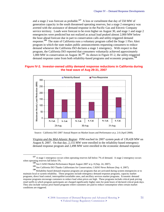and a stage 2 was forecast as probable.**<sup>127</sup>** A loss or curtailment that day of 550 MW of generation capacity in the south threatened operating reserves, but a stage 2 emergency was averted with the assistance of demand response in the Pacific Gas and Electric Company service territory. Loads were forecast to be even higher on August 30, and stage 1 and stage 2 emergencies were predicted but not realized as actual load peaked almost 2,000 MW below the hour-ahead forecast due in part to conservation calls and utility-triggered demand response.**<sup>128</sup>** The state of California runs a voluntary program called the Stage 1 Flex Alert program in which the state makes public announcements requesting consumers to reduce demand whenever the California ISO declares a stage 1 emergency. With respect to that program, the California ISO reported that consumers voluntarily achieved approximately 1,000 MW in conservation on August 30.**<sup>129</sup>** As shown in Figure IV-2, the utility-triggered demand response came from both reliability-based programs and economic programs.**<sup>130</sup>**

#### **Figure IV-2. Investor-owned utility demand response reductions in California during the heat wave of Aug 29-31, 2007**





*Virginia and the Mid-Atlantic Region*: PJM reached its 2007 system peak of 139,428 MW on August 8, 2007. On that day, 2,155 MW were enrolled in the reliability-based emergency demand response program and 2,498 MW were enrolled in the economic demand response

**<sup>127</sup>** A stage 1 emergency occurs when operating reserves fall below 7% of demand. A stage 2 emergency occurs when operating reserves fall below 5%.

**<sup>128</sup>** See CAISO Market Performance Report August 2007 at p. 8 (Sep. 24, 2007).

<sup>129</sup> See California ISO Thanks Californians for Conservation, CAISO News Release (Sep. 4, 2007).

**<sup>130</sup>** Reliability-based demand response programs are programs that are activated during system emergencies or to maintain local or system reliability. These programs include emergency demand response programs, capacity market programs, direct load control, interruptible/curtailable rates, and ancillary services market programs. Economic demand response programs encourage customers to reduce load when prices are high. These programs include critical peak pricing retail tariffs in which program participants are charged significantly higher rates for peak hours of declared critical peak days. They also include various price-based programs where customers are paid to reduce consumption when certain market conditions are triggered.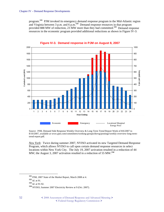program.**<sup>131</sup>** PJM invoked its emergency demand response program in the Mid-Atlantic region and Virginia between 3 p.m. and 6 p.m.**<sup>132</sup>** Demand response resources in that program provided 888 MW of reduction, 23 MW more than they had committed.**<sup>133</sup>** Demand response resources in the economic program provided additional reductions as shown in Figure IV-3:



**Figure IV-3. Demand response in PJM on August 8, 2007** 

Source: PJM, Demand Side Response Weekly Overview & Long Term Trend Report Week of 8/6/2007 to 8/10/2007, available at www.pjm.com/committees/working-groups/dsrwg/postings/weekly-overview-long-termtrend-report.pdf.

*New York*: Twice during summer 2007, NYISO activated its new Targeted Demand Response Program, which allows NYISO to call upon certain demand response resources in select locations within New York City. The July 19, 2007 activation resulted in a reduction of 44 MW; the August 3, 2007 activation resulted in a reduction of 55 MW.**<sup>134</sup>**

**<sup>131</sup>** PJM, 2007 State of the Market Report, March 2008 at 4.

**<sup>132</sup>** *Id*. at 91.

 $133$  *Id.* at 91-92.

**<sup>134</sup>** NYISO, Summer 2007 Electricity Review at 9 (Oct. 2007).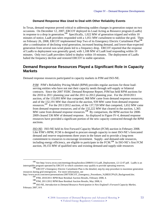#### **Demand Response Was Used to Deal with Other Reliability Events**

In Texas, demand response proved critical to addressing sudden changes in generation output on two occasions. On December 12, 2007, ERCOT deployed its Load Acting as Resource program (LaaRs) in response to a drop in generation.**<sup>135</sup>** Specifically, 1,022 MW of generation tripped and within 10 minutes of notice, LaaR providers responded with a 1,051 MW curtailment to stabilize the grid. Then on February 26, 2008, ERCOT implemented Step Two of its Emergency Electric Curtailment Plan**<sup>136</sup>** after a combination of declining wind generation, increased heating demand, and lower-than-expected generation from several non-wind plants led to a frequency drop. ERCOT reported that the response of LaaRs to deployment was generally good, with 1,108 MW of LaaR load responding within 10 minutes. Only two LaaR providers failed to deploy within 10 minutes. The deployment of LaaRs halted the frequency decline and restored ERCOT to stable operation.

## **Demand Response Resources Played a Significant Role in Capacity Markets**

Demand response resources participated in capacity markets in PJM and ISO-NE.

*PJM*: PJM's Reliability Pricing Model (RPM) provides regular auctions for those loadserving entities who have not met their capacity needs through self-supply or bilateral contracts. Since the 2007 FERC Demand Response Report, PJM has held RPM auctions for the 2010 to 2011 planning year and the 2011 to 2012 planning year. For the 2010/2011 auction, of the 133,093 MW that competed, 968 MW came from demand response resources; and of the 132,191 MW that cleared in the auction, 939 MW came from demand response resources.**<sup>137</sup>** For the 2011/2012 auction, of the 137,720 MW that competed, 1,652 MW came from demand response resources; and of the 132,222 MW that cleared in the auction, 1,365 MW came from demand response resources.<sup>138</sup> By comparison, the RPM auction for 2008-2009 cleared 536 MW of demand response. As displayed in Figure IV-4, demand response resources have provided a significant portion of the new capacity contracted through the RPM auctions.

*ISO-NE*: ISO-NE held its first Forward Capacity Market (FCM) auction in February 2008. Like PJM's RPM, FCM is designed to procure enough capacity to meet ISO-NE's forecasted demand and reserve requirements three years in the future and to provide a long-term commitment to resources to encourage investment. Supply- and demand-side resources, including energy efficiency, are eligible to participate in the FCM.**<sup>139</sup>** In ISO-NE's first FCM auction, 39,155 MW of qualified new and existing demand-and supply-side resources

**<sup>135</sup>** See http://www.ercot.com/meetings/dswg/keydocs/2008/0111/LaaR\_Deployment\_12-12-07.pdf. LaaRs is an interruptible program operated by ERCOT in which customers may qualify to provide operating reserves.

**<sup>136</sup>** ERCOT's Emergency Electric Curtailment Plan is the detailed, step-by-step procedure to maximize generation resources during grid emergencies. For more information, see

http://www.ercot.com/news/presentations/2007/ERCOT\_Emergency\_Procedures\_%28EECP%29\_Background.doc.

**<sup>137</sup>** PJM, 2010/2011 RPM Base Residual Auction Results, February 2008, 4.

**<sup>138</sup>** PJM, 2011/2012 RPM Base Residual Auction Results, May 2008, 6.

**<sup>139</sup>** ISO-NE, *Introduction to Demand Resource Participation in New England's Forward Capacity Market*, February 2007, 8-9.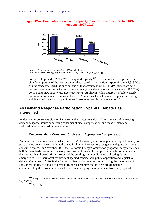## **Figure IV-4. Cumulative increase in capacity resources over the first five RPM auctions (2007-2011)**



Source: Presentation by Andrew Ott, PJM, available at http://www.narucmeetings.org/Presentations/OTT\_MACRUC\_June\_2008.ppt.

competed to provide 32,305 MW of required capacity.**<sup>140</sup>** Demand resources represented a significant portion of the new resources that cleared in the auction. Approximately 1,813 MW of new capacity cleared the auction, and of that amount, about 1,188 MW came from new demand resources. In fact, almost twice as many new demand resources cleared (1,188 MW) compared to new supply resources (626 MW). As shown within Figure IV-5 below, nearly half of all new demand resources cleared in Massachusetts and demand response and energy efficiency led the way in type of demand resources that cleared the auction.**<sup>141</sup>**

## **As Demand Response Participation Expands, Debate Has Intensified**

As demand response participation increases and as states consider additional means of increasing demand response, issues concerning consumer choice, compensation, and measurement and verification have received more attention.

## **Concerns about Consumer Choice and Appropriate Compensation**

Automated demand response, in which end users' electrical systems or appliances respond directly to price or emergency signals without the need for human intervention, has generated questions about consumer choice. In November 2007, the California Energy Commission proposed energy efficiency building standards that would have required new buildings to install programmable communicating thermostats that allowed utilities to control the building's air conditioning or heating during emergencies. The thermostat requirement sparked considerable public opposition and legislative debate. On January 15, 2008, the California Energy Commission, emphasizing the importance of consumers' ability to opt out of demand response programs that involve programmable communicating thermostat, announced that it was dropping the requirement from the proposed

**<sup>140</sup>** Henry Yoshimura, *Demand Resource Results and Implications of the First Forward Capacity Market Auction*, May 2008, 3.

**<sup>141</sup>** *Id.* at 4-5, 11.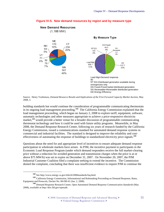

#### **Figure IV-5. New demand resources by region and by measure type**

Source: Henry Yoshimura, *Demand Resource Results and Implications of the First Forward Capacity Market Auction*, May 2008, 3.

building standards but would continue the consideration of programmable communicating thermostats in its ongoing load management proceeding.<sup>142</sup> The California Energy Commission explained that the load management proceeding, which began on January 2, 2008 to explore tariff, equipment, software, automatic technologies and other measures appropriate to achieve a price-responsive electricity market,**<sup>143</sup>** would provide a better venue for a broader discussion of programmable communicating thermostat technology and how it could be used with future utility programs. Meanwhile, in May 2008, the Demand Response Research Center, following six years of research funded by the California Energy Commission, issued a communications standard for automated demand response systems in commercial and industrial facilities. The standard is designed to improve the reliability and costeffectiveness of automating the response of buildings to standardized electricity price signals.**<sup>144</sup>**

Questions about the need for and appropriate level of incentives to ensure adequate demand response participation in wholesale markets have arisen. In PJM, the incentive payment to participants in the Economic Load Response Program (under which demand responders receive the full market-clearing price without a reduction for avoided generation and transmission charges when the price is at or above \$75 MW/h) was set to expire on December 31, 2007. On November 20, 2007, the PJM Industrial Customer Coalition filed a complaint seeking to extend the incentive. The Commission denied the complaint, concluding that there was insufficient evidence to require PJM to continue the

**<sup>142</sup>** See http://www.energy.ca.gov/title24/2008standards/faq.html.

**<sup>143</sup>** California Energy Commission, Informational and Rulemaking Proceeding on Demand Response, Rates, Equipment and Protocols, Docket No. 08-DR-01 (Jan. 2, 2008).

**<sup>144</sup>** Demand Response Research Center, *Open Automated Demand Response Communication Standards* (May 2008), *available at* http://drrc.lbl.gov/openadr.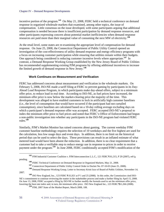incentive portion of the program.**<sup>145</sup>** On May 21, 2008, FERC held a technical conference on demand response in organized wholesale markets that examined, among other topics, the issue of compensation. Little consensus on the issue developed, with some participants arguing that additional compensation is needed because there is insufficient participation by demand response resources, and other participants expressing concern about potential market inefficiencies when demand response resources are paid more than their marginal value of consuming the next MW of electricity.**<sup>146</sup>**

At the retail level, some states are re-examining the appropriate level of compensation for demand response. On June 25, 2008, the Connecticut Department of Public Utility Control opened an investigation of the cost-effectiveness of utility demand response and energy efficiency programs with a focus on increasing customer participation while ensuring that utilities remain within their budgets. One approach being considered is reducing customer incentive levels where appropriate.**<sup>147</sup>** In contrast, a Demand Response Working Group established by the New Jersey Board of Public Utilities has recommended supplementing existing PJM programs by offering additional incentives to increase the limited growth of demand response in New Jersey.**<sup>148</sup>**

## **Work Continues on Measurement and Verification**

FERC has addressed concerns about measurement and verification in the wholesale markets. On February 5, 2008, ISO-NE made a tariff filing at FERC to prevent gaming by participants in its Day-Ahead Load Response Program, in which participants make day-ahead offers, subject to a minimum offer price, to reduce load in real time. According to ISO-NE, as fuel prices have increased, the minimum offer price is now below the market-clearing price the majority of the time. This development was alleged to have enabled customers to lock in artificially high customer baselines (*i.e.*, the level of consumption that would have occurred if the participant had not curtailed consumption), since baselines are calculated based on a 10-day rolling average excluding days on which a participant's demand response offer was accepted. FERC accepted ISO-NE's proposal to index the minimum offer price to fuel prices and noted that FERC's Office of Enforcement had begun a non-public investigation into whether any participants in the ISO-NE program had violated FERC rules.**<sup>149</sup>**

Similarly, PJM's Market Monitor has raised concerns about gaming. The current weekday PJM customer baseline methodology requires the selection of 10 weekdays and the five highest are used for the calculation, less low usage days and event days. In addition, there is no limit on the historical period that can be used to select the days. These provisions can result in an inflated estimate of what metered load would have been absent the reduction. In addition, there is no clear requirement that a customer had to take a verifiable step to reduce energy use in response to prices in order to receive payment under the program.<sup>150</sup> In June 2008, FERC conditionally accepted PJM's modification of the

**<sup>145</sup>** PJM Industrial Customer Coalition v. PJM Interconnection L.L.C., 121 FERC ¶ 61,315, P 29 (2007), reh'g pending.

**<sup>146</sup>** FERC Technical Conference on Demand Response in Organized Markets, May 21, 2008.

**<sup>147</sup>** Connecticut Department of Public Utility Control Order in Docket No. 07-10-03 (June 25, 2008).

**<sup>148</sup>** Demand Response Working Group, Letter to Secretary Kristi Izzo of Board of Public Utilities, November 14, 2007.

**<sup>149</sup>** ISO New England, Inc., 123 FERC ¶ 61,021 at P 1 and 25 (2008). In this order, the Commission cited ISO-NE's commitment to continue reviewing the matter in the stakeholder process and make a further filing by April 15, 2008. On June 13, 2008, FERC accepted a filing by ISO-NE to further modify the formula used to set the minimum offer price, lowering the heat rate index and, in turn, the minimum offer price. ISO New England Inc., 123 FERC ¶61,266 (2008).

**<sup>150</sup>** PJM, 2007 State of the Market Report, March 2008, 108.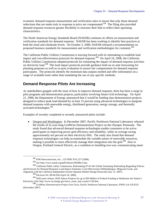economic demand response measurement and verification rules to ensure that only those demand reductions that are made truly in response to price are compensated.**<sup>151</sup>** The filing also provided demand response resources greater flexibility to structure their bids to reflect their operating characteristics.

The North American Energy Standards Board (NAESB) continues its efforts on measurement and verification standards for demand response. NAESB has been working to identify best practices at both the retail and wholesale levels. On October 3, 2008, NAESB released a recommendation on proposed business standards for measurement and verification methodologies for comment.**<sup>152</sup>**

The California Public Utilities Commission is moving forward with its rulemaking to establish load impact and cost-effectiveness protocols for demand response.**<sup>153</sup>** On April 24, 2008, the California Public Utilities Commission adopted protocols for estimating the impact of demand response activities on electricity load.**<sup>154</sup>** The load impact protocols provide guidance both on ex-ante forecasting for planning purposes as well as ex-post evaluation to ensure fair compensation for demand response participants. The protocols identify the minimum data outputs needed and offer information on a range of available tools rather than mandating the use of any specific methods.

## **Demand Response Pilots Are Increasing**

As stakeholders grapple with the issue of how to improve demand response, there has been a surge in pilot programs and demonstration projects, particularly involving Smart Grid technology. On April 21, 2008, the Department of Energy announced that it would be funding nine demonstration projects designed to reduce peak load demand by at least 15 percent using advanced technologies to integrate demand response with renewable energy, distributed generation, energy storage, and thermally activated technologies.**<sup>155</sup>**

Examples of recently completed or recently announced pilots include:

• *Oregon and Washington*: In December 2007, Pacific Northwest National Laboratory released the results of its year-long GridWise Demonstration Project on the Olympic Peninsula. The study found that advanced demand response technologies enable consumers to be active participants in improving power grid efficiency and reliability, while on average saving approximately ten percent on their electricity bills. The study also found that demand response technologies can help accommodate the variable nature of renewable resources, making it possible to more effectively manage their integration into the grid.**<sup>156</sup>** Also in Oregon, Portland General Electric, as a condition to installing two-way communicating smart

**<sup>151</sup>** PJM Interconnection, Inc., 123 FERC ¶ 61,257 (2008).

**<sup>152</sup>** See http://www.naesb.org/pdf3/dsmee100308w5.doc.

**<sup>153</sup>** California Public utility Commission, Rulemaking 07-01-041 (Order Instituting Rulemaking Regarding Policies and Protocols for Demand Response Load Impact Estimates, Cost-Effectiveness Methodologies, Megawatt Goals, and Alignment with the California Independent System Operator Market Design Protocols) (Jan. 31. 2007).

**<sup>154</sup>** Decision No. 08-04-050 (April 24, 2008).

**<sup>155</sup>** DOE press release, DOE Selects Projects for up to \$50 Million of Federal Funding to Modernize the Nation's Electricity Grid, http://www.oe.energy.gov/news\_room\_and\_events/1120.htm.

**<sup>156</sup>** *GridWise Demonstration Project Fast Facts*, Pacific Northwest National Laboratory, PNNL-SA-XXXXX (December 2007).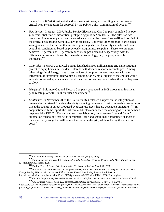meters for its 805,000 residential and business customers, will be filing an experimental critical peak pricing tariff for approval by the Public Utility Commission of Oregon.**<sup>157</sup>**

- *New Jersey*: In August 2007, Public Service Electric and Gas Company completed its twoyear residential time-of-use/critical peak pricing pilot in New Jersey. The pilot had two programs. Under one, participants were educated about the time-of-use tariff and notified of the critical peak pricing event on a day-ahead basis. Under the other program, participants were given a free thermostat that received price signals from the utility and adjusted their central air conditioning based on previously programmed set points. These two programs achieved 12 percent and 18 percent reductions in peak demand, respectively, with the difference in results explained by the enabling technology, *i.e.*, the programmable thermostat.**<sup>158</sup>**
- *Colorado*: In March 2008, Xcel Energy launched a \$100 million smart grid demonstration project to equip homes in Boulder, Colorado with demand response technologies. Among other things, Xcel Energy plans to test the idea of coupling demand response with the integration of intermittent renewables by sending, for example, signals to meters that would activate household appliances such as dishwashers or heating panels when the wind happens to blow.**<sup>159</sup>**
- *Maryland*: Baltimore Gas and Electric Company conducted in 2008 a four-month critical peak rebate pilot with 1,000 Maryland customers.**<sup>160</sup>**
- *California*: In November 2007, the California ISO released a report on the integration of renewables that stated, "pairing electricity-reducing programs . . . with renewable power helps offset the swings in output produced by green resources that are dependent on nature."**<sup>161</sup>** In conjunction with the report, the California ISO also announced the opening of its new demand response lab - DR365. The demand response laboratory demonstrates "set and forget" automation technology that helps consumers, large and small, make predefined changes to their electricity usage that will reduce the strain on the grid, while reducing the strain on costs.**<sup>162</sup>**

**<sup>157</sup>** Oregon Public Utility Commission, Order No. 08-245 (May 5, 2008).

**<sup>158</sup>** Faruqui, Ahmad and Wood, Lisa, *Quantifying the Benefits of Dynamic Pricing in the Mass Market*, Edison Electric Institute, January 2008.

**<sup>159</sup>** Fairley, Peter, *A Power Grid Smartens Up*, Technology Review, March 20, 2008.

**<sup>160</sup>** Baltimore Gas and Electric Company press release, *Baltimore Gas and Electric Company Conducts Smart Energy Pricing Pilot to Help Customers Shift or Reduce Electric Use during Summer Peak Periods*,

http://ir.constellation.com/phoenix.zhtml?c=112182&p=irol-newsBGEArticle&ID=1166382&highlight=.

**<sup>161</sup>** CAISO, *Integration of Renewable Resources*, Nov. 2007, http://www.caiso.com/1c51/1c51c7946a480.html.

**<sup>162</sup>** CAISO press release, *eGrid Technologies Help Achieve Environmental Goals*, Dec. 3, 2007,

http://search.caiso.com/search?q=cache:n5gBuaSyWPAJ:www.caiso.com/1ca9/1ca98d4d13d10.pdf+DR365&access=p&out put=xml\_no\_dtd&ie=UTF-8&client=caiso\_frontend&site=default\_collection&proxystylesheet=caiso\_frontend&oe=UTF-8.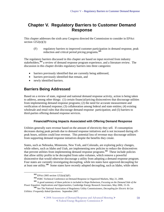# **Chapter V. Regulatory Barriers to Customer Demand Response**

This chapter addresses the sixth area Congress directed the Commission to consider in EPAct section 1252(e)(3):

(F) regulatory barriers to improved customer participation in demand response, peak reduction and critical period pricing programs*.* **163**

The regulatory barriers discussed in this chapter are based on input received from industry stakeholders,**<sup>164</sup>** a review of demand response program experience, and a literature review. The discussion in this chapter divides regulatory barriers into three categories:

- barriers previously identified that are currently being addressed,
- barriers previously identified that remain, and
- newly identified barriers.

## **Barriers Being Addressed**

Based on a review of state, regional and national demand response activity, action is being taken to address, among other things: (1) certain financial/pricing disincentives that discourage utilities from implementing demand response programs; (2) the need for accurate measurement and verification of demand response; (3) collaboration among federal and state entities; (4) existing wholesale and retail rules that discourage demand response participation; and (5) barriers to third-parties offering demand response services.

#### **Financial/Pricing Impacts Associated with Offering Demand Response**

Utilities generally earn revenue based on the amount of electricity they sell. If consumption decreases during peak periods due to demand response initiatives and is not increased during offpeak hours, utilities could lose revenue. This potential loss of revenue may discourage utilities from supporting demand response initiatives despite the benefits they create.

States, such as Nebraska, Minnesota, New York, and Colorado, are exploring policy changes, while others, such as Idaho and Utah, are implementing new policies to reduce the disincentives that prevent utilities from implementing demand response programs.**<sup>165</sup>** These include policies that allow utility profits to be decoupled from sales volumes, which remove a powerful disincentive that would otherwise discourage a utility from adopting a demand response program. Four states are currently investigating decoupling, while ten states have approved decoupling for at least one utility.**<sup>166</sup>** Some states have recently adopted decoupling, such as Idaho, while others

**<sup>163</sup>** EPAct 2005 section 1252(e)(3)(F).

**<sup>164</sup>** FERC Technical Conference on Demand Response in Organized Markets, May 21, 2008.

**<sup>165</sup>** A good summary of these policies is included in Hope Robertson, *Focusing on the Demand Side of the Power Equation: Implications and Opportunities*, Cambridge Energy Research Associates, May 2006, 15-16.

**<sup>166</sup>** See The National Association of Regulatory Utility Commissioners, *Decoupling for Electric & Gas Utilities: Frequently Asked Questions.* September 2007.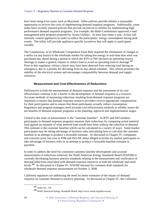have been using it for years, such as Maryland. Other policies provide utilities a reasonable opportunity to recover the costs of implementing demand response programs. Additionally, some states have recently enacted policies that provide incentives to utilities for implementing high performance demand response programs. For example, the Idaho Commission approved a load management pilot program proposed by Avista Utilities. At least four times a year, Avista will remotely control appliances in order to reduce the participants' energy consumption during peak events. The utility will provide appliance-specific incentives that will apply to participants variably.

The Commission, in its Wholesale Competition Final Rule required the elimination of charges to a utility (or any buyer) in the wholesale market for taking less energy in real-time than what was purchased day-ahead during a period in which the RTO or ISO declares an operating reserve shortage or makes a generic request to reduce load to avoid an operating reserve shortage.**<sup>167</sup>** Prior to this regulatory reform a buyer may have been deterred from reducing load during an emergency, due to a penalty for deviating from its day-ahead schedule. This reform promotes the stability of the electrical system and encourages comparability between demand and supply resources.

### **Measurement and Cost-Effectiveness of Reductions**

Deficiencies in both the measurement of demand response and the assessment of its costeffectiveness continue to be a barrier to the development of demand response as a resource. Accurate methods of measuring reductions resulting from demand response programs are important to ensure that demand response resource providers receive appropriate compensation for their participation and to ensure that those participants actually reduce consumption. Regulators and program managers need accurate cost-effectiveness methods to reliably assess the net benefits of demand response programs at the planning, approval and implementation stages.

Central to the issue of measurement is the "customer baseline". In RTO and ISO markets, participants in demand response programs measure their reductions by comparing actual metered load against an estimate of what metered load would have been without the reduction in demand. This estimate is the customer baseline which can be calculated in a variety of ways. Some market participants may be taking advantage of business rules articulating how to calculate the customer baseline in an attempt to produce a favorable estimate. As discussed in Chapter IV, complaints and concerns arose last year in PJM and ISO-NE about alleged activities by market participants to take advantage of business rules in an attempt to produce a favorable baseline estimate or payment.

In order to address the need for consistent customer baseline development and accurate measurement of reductions achieved, the North American Energy Standards Board (NAESB) is currently developing business practice standards relating to the measurement and verification of demand reductions associated with demand response resources at both the wholesale and retail levels.**<sup>168</sup>** As discussed in Chapter IV, NAESB released for comment draft standards for wholesale demand response measurement on October 3, 2008.

California regulators are addressing the need for better estimates of the impact of demand response on customer demand in resource planning. As discussed in Chapter IV, the California

**<sup>167</sup>** Order No. 719

**<sup>168</sup>** North American Energy Standards Board, http://www.naesb.org/dsm-ee.asp.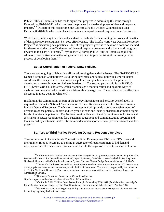Public Utilities Commission has made significant progress in addressing this issue through Rulemaking R07-01-041, which outlines the process for the development of demand response impacts.**<sup>169</sup>** As part of this proceeding, the California Public Utilities Commission issued Decision 08-04-050, which established ex-ante and ex-post demand response impact protocols.

Work is also underway to update and standardize methods for determining the costs and benefits of demand response programs, *i.e*., cost-effectiveness. The Pacific Northwest Demand Response Project<sup>170</sup> is discussing best practices. One of the project's goals is to develop a common method for determining the cost-effectiveness of demand response programs and it has a working group devoted to this particular issue.**<sup>171</sup>** While the California Public Utilities Commission did not address cost-effectiveness methodologies in its demand impact decision, it is currently in the process of developing them.**<sup>172</sup>**

#### **Better Coordination of Federal-State Policies**

There are two ongoing collaborative efforts addressing demand-side issues. The NARUC-FERC Demand Response Collaborative is exploring how state and federal policy makers can better coordinate their respective demand response policies and practices and is in the process of developing a research report on industry barriers.**<sup>173</sup>** The second partnership is the NARUC-FERC Smart Grid Collaborative, which examines grid modernization and possible ways of enabling customers to make real-time decisions about energy use. These collaborative efforts are discussed in more detail in Chapter IV.

In addition, the Commission, as part of the Energy Independent and Security Act of 2007, is required to conduct a National Assessment of Demand Response and create a National Action Plan on Demand Response. The National Assessment will provide a comprehensive report of demand response potential in five and ten-year horizons and identify obstacles that inhibit higher levels of achievable potential. The National Action Plan will identify requirements for technical assistance to states; requirements for a customer education; and communications program and tools needed by customers, states, utilities and demand response service providers to achieve this potential.

## **Barriers to Third Parties Providing Demand Response Services**

The Commission in its Wholesale Competition Final Rule requires RTOs and ISOs to amend their market rules as necessary to permit an aggregator of retail customers to bid demand response on behalf of its retail customers directly into the organized markets, unless the laws or

**<sup>169</sup>** California Public Utilities Commission, Rulemaking 07-01-041 (Order Instituting Rulemaking Regarding Policies and Protocols for Demand Response Load Impact Estimates, Cost-Effectiveness Methodologies, Megawatt Goals and Alignment with California Independent System Operator Market Design Protocols) (January 25, 2007).

**<sup>170</sup>** The Pacific Northwest Demand Response Project is a collaborative process formed in 2007 to encourage the appropriate development of demand response in the Pacific Northwest. The project is supported by four states in the Pacific Northwest, Bonneville Power Administration, consumer-owned utilities and the Northwest Power and Conservation Council.

**<sup>171</sup>** Northwest Power and Conservation Council, available at

http://www.nwcouncil.org/energy/dr/meetings/2007\_05/Default.htm.

**<sup>172</sup>** California Public Utilities Commission, Ruling in Rulemaking 07-01-041 (Administrative Law Judge's Ruling Setting Comment Period on Staff Cost-Effectiveness Framework and Related Issues) (April 4, 2008).

**<sup>173</sup>** National Association of Regulatory Utility Commissioners, an association comprised of commissioners from utility regulatory bodies in each state.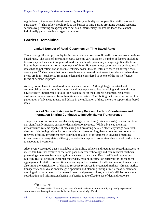regulations of the relevant electric retail regulatory authority do not permit a retail customer to participate.**<sup>174</sup>** This policy should reduce the barrier to third parties providing demand response services by permitting an aggregator to act as an intermediary for smaller loads that cannot individually participate in an organized market.

# **Barriers Remaining**

## **Limited Number of Retail Customers on Time-Based Rates**

There is a significant opportunity for increased demand response if retail customers were on timebased rates. The costs of operating electric systems vary based on a number of factors, including time-of-day and season; in organized markets, wholesale prices may change significantly from hour to hour, or even in shorter increments of time. However, most customers are on fixed retail rates that do not reflect variations in electricity costs. Instead, rates are based on average costs over a year.**<sup>175</sup>** Customers that do not see time-based rates do not lower their demand when these prices are high. Such price-responsive demand is considered to be one of the most effective forms of demand response.

Activity to implement time-based rates has been limited. Although large industrial and commercial customers in a few states have direct exposure to hourly pricing and several states have recently implemented default time-based rates for their largest customers, residential customers remain insulated from these time-based rates. Contributing factors are the current low penetration of advanced meters and delays in the utilization of these meters to support time-based rates.

## **Lack of Sufficient Access to Timely Data and Lack of Coordination and Information Sharing Continues to Impede Market Transparency**

The provision of information on electricity usage in real time (instantaneously) or near real time can significantly increase customer demand responsiveness. While advanced metering infrastructure systems capable of measuring and providing detailed electricity usage data exist, the cost of deploying this technology remains an obstacle. Regulatory policies that govern cost recovery of utility investment may contribute to a lack of investment in advanced metering infrastructure in many states, although, as noted in chapter II, some states have developed policies to encourage investment.

Also, even where good data is available to the utility, policies and regulations regarding access to meter data have not evolved at the same pace as meter technology and data retrieval methods, preventing customers from having timely access to their data. Retail tariffs and regulations typically restrict access to customer meter data, making information retrieval for independent aggregators of retail customers time consuming and expensive. Insufficient market transparency also limits the participation of demand response resources in organized markets. Greater market transparency should also enhance grid operation and planning through timely measurement and tracking of customer electricity demand levels and patterns. Last, a lack of sufficient real-time coordination and information sharing is a barrier to the effective use of demand response

**<sup>174</sup>** Order No. 719

**<sup>175</sup>** As discussed in Chapter III, a variety of time-based rate options that fully or partially expose retail customers to wholesale prices are available, but they are not widely offered.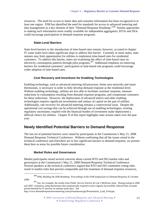resources. The need for access to meter data and customer information has been recognized in at least one region. PJM has identified the need for standards for access to advanced metering and data management as a key element of their "Demand Response Roadmap."**<sup>176</sup>** Similar approaches to making such information more readily available for independent aggregators, RTOs and ISOs could encourage participation in demand response programs.

#### **State-Level Barriers**

State-level barriers to the introduction of time-based rates remain; however, as noted in chapter IV some states have taken significant steps to address this barrier. Currently in some states, state statutes may limit opportunities for utilities to implement time-based rates for residential customers. To address this barrier, states are examining the affect of time-based rates on electricity consumption patterns through pilot programs.**<sup>177</sup>** Additional emphasis on removing barriers for residential customers' participation in time-based rate programs could encourage wider adoption of time-based rates.

#### **Cost Recovery and Incentives for Enabling Technologies**

Enabling technology, such as advanced metering infrastructure, home area networks and smart thermostats, is necessary in order to fully develop demand response at the residential level. Without enabling technology, utilities are less able to facilitate customer response, measure reductions in consumption resulting from demand response programs, and compensate customers for these reductions. However, the deployment of advanced meters and other enabling technologies requires significant investments and outlays of capital on the part of utilities. Additionally, rate recovery for advanced metering remains a controversial issue. Despite the operational cost savings that can be achieved through use of enabling technologies, existing regulatory uncertainty coupled with the financial burden of investment make deployment a difficult choice for utilities. Chapter II of this report highlights state actions taken over the past year.

### **Newly Identified Potential Barriers to Demand Response**

The last set of potential barriers were raised by participants in the Commission's May 21, 2008 Demand Response Technical Conference. Without confirming that all the issues raised in the technical conference and elsewhere are in fact significant barriers to demand response, we present them here as areas for possible future consideration.

#### **Market Rules and Governance**

Market participants raised several concerns about current RTO and ISO market rules and governance at the Commission's May 21, 2008 Demand Response Technical Conference. Several speakers at the technical conference argued that RTO and ISO committee voting rules result in market rules that prevent comparable and fair treatment of demand response resources,

**<sup>176</sup>** PJM, *Building the DSR Roadmap: Proceedings of the PJM Symposium on Demand Response II*, October 2008.

**<sup>177</sup>** See, for example, the results from Public Service Electric & Gas's MyPower pilot. During testing in 2006 and 2007, customers using thermostats that automatically respond to price signals successfully reduced their on-peak period demand by 47 percent on summer peak days. See http://www.demandresponsetownmeeting.com/presentations/ppt/Presentation\_Lynk\_Fred.ppt.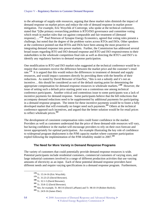to the advantage of supply-side resources, arguing that these market rules diminish the impact of demand response on market prices and reduce the role of demand response in market power mitigation. For example, Eric Woychik of Comverge, who spoke at the technical conference, stated that "[t]he primary overarching problem is RTO/ISO governance and committee voting which result in market rules that cut against comparable and fair treatment of [demand response]…."**<sup>178</sup>** Paul Peterson of Synapse Energy Economics, agreed that voting rules present a challenge, but noted that the degree of the problem varies across RTOs and ISOs. Other speakers at the conference pointed out that RTOs and ISOs have been among the most proactive in integrating demand response into power markets. Further, the Commission has addressed several broad issues regarding RTO and ISO demand response and RTO and ISO responsiveness to their stakeholders in the wholesale competition final rule as well as directing the RTO's and ISO's to identify any regulatory barriers to demand response participation.

One modification to RTO and ISO market rules suggested at the technical conference would be to require that customers receive the difference between the market price and the customer's retail rate.**<sup>179</sup>** It is argued that this would reduce the differences in treatment of demand and supply resources, and would impact customers directly by providing them with the benefits of their reductions. As stated by David Brewster of EnerNoc, "this is not a subsidy and it's not an incentive… this should be considered as sort of the default starting point for determining the appropriate compensation for demand response resources in wholesale markets."**<sup>180</sup>** However, the issue of setting such a default price starting point was a contentious one among technical conference participants. Another critical and contentious issue to some participants was a lack of incentive payments for demand response. Some participants believe that the bill reductions that accompany demand reductions need to be supplemented by additional payments for participating in a demand response program. The intent for these incentive payments would be to foster a fully developed market that will eventually no longer need such payments.**<sup>181</sup>** Others at the technical conference opposed such incentives, and argued that the better solution would be for retail prices to reflect wholesale prices.**<sup>182</sup>**

The development of consistent compensation rules could foster confidence in the market. Providers as well as customers understand that the price of these demand-side resources will vary, but having confidence in the market will encourage providers to rely on their own forecast and invest appropriately for optimal participation. An example illustrating the key role of confidence to widespread program deployment is the PJM capacity market where customer participation tripled following the implementation of the PJM reliability model in 2007.**<sup>183</sup>**

#### **The Need for More Variety in Demand Response Programs**

The variety of customers that could potentially provide demand response resources is wide. Potential participants include residential customers, commercial customers of varying sizes, and large industrial customers involved in a range of different production activities that use varying amounts of electricity as an input. Each of these potential demand response providers have different needs and require varying specifications in a demand response program. Furthermore,

**<sup>178</sup>** Tr. 15:14-16 (Eric Woychik).

**<sup>179</sup>** Tr. 31:23-25 (David Brewster).

**<sup>180</sup>** Tr. 32:1-5 (David Brewster).

**<sup>181</sup>** Tr. 33:8-12 (David Brewster).

**<sup>182</sup>** See, for example, Tr. 80:3-6 (David LaPlante) and Tr. 98:10-19 (Robert Borlick).

**<sup>183</sup>** Tr. 24:9-16 (James Eber).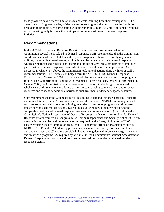these providers have different limitations to and costs resulting from their participation. The development of a greater variety of demand response programs that incorporate the flexibility necessary to promote such participation without compromising the reliability of demand response resources will greatly facilitate the participation of more customers in demand response initiatives.

## **Recommendations**

In the 2006 FERC Demand Response Report, Commission staff recommended to the Commission several items related to demand response. Staff recommended that the Commission coordinate wholesale and retail demand response programs with state electricity regulators, utilities, and other interested parties; explore how to better accommodate demand response in wholesale markets; and consider approaches to eliminating any regulatory barriers to improved participation in demand response, peak reduction and critical peak pricing programs. As discussed in Chapter IV above, the Commission took several actions along the lines of staff's recommendations. The Commission helped form the NARUC-FERC Demand Response Collaborative in November 2006 to coordinate wholesale and retail demand response programs. In its rule on Competition in Regions with Organized Electric Markets, Order No. 719, issued in October 2008, the Commission required several modifications to the design of organized wholesale electricity markets to address barriers to comparable treatment of demand response resources and to identify additional barriers to such treatment of demand response resources.

Staff recommends that the Commission continue to make demand response a priority. Specific recommendations include: (1) continue current coordination with NARUC on finding demand response solutions, with a focus on aligning retail demand response programs and time-based rates with wholesale market designs; (2) continue exploring how to remove barriers to the comparable treatment of demand response resources in wholesale markets; (3) coordinate the Commission's National Assessment of Demand Response and National Action Plan for Demand Response efforts required by Congress in the Energy Independence and Security Act of 2007 with the ongoing annual demand response reporting required by the Energy Policy Act of 2005 to ensure effective use of Commission resources; (4) support the efforts of organizations such as NERC, NAESB, and EIA to develop practical means to measure, verify, forecast, and track demand response; and (5) explore possible linkages among demand response, energy efficiency, and smart grid programs. As required by law, in 2009 the Commission's National Assessment of Demand Response will contain additional recommendations for achieving the nation's demand response potential.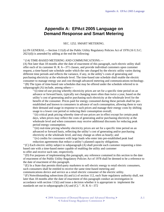## **Appendix A: EPAct 2005 Language on Demand Response and Smart Metering**

SEC. 1252. SMART METERING.

(a) IN GENERAL.—Section 111(d) of the Public Utility Regulatory Policies Act of 1978 (16 U.S.C.  $2621(d)$ ) is amended by adding at the end the following:

#### ''(14) TIME-BASED METERING AND COMMUNICATIONS.—

(A) Not later than 18 months after the date of enactment of this paragraph, each electric utility shall offer each of its customer H. R. 6—371 classes, and provide individual customers upon customer request, a time-based rate schedule under which the rate charged by the electric utility varies during different time periods and reflects the variance, if any, in the utility's costs of generating and purchasing electricity at the wholesale level. The time-based rate schedule shall enable the electric consumer to manage energy use and cost through advanced metering and communications technology. ''(B) The types of time-based rate schedules that may be offered under the schedule referred to in subparagraph (A) include, among others—

''(i) time-of-use pricing whereby electricity prices are set for a specific time period on an advance or forward basis, typically not changing more often than twice a year, based on the utility's cost of generating and/or purchasing such electricity at the wholesale level for the benefit of the consumer. Prices paid for energy consumed during these periods shall be preestablished and known to consumers in advance of such consumption, allowing them to vary their demand and usage in response to such prices and manage their energy costs by shifting usage to a lower cost period or reducing their consumption overall;

''(ii) critical peak pricing whereby time-of-use prices are in effect except for certain peak days, when prices may reflect the costs of generating and/or purchasing electricity at the wholesale level and when consumers may receive additional discounts for reducing peak period energy consumption;

''(iii) real-time pricing whereby electricity prices are set for a specific time period on an advanced or forward basis, reflecting the utility's cost of generating and/or purchasing electricity at the wholesale level, and may change as often as hourly; and

''(iv) credits for consumers with large loads who enter into pre-established peak load reduction agreements that reduce a utility's planned capacity obligations.

''(C) Each electric utility subject to subparagraph (A) shall provide each customer requesting a timebased rate with a time-based meter capable of enabling the utility and customer to offer and receive such rate, respectively.

''(D) For purposes of implementing this paragraph, any reference contained in this section to the date of enactment of the Public Utility Regulatory Policies Act of 1978 shall be deemed to be a reference to the date of enactment of this paragraph.

''(E) In a State that permits third-party marketers to sell electric energy to retail electric consumers, such consumers shall be entitled to receive the same time-based metering and

communications device and service as a retail electric consumer of the electric utility. ''(F) Notwithstanding subsections (b) and (c) of section 112, each State regulatory authority shall, not later than 18 months after the date of enactment of this paragraph conduct an investigation in accordance with section 115(i) and issue a decision whether it is appropriate to implement the standards set out in subparagraphs  $(A)$  and  $(C)$ .". H. R. 6—372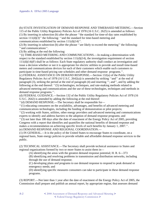(b) STATE INVESTIGATION OF DEMAND RESPONSE AND TIMEBASED METERING.—Section 115 of the Public Utility Regulatory Policies Act of 1978 (16 U.S.C. 2625) is amended as follows: (1) By inserting in subsection (b) after the phrase ''the standard for time-of-day rates established by section  $111(d)(3)$ " the following: "and the standard for time-based metering and communications established by section 111(d)(14)''.

(2) By inserting in subsection (b) after the phrase ''are likely to exceed the metering'' the following: ''and communications''.

(3) By adding at the end the following:

''(i) TIME-BASED METERING AND COMMUNICATIONS.—In making a determination with respect to the standard established by section 111(d)(14), the investigation requirement of section 111(d)(14)(F) shall be as follows: Each State regulatory authority shall conduct an investigation and issue a decision whether or not it is appropriate for electric utilities to provide and install time-based meters and communications devices for each of their customers which enable such customers to participate in time-based pricing rate schedules and other demand response programs.''.

(c) FEDERAL ASSISTANCE ON DEMAND RESPONSE.—Section 132(a) of the Public Utility Regulatory Policies Act of 1978 (16 U.S.C. 2642(a)) is amended by striking "and" at the end of paragraph (3), striking the period at the end of paragraph (4) and inserting "; and", and by adding the following at the end thereof: ''(5) technologies, techniques, and rate-making methods related to advanced metering and communications and the use of these technologies, techniques and methods in demand response programs.''.

(d) FEDERAL GUIDANCE.—Section 132 of the Public Utility Regulatory Policies Act of 1978 (16 U.S.C. 2642) is amended by adding the following at the end thereof:

''(d) DEMAND RESPONSE.—The Secretary shall be responsible for—

''(1) educating consumers on the availability, advantages, and benefits of advanced metering and communications technologies, including the funding of demonstration or pilot projects;

''(2) working with States, utilities, other energy providers and advanced metering and communications experts to identify and address barriers to the adoption of demand response programs; and

''(3) not later than 180 days after the date of enactment of the Energy Policy Act of 2005, providing Congress with a report that identifies and quantifies the national benefits of demand response and makes a recommendation on achieving specific levels of such benefits by January 1, 2007.''. (e) DEMAND RESPONSE AND REGIONAL COORDINATION.—

(1) IN GENERAL.—It is the policy of the United States to encourage States to coordinate, on a regional basis, State energy policies to provide reliable and affordable demand response services to the public.

(2) TECHNICAL ASSISTANCE.—The Secretary shall provide technical assistance to States and regional organizations formed by two or more States to assist them in—

(A) identifying the areas with the greatest demand response potential; H. R. 6—373

(B) identifying and resolving problems in transmission and distribution networks, including through the use of demand response;

(C) developing plans and programs to use demand response to respond to peak demand or emergency needs; and

(D) identifying specific measures consumers can take to participate in these demand response programs.

(3) REPORT.—Not later than 1 year after the date of enactment of the Energy Policy Act of 2005, the Commission shall prepare and publish an annual report, by appropriate region, that assesses demand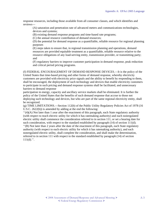response resources, including those available from all consumer classes, and which identifies and reviews—

(A) saturation and penetration rate of advanced meters and communications technologies, devices and systems;

(B) existing demand response programs and time-based rate programs;

(C) the annual resource contribution of demand resources;

(D) the potential for demand response as a quantifiable, reliable resource for regional planning purposes

(E) steps taken to ensure that, in regional transmission planning and operations, demand resources are provided equitable treatment as a quantifiable, reliable resource relative to the resource obligations of any load-serving entity, transmission provider, or transmitting party; and

(F) regulatory barriers to improve customer participation in demand response, peak reduction and critical period pricing programs.

(f) FEDERAL ENCOURAGEMENT OF DEMAND RESPONSE DEVICES.—It is the policy of the United States that time-based pricing and other forms of demand response, whereby electricity customers are provided with electricity price signals and the ability to benefit by responding to them, shall be encouraged, the deployment of such technology and devices that enable electricity customers to participate in such pricing and demand response systems shall be facilitated, and unnecessary barriers to demand response

participation in energy, capacity and ancillary service markets shall be eliminated. It is further the policy of the United States that the benefits of such demand response that accrue to those not deploying such technology and devices, but who are part of the same regional electricity entity, shall be recognized.

(g) TIME LIMITATIONS.—Section 112(b) of the Public Utility Regulatory Policies Act of 1978 (16 U.S.C. 2622(b)) is amended by adding at the end the following:

 $''(4)(A)$  Not later than 1 year after the enactment of this paragraph, each State regulatory authority (with respect to teach electric utility for which it has ratemaking authority) and each nonregulated electric utility shall commence the consideration referred to in section 111, or set a hearing date for such consideration, with respect to the standard established by paragraph (14) of section 111(d).

''(B) Not later than 2 years after the date of the enactment of this paragraph, each State regulatory authority (with respect to each electric utility for which it has ratemaking authority), and each nonregulated electric utility, shall complete the consideration, and shall make the determination, referred to in section 111 with respect to the standard established by paragraph (14) of section  $111(d)$ ...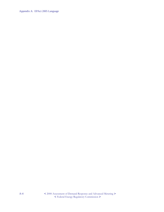Appendix A: EPAct 2005 Language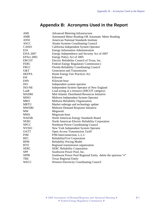# **Appendix B: Acronyms Used in the Report**

| AMI               | <b>Advanced Metering Infrastructure</b>                      |  |  |  |  |  |
|-------------------|--------------------------------------------------------------|--|--|--|--|--|
| <b>AMR</b>        | Automated Meter Reading OR Automatic Meter Reading           |  |  |  |  |  |
| <b>ANSI</b>       | <b>American National Standards Institute</b>                 |  |  |  |  |  |
| <b>ASCC</b>       | Alaska Systems Coordinating Council                          |  |  |  |  |  |
| <b>CAISO</b>      | California Independent System Operator                       |  |  |  |  |  |
| <b>EIA</b>        | <b>Energy Information Administration</b>                     |  |  |  |  |  |
| <b>EISA 2007</b>  | Energy Independence and Security Act of 2007                 |  |  |  |  |  |
| <b>EPAct 2005</b> | Energy Policy Act of 2005                                    |  |  |  |  |  |
| <b>ERCOT</b>      | Electric Reliability Council of Texas, Inc.                  |  |  |  |  |  |
| <b>FERC</b>       | Federal Energy Regulatory Commission (                       |  |  |  |  |  |
| <b>FRCC</b>       | Florida Reliability Coordinating Council                     |  |  |  |  |  |
| G&T               | Generation and Transmission                                  |  |  |  |  |  |
| <b>HEFPA</b>      | Home Energy Fair Practices Act                               |  |  |  |  |  |
| kW                | Kilowatt                                                     |  |  |  |  |  |
| kWh               | Kilowatt-hour                                                |  |  |  |  |  |
| <b>ISO</b>        | Independent system operator                                  |  |  |  |  |  |
| <b>ISO-NE</b>     | Independent System Operator of New England                   |  |  |  |  |  |
| LaaR              | Load acting as a resource (ERCOT category)                   |  |  |  |  |  |
| <b>MADRI</b>      | Mid-Atlantic Distributed Resources Initiative                |  |  |  |  |  |
| <b>MISO</b>       | Midwest Independent System Operator                          |  |  |  |  |  |
| <b>MRO</b>        | <b>Midwest Reliability Organization</b>                      |  |  |  |  |  |
| <b>MRTU</b>       | Market redesign and technology update                        |  |  |  |  |  |
| <b>MWDRI</b>      | Midwest Demand Response Initiative                           |  |  |  |  |  |
| <b>MW</b>         | Megawatt                                                     |  |  |  |  |  |
| <b>MWh</b>        | Megawatt-hour                                                |  |  |  |  |  |
| <b>NAESB</b>      | North American Energy Standards Board                        |  |  |  |  |  |
| <b>NERC</b>       | North American Electric Reliability Corporation              |  |  |  |  |  |
| <b>NPCC</b>       | Northeast Power Coordinating Council                         |  |  |  |  |  |
| <b>NYISO</b>      | New York Independent System Operator                         |  |  |  |  |  |
| <b>OATT</b>       | <b>Open Access Transmission Tariff</b>                       |  |  |  |  |  |
| <b>PJM</b>        | PJM Interconnection, L.L.C                                   |  |  |  |  |  |
| <b>RFC</b>        | Reliability First Corporation                                |  |  |  |  |  |
| <b>RPM</b>        | <b>Reliability Pricing Model</b>                             |  |  |  |  |  |
| <b>RTO</b>        | Regional transmission organization                           |  |  |  |  |  |
| <b>SERC</b>       | <b>SERC Reliability Corporation</b>                          |  |  |  |  |  |
| <b>SPP</b>        | Southwest Power Pool, Inc.                                   |  |  |  |  |  |
| <b>SPPR</b>       | Southwest Power Pool Regional Entity delete the spurious "e" |  |  |  |  |  |
| <b>TRE</b>        | <b>Texas Regional Entity</b>                                 |  |  |  |  |  |
| <b>WECC</b>       | <b>Western Electricity Coordinating Council</b>              |  |  |  |  |  |
|                   |                                                              |  |  |  |  |  |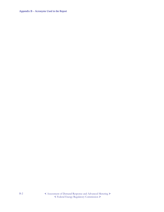Appendix B – Acronyms Used in the Report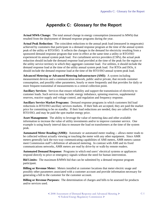## **Appendix C: Glossary for the Report**

**Actual MWh Change:** The total annual change in energy consumption (measured in MWh) that resulted from the deployment of demand response programs during the year.

**Actual Peak Reduction:** The coincident reductions to the annual peak load (measured in megawatts) achieved by customers that participate in a demand response program at the time of the annual system peak of the utility or RTO/ISO. It reflects the changes in the demand for electricity resulting from a sponsored demand response program that were in effect at the same time a utility or RTO/ISO experienced its annual system peak load. For curtailment service providers (CSPs), the actual peak reduction should include the demand response load provided at the time of the peak for the region or the utility service territory in which they aggregate customer load. For utilities, it should include the demand response load at the time of the utility annual system peak load. For RTOs and ISOs, it should include the demand response load at the time of the RTO/ISO annual system peak load.

**Advanced Metering or Advanced Metering Infrastructure (AMI):** A system including measurement devices and a communication network, public and/or private, that records customer consumption, and possibly other parameters, hourly or more frequently and that provides for daily or more frequent transmittal of measurements to a central collection point.

**Ancillary Services:** Services that ensure reliability and support the transmission of electricity to customer loads. Such services may include: energy imbalance, spinning reserves, supplemental reserves, reactive supply and voltage control, and regulation and frequency response.

**Ancillary Service Market Programs:** Demand response programs in which customers bid load reductions in RTO/ISO ancillary services markets. If their bids are accepted, they are paid the market price for committing to be on standby. If their load reductions are needed, they are called by the RTO/ISO, and may be paid the spot market energy price.

**Asset Management:** The ability to leverage the value of metering data and other available information to increase the value of utility investments and/or to improve customer service. One example is using hourly interval data to measure the load on transformers at the time of the system peak.

**Automated Meter Reading (AMR):** Automatic or automated meter reading -- allows meter reads to be collected without actually viewing or touching the meter with any other equipment. Since AMR meters generally lack the two-way communicating capabilities of AMI meters, AMR meters cannot meet Commission staff's definition of advanced metering. In contrast with AMI and its fixed communications networks, AMR meters are read by drive-by or walk-by remote readers.

**Automated Demand Response:** Programs in which end users' electrical systems or appliances respond directly to price or emergency signals without the need for human intervention.

**Bid Limits:** The maximum \$/MWh bid that can be submitted by a demand response program participant.

**Billing or Revenue Meter:** Meters installed at customer locations that meter electric usage and possibly other parameters associated with a customer account and provide information necessary for generating a bill to the customer for the customer account.

**Billing or Revenue Purposes:** The determination of charges and bills to be assessed for products and/or services used.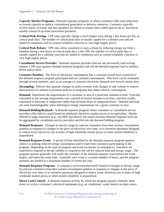#### Appendix C: Glossary for the Report

**Capacity Market Programs:** Demand response programs in which customers offer load reductions as system capacity to replace conventional generation or delivery resources. Customers typically receive notice of events and face penalties for failure to curtail when called upon to do so. Incentives usually consist of up-front reservation payments.

**Critical Peak Pricing:** CPP rates typically charge a much higher price during a few hours per day on critical peak days. The number of critical peak days is usually capped for a calendar year and are linked to conditions such as system reliability concerns or very high supply prices.

**Critical Peak Rebate:** CPR rates allow customers to earn a rebate by reducing energy use from a baseline during a few hours on critical peak days. Like CPP, the number of critical peak days is usually capped for a calendar year and are linked to conditions such as system reliability concerns or very high supply prices.

**Curtailment Service Provider:** Demand response providers that are not necessarily load serving entities. CSPs may sponsor demand response programs and sell the demand response load to utilities, RTOs and/or ISOs.

**Customer Baseline:** The level of electricity consumption that a customer would have consumed if the demand response program participant had not curtailed consumption. This level can be estimated through several methods, such as an average of customer electricity demand over several similar days.

**Decoupling:** Policies that separate changes in utility revenue with changes in sale volume to remove disincentives for utilities to promote policies or programs that reduce electric consumption.

**Demand:** Represents the requirements of a customer or area at a particular moment in time. Typically calculated as the average requirement over a period of several minutes to an hour, and thus usually expressed in kilowatts or megawatts rather than kilowatt-hours or megawatt-hours. Demand and load are used interchangeably when referring to energy requirements for a given customer or area.

**Demand Bidding/Buyback:** A demand response program where customers or curtailment service providers offer bids to curtail based on wholesale electricity market prices or an equivalent. Mainly offered to large customers (e.g., one MW and above), but small customer demand response load can be aggregated by curtailment service providers and bid into the demand bidding program.

**Demand Response:** Changes in electric usage by end-use customers from their normal consumption patterns in response to changes in the price of electricity over time, or to incentive payments designed to induce lower electricity use at times of high wholesale market prices or when system reliability is jeopardized.

**Demand Response Event:** A period of time identified by the demand response program sponsor when it is seeking reduced energy consumption and/or load from customers participating in the program. Depending on the type of program and event (economic or emergency), customers are expected to respond or decide whether to respond to the call for reduced load and energy usage. The program sponsor generally will notify the customer of the demand response event before the event begins, and when the event ends. Generally each event is a certain number of hours, and the program sponsors are limited to a maximum number of events per year.

**Demand Response Program:** A company's service/product/tariff related to changes in electric usage by end-use customers from their normal consumption patterns in response to changes in the price of electricity over time, or to incentive payments designed to induce lower electricity use at times of high wholesale market prices or when system reliability is jeopardized.

**Direct Load Control:** A demand response activity by which the program sponsor remotely shuts down or cycles a customer's electrical equipment (e.g. air conditioner, water heater) on short notice.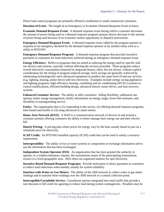Direct load control programs are primarily offered to residential or small commercial customers.

**Duration of Event:** The length of an Emergency or Economic Demand Response Event in hours.

**Economic Demand Response Event:** A demand response event during which a customer decreases the amount of power being used or a demand response program sponsor directs decrease in the amount of power being used because of an economic market opportunity or dispatch instructions.

**Emergency Demand Response Event:** A demand response event called by the program sponsor in response to an emergency declared by the demand response sponsor or by another entity such as a utility or RTO/ISO.

**Emergency Demand Response Program:** A demand response program that provides incentive payments to customers for load reductions achieved during an emergency demand response event.

**Energy Efficiency:** Refers to programs that are aimed at reducing the energy used by specific enduse devices and systems, typically without affecting the services provided. These programs reduce overall electricity consumption (reported in megawatt-hours), often, but not always, without explicit consideration for the timing of program-induced savings. Such savings are generally achieved by substituting technologically more advanced equipment to produce the same level of end-use services (e.g. lighting, heating, motor drive) with less electricity. Examples include energy saving appliances and lighting programs, high-efficiency heating, ventilating and air conditioning (HVAC) systems or control modifications, efficient building design, advanced electric motor drives, and heat recovery systems.

**Enhanced Customer Service:** The ability to offer customers: billing flexibility; additional rate options; better outage management; timely information on energy usage; fewer bill estimates; and flexibility in starting/ending service.

**Entity:** The organization that is (1) responding to the survey, (2) offering demand response programs, time-based rates/tariffs or (3) using advanced or smart meters.

**Home Area Network (HAN):** A HAN is a communication network of devices in and around a customer premise offering customers the ability to better manage their energy use and their electric bill.

**Hourly Pricing:** A pricing plan where prices for energy vary by the hour usually based in part on a wholesale price for electricity.

**ICAP Credit:** An RTO/ISO installed capacity (ICAP) credit that can be used to satisfy a resource requirement.

**Interoperability:** The ability of two or more systems or components to exchange information and to use the information that has been exchanged.

**Independent System Operator (ISO)**: An organization that has been granted the authority to operate, in a nondiscriminatory manner, the transmission assets of the participating transmission owners in a fixed geographic area. ISOs often run organized markets for spot electricity.

**Incentive-Based Demand Response Programs:** Provide motivation or direct payments to customers to induce load reductions when needed, usually for system reliability.

**Interface with Water or Gas Meters:** The ability of the AMI network to collect water or gas meter readings and to transmit those readings over the AMI network to a central collection point.

**Interruptible/Curtailable Service:** Curtailment options integrated into retail tariffs that provide a rate discount or bill credit for agreeing to reduce load during system contingencies. Penalties may be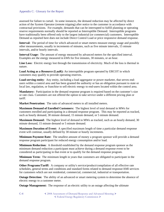assessed for failure to curtail. In some instances, the demand reduction may be affected by direct action of the System Operator (remote tripping) after notice to the customer in accordance with contractual provisions. For example, demands that can be interrupted to fulfill planning or operating reserve requirements normally should be reported as Interruptible Demand. Interruptible programs have traditionally been offered only to the largest industrial (or commercial) customers. Interruptible Demand as reported here does not include Direct Control Load or price responsive demand response.

**Interval:** The period of time for which advanced or smart meters measure energy usage and possibly other measurements, usually in increments of minutes, such as five minute intervals, 15 minute intervals, and/or hourly intervals.

**Interval Usage:** The amount of energy measured by advanced meters for the specified interval. Examples are the energy measured in kWh for five minutes, 30 minutes, or an hour.

Line Loss: Electric energy lost through the transmission of electricity. Much of the loss is thermal in nature.

**Load Acting as a Resource (LaaR):** An interruptible program operated by ERCOT in which customers may qualify to provide operating reserves.

**Load-serving entity:** Any entity, including a load aggregator or power marketer, that serves endusers within a control area and has been granted the authority or has an obligation pursuant to state or local law, regulation, or franchise to sell electric energy to end-users located within the control area.

**Mandatory:** Participation in the demand response program is required based on the customer's size or rate class. Customers are not offered the option to take service under a different pricing plan or tariff.

**Market Penetration:** The ratio of advanced meters to all installed meters.

**Maximum Demand of Enrolled Customers:** The highest level of total demand in MWs for customers enrolled and participating in a demand response program. This may be reported as tracked, such as hourly demand, 30 minute demand, 15 minute demand, or 5 minute demand.

**Maximum Demand:** The highest level of demand in MWs as tracked, such as an hourly demand, 30 minute demand, 15 minute demand or 5 minute demand.

**Maximum Duration of Event:** A specified maximum length of time a particular demand response event will continue, usually defined by 30 minute or hourly increments.

**Minimum Payment Rate:** The smallest amount of money a program sponsor will provide a demand response program participant for reduced energy consumption and/or load.

**Minimum Reduction:** A threshold established by the demand response program sponsor as the minimum demand reduction a participant must achieve during a demand response event to be considered as participating in that event or to qualify for the demand response program.

**Minimum Term:** The minimum length in years that customers are obligated to participate in the demand response program.

**Other Programs/Tariff:** A company or utility's service/product/compilation of all effective rate schedules, general terms and conditions and standard forms related to demand response/AMI services for customers which are not residential, commercial, commercial, industrial or transportation.

**Outage Detection:** The ability of an advanced or smart metering system to determine the absence of electric energy to a customer meter.

**Outage Management:** The response of an electric utility to an outage affecting the ultimate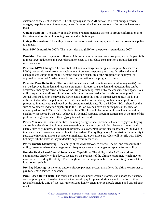customers of the electric service. The utility may use the AMI network to detect outages, verify outages, map the extent of an outage, or verify the service has been restored after repairs have been made.

**Outage Mapping:** The ability of an advanced or smart metering system to provide information as to the extent and location of an outage within a distribution grid.

**Outage Restoration:** The ability of an advanced or smart metering system to verify power is supplied to a meter.

**Peak MW demand for 2007:** The largest demand (MW) on the power system during 2007.

**Penalties:** Reduced payments or fines which result when a demand response program participant fails to meet target reductions in power demand or elects to not reduce consumption during a demand response event.

**Potential MWh Change:** The potential total annual change in energy consumption (measured in MWh) that would result from the deployment of demand response programs. It reflects the total change in consumption if the full demand reduction capability of the program was deployed, as opposed to the actual MWh change during the year without the program in place.

**Potential Peak Reduction:** The potential annual peak load reduction (measured in megawatts) that can be deployed from demand response programs. It represents the demand reduction that can be achieved either by the direct control of the utility system operator or by the consumer in response to a utility request to curtail load. It reflects the installed demand reduction capability, as opposed to the Actual Peak Reduction achieved by participants, during the time of annual system peak load. For utilities, it should be the potential sum of demand reduction capability to their annual peak load (measured in megawatts) achieved by the program participants. For an RTO or ISO, it should be the sum of coincident reduction capability to the RTO or ISO achieved by participants at the time of system peak of the RTO or ISO. Similarly, for CSPs, it should be the sum of coincident reduction capability sponsored by the CSP, achieved by demand response program participants at the time of the peak for the region in which they aggregate customer load.

**Power Marketers:** Business entities, including energy service providers, that are engaged in buying and selling electricity, but do not own generating or transmission facilities. Power marketers and energy service providers, as opposed to brokers, take ownership of the electricity and are involved in interstate trade. Power marketers file with the Federal Energy Regulatory Commission for authority to participate in energy markets as a power marketer. Energy service providers will not file with FERC but may with the states if they undertake only retail transactions.

**Power Quality Monitoring:** The ability of the AMI network to discern, record, and transmit to the utility, instances where the voltage and/or frequency were not in ranges acceptable for reliability.

**Premise Device/Load Control Interface or Capability:** The ability of the AMI network to communicate directly with a device located on the premises of the ultimate customer, which may or may not be owned by the utility. These might include a programmable communicating thermostat or a load control switch.

**Pre-Pay Metering:** A metering and/or software payment system that allows the ultimate customer to pay for electric service in advance.

**Price-Based Rate/Tariff:** The terms and conditions under which customers can choose their energy consumption pattern based on the price they would pay for power during a specific period of time. Examples include time-of-use, real-time pricing, hourly pricing, critical peak pricing and critical peak rebates.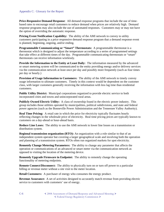#### Appendix C: Glossary for the Report

**Price-Responsive Demand Response**: All demand response programs that include the use of timebased rates to encourage retail customers to reduce demand when prices are relatively high. Demand response programs may also include the use of automated responses. Customers may or may not have the option of overriding the automatic response.

**Pricing Event Notification Capability:** The ability of the AMI network to convey to utility customers participating in a price responsive demand response program that a demand response event is planned, beginning, ongoing, and/or ending.

**Programmable Communicating or "Smart" Thermostats:** A programmable thermostat is a thermostat which is designed to adjust the temperature according to a series of programmed settings that take effect at different times of the day. Programmable communicating thermostats or "smart" thermostats can receive information wirelessly.

**Provide the Information to the Entity at Least Daily:** The information measured by the advanced or smart metering system will be communicated to the entity providing energy and/or delivery services via the communication network at least once per day and possibly more frequently (such as four times per day or hourly.)

**Provision of Usage Information to Customers:** The ability of the AMI network to timely convey usage information to ultimate customers. Timely in this context would be dependent on the customer class, with larger customers generally receiving the information with less lag time than residential customers.

**Public Utility District:** Municipal corporations organized to provide electric service to both incorporated cities and towns and unincorporated rural areas.

**Publicly Owned Electric Utility:** A class of ownership found in the electric power industry. This group includes those utilities operated by municipalities, political subdivisions, and state and federal power agencies (such as the Bonneville Power Administration and the Tennessee Valley Authority).

**Real Time Pricing:** A retail rate in which the price for electricity typically fluctuates hourly reflecting changes in the wholesale price of electricity. Real time pricing prices are typically known to customers on a day-ahead or hour-ahead basis.

**Reduce Line Loses:** The ability to use the AMI network to lower line losses on a transmission or distribution system.

**Regional transmission organization (RTO):** An organization with a role similar to that of an independent system operator but covering a larger geographical scale and involving both the operation and planning of a transmission system. RTOs often run organized markets for spot electricity.

**Remotely Change Metering Parameters:** The ability to change any parameter that affects the operation or communications of an advanced or smart meter via the communication network as opposed to visiting the location of the metering device.

**Remotely Upgrade Firmware in Endpoint:** The ability to remotely change the operating functionality of metering endpoints.

**Remote Connect/Disconnect:** The ability to physically turn on or turn off power to a particular billing or revenue meter without a site visit to the meter location.

**Retail Customers:** A purchaser of energy who consumes the energy product.

**Revenue Assurance:** A set of activities designed to accurately match revenue from providing electric service to customers with customers' use of energy.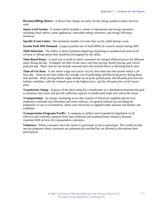**Revenue/Billing Meters:** A device that charges an entity for the energy products and/or services used.

**Smart Grid System:** A system which includes a variety of operational and energy measuresincluding smart meters, smart appliances, renewable energy resources, and energy efficiency resources.

**Specific Event Limits:** The maximum number of events that can be called during a year.

**System Peak MW Demand:** Largest possible size of load (MW) on a power system during 2007.

**Theft Detection:** The ability to detect potential tampering, bypassing or unauthorized removal of revenue or billing meters that should be investigated by the utility.

**Time-Based Rates:** A retail rate or tariff in which customers are charged different prices for different times during the day. Examples are time-of-use rates, real time pricing, hourly pricing, and critical peak pricing. These rates do not include seasonal rates and inverted block or declining block rates.

**Time-of-Use Rate:** A rate where usage unit prices vary by more than one time period within a 24 hour day. Time-of-use rates reflect the average cost of generating and delivering power during those time periods. Daily pricing blocks might include an on-peak, partial-peak, and off-peak price for nonholiday weekdays, with the on-peak price as the highest price, and the off-peak price as the lowest price.

**Transformer Sizing:** Analysis of the ideal rating for a transformer on a distribution/transmission grid to minimize line losses and provide sufficient capacity to handle peak loads now and in the future.

**Transportation:** An energy consuming sector that consists of electricity supplied and services rendered to railroads and interurban and street railways, for general railroad use including the propulsion of cars or locomotives, where such electricity is supplied under separate and distinct rate schedules.

**Transportation Programs/Tariffs:** A company or utility's service/product/compilation of all effective rate schedules, general terms and conditions and standard forms related to demand response/AMI services for transportation customers.

**Voluntary:** Where customers have the option to participate or not to participate. This would include opt-out programs where customers are automatically enrolled but are allowed to discontinue their participation.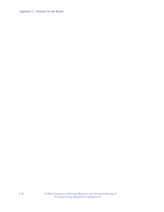### Appendix C: Glossary for the Report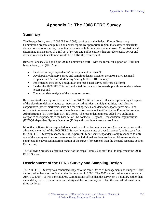# **Appendix D: The 2008 FERC Survey**

## **Summary**

The Energy Policy Act of 2005 (EPAct 2005) requires that the Federal Energy Regulatory Commission prepare and publish an annual report, by appropriate region, that assesses electricity demand response resources, including those available from all consumer classes. Commission staff determined that a survey of a full set of private and public entities that provide electric power and demand response to customers would help fulfill the requirement.

Between January 2008 and June 2008, Commission staff – with the technical support of UtiliPoint International, Inc. (UtiliPoint):

- Identified survey respondents ("the respondent universe");
- Developed a voluntary survey and sampling design based on the 2006 FERC Demand Response and Advanced Metering Survey (2006 FERC Survey);
- Implemented the survey design in an Internet-based survey software platform;
- Fielded the 2008 FERC Survey, collected the data, and followed-up with respondents where necessary; and
- Conducted data analysis of the survey responses.

Responses to the survey were requested from 3,407 entities from all 50 states representing all aspects of the electricity delivery industry: investor-owned utilities, municipal utilities, rural electric cooperatives, power marketers, state and federal agencies, and demand response providers. The respondent universe was based on the universe of respondents identified by the Energy Information Administration (EIA) for their EIA-861 Form. The respondent universe added two additional categories of respondents to the base set of EIA contacts – Regional Transmission Organizations (RTOs)/Independent System Operators (ISOs) and curtailment service providers.

More than 2,094 entities responded to at least one of the two major sections (demand response or the advanced metering) of the 2008 FERC Survey (a response rate of over 61 percent), an increase from the 2006 FERC Survey response rate of 55 percent. Since some respondents only responded to only one of the survey sections, response rates for the individual sections are lower. More respondents completed the advanced metering section of the survey (60 percent) than the demand response section (55 percent).

The following provides a detailed review of the steps Commission staff took to implement the 2008 FERC Survey.

## **Development of the FERC Survey and Sampling Design**

The 2008 FERC Survey was conducted subject to the same Office of Management and Budget (OMB) authorization that was provided to the Commission in 2006. The 2006 authorization was extended to April 30, 2008. As was done in 2006, Commission staff fielded the survey on a voluntary rather than a mandatory basis. Commission staff designed the draft survey to collect the needed information in three sections: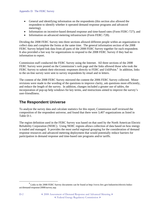- General and identifying information on the respondents (this section also allowed the respondent to identify whether it operated demand response programs and advanced metering);
- Information on incentive-based demand response and time-based rates (Form FERC-727); and
- Information on advanced metering infrastructure (Form FERC-728).

Dividing the 2008 FERC Survey into three sections allowed different people within an organization to collect data and complete the forms at the same time. The general information section of the 2008 FERC Survey helped link data from all parts of the 2008 FERC Survey together for each respondent. It also provided a fast way for organizations to respond to the 2008 FERC Survey if they had no information to report.

Commission staff conducted the FERC Survey using the Internet. All three sections of the 2008 FERC Survey were posted on the Commission's web page and the links allowed those who took the FERC Survey to submit their electronic responses directly to FERC and UtiliPoint.<sup>1</sup> In addition, links to the on-line survey were sent to survey respondents by email and in letters.

The content of the 2008 FERC Survey mirrored the content the 2006 FERC Survey collected. Minor revisions were made to the wording of the questions to improve clarity, ask questions more efficiently, and reduce the length of the survey. In addition, changes included a greater use of tables, the incorporation of pop-up help windows for key terms, and instructions aimed to improve the survey's user-friendliness.

## **The Respondent Universe**

To analyze the survey data and calculate statistics for this report, Commission staff reviewed the composition of the respondent universe, and found that there were 3,407 organizations as listed in Table D-1.

The region definition used in the FERC Survey was based on that used by the North American Electric Reliability Corporation (NERC). Using NERC regions allows collection of data based on how energy is traded and managed. It provides the most useful regional grouping for the consideration of demand response resources and advanced metering deployment that would potentially reduce barriers for participation in demand response and time-based rate programs and/or tariffs.

<sup>&</sup>lt;u>1</u> Links to the 2008 FERC Survey documents can be found at http://www.ferc.gov/industries/electric/indusact/demand-response/2008/survey.asp.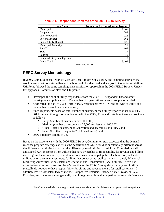| <b>Group Name</b>                  | <b>Number of Organizations in Group</b> |
|------------------------------------|-----------------------------------------|
| Municipal                          | 1,845                                   |
| Cooperative                        | 884                                     |
| <b>Investor Owned</b>              | 223                                     |
| Power Marketer                     | 162                                     |
| <b>Public Utility District</b>     | 126                                     |
| Municipal Authority                | 21                                      |
| Retail <sup>2</sup>                | 107                                     |
| <b>State</b>                       | 21                                      |
| Federal                            | 10                                      |
| <b>Independent System Operator</b> | 8                                       |
| <b>Grand Total</b>                 | 3,407                                   |

### **Table D-1. Respondent Universe of the 2008 FERC Survey**

Source: EIA, Internet

## **FERC Survey Methodology**

In 2006, Commission staff worked with OMB staff to develop a survey and sampling approach that would ensure that potential self-selection bias could be identified and analyzed. Commission staff and UtiliPoint followed the same sampling and stratification approach in the 2008 FERC Survey. Under this approach, Commission staff and Utilipoint :

- Developed the pool of utility respondents from the 2007 EIA respondent list and other industry-related publications. The number of organizations in each group was verified;
- Segmented the pool of 2008 FERC Survey respondents by NERC region, type of utility and the number of retail customers served;
- Sized respondents based on total number of customers each utility reported in its 2006 EIA-861 form, and through communication with the RTOs, ISOs and curtailment service providers as follows:
	- o Large (number of customers over 100,000),
	- $\circ$  Medium (number of customers  $> 25,000$  and less than 100,000),
	- o Other (0 retail customers or Generation and Transmission utility), and
	- o Small (less than or equal to 25,000 customers); and
- Drew a random sample of 732.

Based on the experience with the 2006 FERC Survey, Commission staff expected that the demand response program offerings as well as the penetration of AMI would be substantially different across the different size utilities and across the different types of utilities. In addition, Commission staff anticipated AMI responses from utilities that have ownership or responsibility for revenue and billing metering, such as cooperative, federal, investor-owned, municipal, political subdivision, and state utilities who serve retail customers. Utilities that do not serve retail customers – namely Municipal Marketing Authorities, Wholesalers or Generation and Transmission (G&T) utilities – were not expected to submit responses for the AMI section of the FERC Survey since these types of utilities typically do not own or have responsibility for billing and revenue meters for retail customers. In addition, Power Marketers (which include Competitive Retailers, Energy Service Providers, Retail Providers, and the other names generally used in regions with retail competition or retail choice) were

**<sup>2</sup>** <sup>2</sup> Retail entities sell electric energy to retail customers where the sale of electricity is open to retail competition.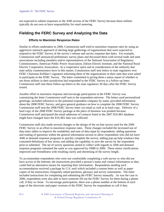not expected to submit responses to the AMI section of the FERC Survey because these utilities typically do not own or have responsibility for retail metering.

## **Fielding the FERC Survey and Analyzing the Data**

#### **Efforts to Maximize Response Rates**

Similar to efforts undertaken in 2006, Commission staff tried to maximize response rates by using an aggressive outreach approach of alerting large gatherings of organizations that were expected to respond to the FERC Survey of the survey's release and survey response due dates. For example, Commission staff announced preliminary survey plans and discussed these with several trade and state associations including members and/or representatives of the National Association of Regulatory Commissioners, American Public Power Association, Edison Electric Institute, and the National Rural Electric Cooperative Association. In a cooperative spirit and in consideration of the authority that state utility commissioners have in this matter, Commission staff sent letters to state regulators over FERC Chairman Kelliher's signature informing them of the organizations in their state that were asked to participate in the FERC Survey. The letter committed to giving them a status report of whether or not those utilities in their jurisdiction had responded to the FERC Survey in a follow-up letter. Commission staff sent these follow-up letters to the state regulators 30 days after the FERC Survey issued.

Another effort to maximize response and encourage participation in the FERC Survey was customizing the letter Commission staff sent to the respondent universe. The letters used personalized greetings, included references to the potential respondent company by name, provided information about the 2008 FERC Survey, and gave general guidance on how to complete the 2008 FERC Survey. Commission staff sent the 2008 FERC Survey letter via email as well as in hard copy. Delivery of a hard copy of the 2008 FERC Survey package at the place of business was prudent because Commission staff anticipated the email addresses of contacts listed in the 2007 EIA-861 database might have changed since the EIA-861 data was collected.

Commission staff also made several changes to the design of the on-line survey used for the 2006 FERC Survey in an effort to maximize response rates. These changes included the increased use of data entry tables to improve the readability and ease of data input by respondents; adding questions and routing of questions within the general information section to allow respondents who did not have AMI or demand response programs to quickly complete the survey; adding pop-up help windows that contained definitions of key terms; and adding the capability to save the survey by the respondent prior to submittal. The set of survey questions aimed to collect with regards to AMI and demand response programs remained the same as was approved by OMB in 2006. These minor clarifications improved user-friendliness with resulting clarity and shortening of the survey length.

To accommodate respondents who were not comfortable completing a web survey or who did not have access to the Internet, the instructions provided a person's name and contact information so they could find an alternative means for reporting their information. Respondents needing such accommodation received a package by U.S. mail which included a custom letter as well as paper copies of the instructions, frequently asked questions, glossary and survey instruments. The letter included instructions for completing and submitting the FERC Survey manually. As was the case in 2006, respondents were also able to have someone fill out the FERC Survey for them during a phone call, if they so chose. To encourage participation, there was a phone number at the bottom of each page of the electronic and paper versions of the FERC Survey for respondents to call if they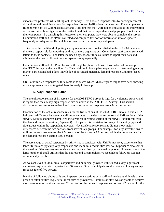encountered problems while filling out the survey. This boosted response rates by solving technical difficulties and providing a way for respondents to get clarifications on questions. For example, some respondents notified Commission staff and UtiliPoint that they were not able to access the information on the web site. Investigation of the matter found that these respondents had pop-up ad blockers on their computers. By disabling this feature on their computer, they were able to complete the survey. Commission staff and UtiliPoint collected and compiled this sort of information into an updated frequently asked question list which was then posted on the survey web page.

To increase the likelihood of getting survey responses from contacts listed in the EIA-861 database that were responsible for reporting on three or more organizations, Commission staff sent customized letters to these contacts. The letter included a spreadsheet they could use to report their data and eliminated the need to fill out the multi-page survey repeatedly.

Commission staff and UtiliPoint followed through by phone calls with those who had not completed the FERC Survey by the deadline. Staff who did the follow-up had experience in interviewing energy market participants had a deep knowledge of advanced metering, demand response, and time-based rates.

UtiliPoint tracked responses as they came in to assess which NERC regions might have been showing under-representation and targeted these for early follow-up.

#### **Survey Response Rates**

The overall response rate of 61 percent for the 2008 FERC Survey is high for a voluntary survey, and is higher than the already high response rate achieved in the 2006 FERC Survey. This section discusses survey response in detail and compares the actual response rate with expectations.

Examination of the actual response rates for the two sections of the 2008 FERC Survey in Table D-2 indicates a difference between overall response rates to the demand response and AMI sections of the survey. More respondents completed the advanced metering section of the survey (60 percent) than the demand response section (55 percent). This pattern is consistent for many of the entity type and size groups within the respondent universe. Nevertheless, response rates did not show major differences between the two sections from several key groups. For example, for large investor-owned utilities the response rate for the AMI section of the survey is 99 percent, while the response rate for the demand response section is 97 percent.

The percentage of actual responses by utility size is consistent with UtiliPoint survey experience that large utilities are typically very responsive and medium-sized utilities less so. Experience also shows that small utilities are very responsive when they are directly contacted by phone. However, due to the large number of small utilities that did not respond, a comprehensive respondent follow-up was not economically feasible.

As was achieved in 2006, small cooperative and municipally owned utilities had a very significant – and rare – response rate of greater than 50 percent. Small municipals usually have a voluntary survey response rate of five percent.

In spite of follow up phone calls and in-person conversations with staff and leaders at all levels of the group of retail entities (e.g., curtailment service providers), Commission staff was only able to achieve a response rate for retailers that was 20 percent for the demand response section and 22 percent for the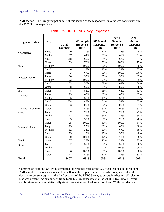AMI section. The low participation rate of this section of the respondent universe was consistent with the 2006 Survey experience.

| <b>Type of Entity</b>      | <b>Size</b> | <b>Total</b><br><b>Number</b> | <b>DR</b> Sample<br><b>Response</b><br>Rate | <b>DR</b> Actual<br><b>Response</b><br>Rate | <b>AMI</b><br><b>Sample</b><br><b>Response</b><br>Rate | <b>AMI</b><br><b>Actual</b><br><b>Response</b><br>Rate |
|----------------------------|-------------|-------------------------------|---------------------------------------------|---------------------------------------------|--------------------------------------------------------|--------------------------------------------------------|
| Cooperative                | Large       | 20                            | 70%                                         | 70%                                         | 75%                                                    | 75%                                                    |
|                            | Medium      | 187                           | 64%                                         | 62%                                         | 61%                                                    | 61%                                                    |
|                            | Small       | 618                           | 65%                                         | 64%                                         | 67%                                                    | 67%                                                    |
|                            | Other       | 59                            | 78%                                         | 59%                                         | 100%                                                   | 75%                                                    |
| Federal                    | Medium      | 1                             | 100%                                        | 100%                                        | 100%                                                   | 100%                                                   |
|                            | Small       | 6                             | 17%                                         | 17%                                         | 33%                                                    | 33%                                                    |
|                            | Other       | 3                             | 67%                                         | 67%                                         | 100%                                                   | 100%                                                   |
| Investor-Owned             | Large       | 110                           | 97%                                         | 97%                                         | 99%                                                    | 99%                                                    |
|                            | Medium      | 22                            | 100%                                        | 91%                                         | 100%                                                   | 95%                                                    |
|                            | Small       | 53                            | 50%                                         | 58%                                         | 63%                                                    | 60%                                                    |
|                            | Other       | 38                            | 60%                                         | 53%                                         | 80%                                                    | 68%                                                    |
| <b>ISO</b>                 | Other       | 8                             | 88%                                         | 88%                                         | 63%                                                    | 63%                                                    |
| Municipal                  | Large       | 19                            | 68%                                         | 68%                                         | 63%                                                    | 63%                                                    |
|                            | Medium      | 85                            | 56%                                         | 48%                                         | 58%                                                    | 53%                                                    |
|                            | Small       | 1738                          | 45%                                         | 51%                                         | 52%                                                    | 55%                                                    |
|                            | Other       | 3                             | 200%                                        | 67%                                         | 200%                                                   | 67%                                                    |
| <b>Municipal Authority</b> | Other       | 21                            | 250%                                        | 67%                                         | 200%                                                   | 67%                                                    |
| <b>PUD</b>                 | Large       | $\overline{7}$                | 71%                                         | 71%                                         | 71%                                                    | 71%                                                    |
|                            | Medium      | 11                            | 83%                                         | 64%                                         | 83%                                                    | 64%                                                    |
|                            | Small       | 83                            | 50%                                         | 61%                                         | 75%                                                    | 70%                                                    |
|                            | Other       | 25                            | 100%                                        | 60%                                         | 100%                                                   | 64%                                                    |
| <b>Power Marketer</b>      | Large       | 15                            | 27%                                         | 60%                                         | 60%                                                    | 60%                                                    |
|                            | Medium      | 12                            | 33%                                         | 50%                                         | 67%                                                    | 58%                                                    |
|                            | Small       | 75                            | 0%                                          | 47%                                         | 57%                                                    | 48%                                                    |
|                            | Other       | 60                            | 100%                                        | 42%                                         | 71%                                                    | 68%                                                    |
| Retail                     | Other       | 107                           | 25%                                         | 20%                                         | 29%                                                    | 22%                                                    |
| <b>State</b>               | Large       | $\overline{2}$                | 50%                                         | 50%                                         | 50%                                                    | 50%                                                    |
|                            | Medium      | $\mathbf{1}$                  | 0%                                          | 0%                                          | 100%                                                   | 100%                                                   |
|                            | Small       | 6                             | 100%                                        | 100%                                        | 100%                                                   | 100%                                                   |
|                            | Other       | 12                            | 50%                                         | 50%                                         | 83%                                                    | 83%                                                    |
| <b>Total</b>               |             | 3407                          | 63%                                         | 55%                                         | 67%                                                    | 60%                                                    |

#### **Table D-2. 2008 FERC Survey Responses**

Commission staff and UtiliPoint compared the response rates of the 732 organizations in the random AMI sample to the response rates of the 2,094 in the respondent universe who completed either the demand response program or the AMI sections of the FERC Survey to ascertain whether self-selection bias was present. As can be seen from Table D-2, response rates for the 2008 FERC Survey – overall and by strata – show no statistically significant evidence of self-selection bias. While not identical,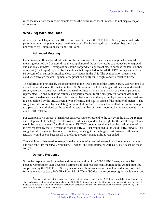response rates from the random sample versus the entire respondent universe do not display major differences.

## **Working with the Data**

As discussed in Chapters II and III, Commission staff used the 2008 FERC Survey to estimate AMI penetration rate and potential peak load reduction. The following discussion describes the analysis undertaken by Commission staff and UtiliPoint.

#### **Advanced Metering**

Commission staff developed estimates of the penetration rate of national and regional advanced metering required by Congress through extrapolation of the survey results to produce state, regional, and national estimates. Extrapolation should not produce significant biases because the total number of meters (of all types) reported by the entities that responded to the 2008 FERC Survey account for 91 percent of all currently installed electricity meters in the U.S. The extrapolation process was conducted through the development of regional and entity size weights and is described below.

The information provided by the respondents to the AMI portion of the FERC Survey was weighted to extend the results to all the meters in the U.S. Since almost all of the larger utilities responded to the survey, one can assume that medium and small utilities make up the majority of the nine percent not represented. To ensure that the estimates properly account for the nine percent not included in the responses, the data was weighted. Each entity that was given the opportunity to respond was assigned to a cell defined by the NERC region, type of entity, and size (in terms of the number of meters). The weight was determined by calculating the sum of all meters<sup>3</sup> associated with all of the entities assigned to a particular cell divided by the sum of the total number of meters reported by the respondents in the 2008 FERC Survey.

For example, if 45 percent of small cooperatives were to respond to the survey in the ERCOT region and 100 percent of the large investor-owned utilities responded, the weight for the small cooperatives would be the total meters for all of the small ERCOT cooperatives divided by the total number of meters reported by the 45 percent of coops in ERCOT that responded to the 2008 FERC Survey. This weight would be greater than one. In contrast, the weight for the large investor-owned utilities in ERCOT would be one because all of the large investor-owned utilities responded.

The weight was then used to extrapolate the number of advanced meters in each region, entity type, and size cell from the survey responses. Regional and state estimates were calculated based on these weights.

#### **Demand Response**

Since the response rate for the demand response section of the 2008 FERC Survey was not 100 percent, Commission staff developed estimates of total resource contribution in the United States by supplementing the 2008 FERC Survey responses with information on peak load reduction potential from other sources (*e.g.*, 2006 EIA Form 861, RTO or ISO demand response program evaluations, and

**<sup>3</sup>** <sup>3</sup> Meter counts for entities were taken from customer data reported in the 2007 EIA Form 861. Since Commission staff analysis of customer and meter totals in the 2006 FERC Survey indicates that the total number of meters in the United States is 98 percent of the total number of customers, customer counts can be used as proxy for meters, particularly with entities with fewer customers and meters.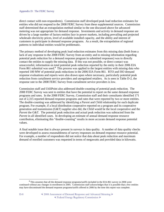direct contact with non-respondents). Commission staff developed peak load reduction estimates for entities who did not respond to the 2008 FERC Survey from these supplemental sources. Commission staff determined that an extrapolation method similar to the one discussed above for advanced metering was not appropriate for demand response. Investments and activity in demand response are driven by a large number of factors entities face in power markets, including prevailing and projected wholesale electricity prices, level of available installed capacity, and the ability and interest of customers to participate in demand response programs. As a result, the extrapolation of regional patterns to individual entities would be problematic.

The primary method of developing peak load reduction estimates from this missing data (both from a lack of any response to the 2008 FERC Survey from an entity and to missing information regarding potential peak reduction for a demand response program in submitted responses) was to directly contact the entities to supply the missing data. If this was not possible, or direct contact was unsuccessful, information on total potential peak reduction reported by the entity in their 2006 EIA Form 861 submittal was used.<sup>4</sup> This process was applied to the largest entities with missing data who reported 100 MW of potential peak reductions in the 2006 EIA Form 861. RTO and ISO demand response evaluations and reports were also drawn upon where necessary, particularly potential peak reduction from curtailment service providers and unregulated retailers. As is seen in Table D-2, the response rate to the 2008 FERC Survey from curtailment service providers is low.

Commission staff and UtiliPoint also addressed double-counting of potential peak reduction. The 2008 FERC Survey was sent to entities that have the potential to report on the same demand response programs and rates. In the 2008 FERC Survey, Commission staff and their consultants identified 171 out of 2,315 reported demand response programs and rates that were reported by two or more entities. The double-counting was addressed by identifying a *Parent* and *Child* relationship for each duplicate program. For example, if a local distribution cooperative reported on a program and its cooperative generation and transmission (G&T) supplier also did, the *Child* would be the local cooperative and the *Parent* the G&T. The potential peak reduction and actual peak reduction was subtracted from the *Parent* in all identified cases. In developing an estimate of annual demand response resource contribution, eliminating this "double-counting" results in more accurate demand response potential values.

A final notable issue that is always present in surveys is data quality. A number of data quality checks were developed to assess reasonableness of survey responses on demand response resource potential. For example, a number of respondents did not notice that data about peak reduction and maximum demand of enrolled customers was requested in terms of megawatts and provided data in kilowatts.

**<sup>4</sup>** This assumes that all the demand response programs/tariffs included in the EIA-861 survey in 2006 were continued without any changes in enrollment in 2005. Commission staff acknowledges that it is possible that a few entities may have discontinued the demand response programs/tariffs offered in 2006 by the time this report was complete.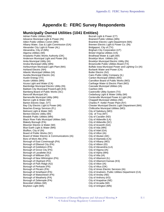## **Appendix E: FERC Survey Respondents**

## **Municipally Owned Utilities (1041 Entities)**

Adrian Public Utilities (MN) Advance Municipal Light & Power (IN) Aitkin Public Utilities Comm (MN) Albany Water, Gas & Light Commission (GA) Alexander City Light & Power (AL) Alexandria, City of (MN) Algoma Utilities (WI) Anadarko Public Works Authority (OK) Anderson Municipal Light and Power (IN) Anita Municipal Utility (IA) Anoka Municipal Utility (MN) Ashburnham Municipal Light Plant (MA) Ashland Electric (NH) Atlantic Municipal Utilities (IA) Aurelia Municipal Electric (IA) Austin Energy (TX) Austin Utilities (MN) Azusa Light and Water (CA) Bainbridge Municipal Electric Utility (IN) Baldwin City Municipal Power/Light (KS) Bamberg Board of Public Works (SC) Bancroft Municipal (IA) Barnesville Municipal Utility (MN) Barron Light & Water (WI) Barton Electric Dept. (VT) Bay City Electric Light & Power (MI) Beaches Energy Services (FL) Belmont Light & Water (WI) Benton Electric Utility (WI) Biwabik Public Utilities (MN) Black River Falls Municipal Utilities (WI) Blakely Borough (PA) Bloomer Electric & Water (WI) Blue Earth Light & Water (MN) Bluffton, City of (IN) Board of Public Works (SC) Board of Water Electric & Communications (IA) Boro of Mont Alto (PA) Borough of East Conemaugh (PA) Borough of Ellwood City (PA) Borough of Goldsboro (PA) Borough of Grove City (PA) Borough of Lavallette (NJ) Borough of Milltown (NJ) Borough of New Wilmington (PA) Borough of Olyphant (PA) Borough of Park Ridge (NJ) Borough of Perkasie (PA) Borough of Pitcairn (PA) Borough of Smethport (PA) Borough of Watsontown (PA) Borough of Weatherly (PA) Borough of Zelienople (PA) Boscobel Utilities (WI) Boylston Light (MA)

Bozrah Light & Power (CT) Brainerd Public Utilities (MN) Braintree Electric Light Department (MA) Bremen Electric Light & Power Co. (IN) Bridgeport, City of (TX) Brigham City Corporation (UT) Bristol Virginia Utilities (VA) Brodhead Water & Light (WI) Brooklyn Muni. Utilities (IA) Brooklyn Municipal Electric Utility (IN) Brownsville Public Utilities Board (TX) Buffalo Iowa Municipal Power and Lighting Co (IA) Burbank Water and Power (CA) Butler Electric (NJ) Cairo Public Utility Company (IL) Canton Municipal Utilities (MS) Carrollton Board of Public Works (MO) Carthage Water & Electric Plant (MO) Cascade Municipal Utilities (IA) Cashton (WI) Castroville Utility System (TX) Cedarburg Light & Water Utility (WI) Centerville Municipal Power & Light (IN) Chappell Municipal Utilities (NE) Charles P. Ketler Power Plant (NY) Chester Municipal Electric Light Department (MA) Chillicothe Municipal Utilities (MO) City of Salisbury (MO) City of Troy (MT) City of Cavalier (ND) City of Abbeville (LA) City of Abbeville (SC) City of Acworth (GA) City of Ada (MN) City of Adel (GA) City of Afton (IA) City of Akutan (AK) City of Alameda (CA) City of Albany (MO) City of Albion (ID) City of Alexandria (LA) City of Algona (IA) City of Alpha (MN) City of Alta (IA) City of Altamont (IL) City of Altamont Kansas (KS) City of Alton (IA) City of Altus (OK) City of Ames Electric Services (IA) City of Anaheim, Public Utilities Department (CA) City of Ansley (NE) City of Anthony (KS) City of Arapahoe (NE) City of Arcadia (WI) City of Arlington (MN)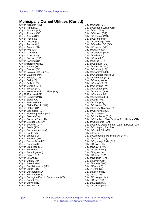City of Arlington (SD) City of Arma (KS) City of Ashland (KS) City of Ashland (OR) City of Aspen (CO) City of Attica (KS) City of Auburn (IA) City of Auburn (IN) City of Aurora (SD) City of Ava (MO) City of Axtell (KS) City of Aztec (NM) City of Bandon (OR) City of Banning (CA) City Of Bardstown (KY) City of Bartow (FL) City of Bastrop (TX) City of Batavia Elec Util (IL) City of Baudette (MN) City of Bedford (VA) City of Belit (KS) City of Bellville (TX) City of Benson (MN) City of Benton (AR) City of Berea Municipal Utilities (KY) City Of Beresford (SD) City of Bethany (MO) City of Biggs (CA) City of Blackwell (OK) City of Blaine Electric (WA) City of Blakely (GA) City of Bloomfield (IA) City of Blooming Prairie (MN) City of Boerne (TX) City of Bonners Ferry (ID) City of Boulder City (NV) City of Bountiful (UT) City of Bowie (TX) City of Breckenridge (MN) City of Breda (IA) City of Breese (IL) City of Brewster (MN) City of Broken Bow (NE) City of Bronson (KS) City of Brookings (SD) City of Brownfield (TX) City of Brundidge (AL) City of Bryan (OH) City of Bryant (SD) City of Buffalo (MN) City of Buford (GA) City of Buhl Minnesota (MN) City of Burke (SD) City of Burlington (CO) City of Burlington (KS) City of Burlington Electric Department (VT) City of Burnet (TX) City of Burwell (NE) City of Bushnell (IL)

City of Cabool (MO) City of Cascade Locks (OR) City of Cairo (GA) City of Calhoun (GA) City of California (MO) City of Callender (IA) City of Cambridge (NE) City of Camden, SC (SC) City of Cameron (MO) City of Camilla (GA) City of Campbell (MO) City of Carlyle (IL) City of Carmi (IL) City of Celina (OH) City of Centralia (MO) City of Centralia (WA) City of Chanute (KS) City of Charlevoix (MI) City of Chattahoochee (FL) City of Chefornak (AK) City of Cheney (WA) City of Chetopa (KS) City of Chewelah (WA) City of Chicopee (MA) City of Cimarron (KS) City of Clarkson (NE) City of Clewiston (FL) City of Cody (WY) City of Colby (KS) City of Coleman (TX) City of College Station (TX) City of Collinsville (OK) City of Colman (SD) City of Columbiana (OH) City of Columbus, Ohio, Dept. of Pub Utilities (OH) City of Commerce (GA) City of Corona Department of Water & Power (CA) City of Covington, GA (GA) City of Crystal Falls (MI) City of Cuero (TX) City of Cumberland Municipal Utility (WI) City of Cushing (OK) City of Cuyahoga Falls (OH) City of Danville (IA) City of Danville (VA) City of Darwin (MN) City of Dayton (IA) City of Doerun (GA) City of Douglas (GA) City of Dover (OH) City of Deaver (WY) City of Declo (ID) City Of Delta (CO) City of Deshler (NE) City of Dike (IA) City of Dowagiac (MI) City of Drain (OR) City of Duncan (OK) City of Dunnell (MN)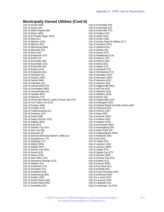City of Durant (MS) City of Dysart (IA) City of Eaton Rapids (MI) City of Eitzen (MN) City of El Dorado Spgs. (MO) City of Elba (AL) City of Elberton (GA) City of Elkhorn (WI) City of Ellensburg (WA) City of Ellsworth (IA) City of Elroy (WI) City of Enterprise (UT) City of Erath (LA) City of Escanaba (MI) City of Escondido (CA) City of Estherville (IA) City of Eudora (KS) City of Evergreen (AL) City of Fairbank (IA) City of Fairbury (NE) City of Fairfax (MN) City of Fairhope (AL) City of Farmersville (TX) City of Farmington (MO) City of Farnhamville (IA) City of Fayette (MO) City of Flatonia (TX) City of Floresville Electric Light & Power Sys (TX) City of Fort Collins CO (CO) City of Fosston (MN) City of Franklin (VA) City of Fredericksburg (IA) City of Fredonia (AZ) City of Friend (NE) City of Galion Electric (OH) City of Gallatin (MO) City of Galt (MO) City of Garden City (KS) City of Gas City (IN) City of Geneseo (Il City of Geneva Municipal Electric Utility (IL) City of Georgetown (TX) City of Giddings (TX) City of Gilbert (MN) City of Gillette (WY) City of Gilman City (MO) City of Girard (KS) City of Glasco (KS) City of Glen Elder (KS) City of Glenwood Springs (CO) City of Glidden (IA) City of Goldsmith (TX) City of Gonzales (TX) City of Goodland (KS) City of Gothenburg (NE) City of Grafton (ND) City of Grand Haven (MI) City of Grand Island (NE) City of Grantville (GA)

City of Greendale (IN) City of Greenfield (IA) City of Greenville (TX) City of Gridley (CA) City of Griffin (GA) City of Groton (SD) City of Groton Dept of Utilities (CT) City of Hampton (GA) City of Hartford (AL) City of Hartley (IA) City of Haven (KS) City of Healdsburg (CA) City of Hearne (TX) City of Hebron (NE) City of Hecla (SD) City of Helper (UT) City of Hemphill (TX) City of Hempstead (TX) City of Herington (KS) City of Hermann (MO) City of Herndon (KS) City of Heyburn (ID) City of Higginsville (MO) City of Hill City (KS) City of Hillsboro (KS) City of Hillsboro (ND) City of Hinton (IA) City of Hogansville (GA) City of Hoisington (KS) City of Holland Board of Public Works (MI) City of Holyrood (KS) City of Hominy (OK) City of Hope (ND) City of Houston (MO) City of Hudson (OH) City of Hugoton (KS) City of Hunnewell (MO) City of Huntingburg (IN) City of Idaho Falls (ID) City of Independence (MO) City of Indianola (NE) City of Iola (KS) City Of Isabel (KS) City of Jackson (GA) City of Jackson (MN) City of Jasper (TX) City of Jewett City (CT) City of Kahoka (MO) City of Kansas City (KS) City of Kaplan (LA) City of Kasson (MN) City of Key West (FL) City of Kimball (NE) City of Kings Mountain (NC) City of Kirkwood (MO) City of La Junta (CO) City of Lacrosse (KS) City of Lafayette (AL) City of LaGrange, Ga (GA)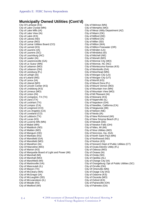City Of LaHarpe (KS) City of Lake Crystal (MN) City of Lake Mills (IA) City of Lake View (IA) City of Lakin (KS) City of Lakota (ND) City of Lamar (MO) City of Lamar Utilities Board (CO) City of Larned (KS) City of Laurens (IA) City of Laurens (SC) City of Laurinburg (NC) City of Lawler (IA) City of Lawrenceville (GA) City of Le Sueur (MN) City of Lebanon (MO) City of Lebanon (OH) City of Leesburg (FL) City of Lehigh (IA) city of Leland (MS) City of Lenox (IA) City of Liberal (MO) City of Lincoln Center (KS) City of Lindsborg (KS) City of Linneus (MO) City of Linton (IN) City of Livingston, TX (TX) City of Llano (TX) City of Lockhart (TX) City of Lompoc (CA) City of Longmont (CO) City of Los Angeles (CA) City of Loveland (CO) City of Lubbock (TX) City of Lucas (KS) City of Luverne MN (MN) City of Mabel (MN) City of Maddock (ND) City of Malden (MO) City of Mangum (OK) City of Mankato (KS) City of Mansfield (GA) City of Mansfield (MO) City of Marathon (IA) City Of Marceline (MO) City of Marion (KS) City of Marquette Board of Light and Power (MI) City of Marshall (MI) City of Marshall (MO) City of Marshfield (WI) City of Martinsville (VA) City of Mascoutah (IL) City of Mason (TX) City of McCleary (WA) City of McGregor (IA) City of McLaughlin (SD) City of McLeansboro (IL) City of Meade (KS) City of Medford (WI)

City of Melrose (MN) City of Memphis (MO) City of Mesa Utility Department (AZ) City of Miami (OK) City of Milford (DE) City of Milford (IA) City of Miller (SD) City of Milton (WA) City of Milton-Freewater (OR) City of Minden (LA) City of Minidoka (ID) City of Mitchell (NE) City of Monett (MO) City of Monroe City (MO) City of Monroe, NC (NC) City of Montezuma Kansas (KS) City of Monticello (GA) City of Moorhead (MN) City of Morgan City (LA) City of Morgan City (UT) City of Morrill (KS) City of Mount Dora (FL) City of Mount Vernon (MO) City of Mountain Iron (MN) City of Mountain View (MO) City of Mt Pleasant (IA) City of Mulvane (KS) City of Naperville (IL) City of Napoleon (OH) City of Needles, California (CA) City of Negaunee (MI) City of Nelson (NE) City of Neola (IA) City of New Richmond (WI) City of New Smyrna Beach (FL) City of Newark (DE) City of Newton Falls (OH) City of Niles, MI (MI) City of Nixa Utilities (MO) City of Norcross, Ga. (GA) City of North Saint Paul (MN) City of Northwood (ND) City of Norton (KS) City of Norwich Dept of Public Utilities (CT) City of Ocala Electric Utility (FL) City of Odessa (MO) City of Onawa (IA) City of Onida (SD) City of Opelika (AL) City of Orange City (IA) City of Orangeburg: Dpt of Public Utilities (SC) City of Orrville (OH) City Of Ortonville (MN) City of Osage City (KS) City of Osborne (KS) City of Osceola (MO) City of Oxford (KS) City of Painesville (OH) City of Palmetto (GA)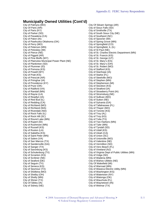City of Palmyra (MO) City Of Paris (AR) City of Paris (KY) City of Parker (SD) City of Pasadena (CA) City of Paton (IA) City of Pawhuska Oklahoma (OK) City of Perry (MO) City of Peterson (MN) City of Petoskey (MI) City of Pierce (NE) City of Piggott (AR) City of Pine Bluffs (WY) City of Plainview Municipal Power Plant (NE) City of Plankinton (SD) City of Plummer (ID) City of Pomona (KS) City of Powell (WY) City of Pratt (KS) City of Prescott (AR) City of Primghar (IA) City of Providence (KY) City of Pryor (OK) City of Radford (VA) City of Randall (MN) City of Rayne (LA) City of Readlyn (IA) City of Red Bud (IL) City of Redding (CA) City of Richland (MO) City of Richland (WA) City of Riverdale (ND) City of Rock Falls (IL) City of Rock Hill (SC) City of Round Lake (MN) City of Rupert (ID) City of Rushmore (MN) City of Russell (KS) City of Ruston (LA) City of Sabetha (KS) City of Saint Peter (MN) City of Salem (VA) City of San Marcos (TX) City of Sandersville (GA) City of Sanger (TX) City of Savonburg (KS) City of Schulenburg (TX) City of Scranton (KS) City of Scribner (NE) City of Seaford (DE) City of Seguin (TX) City of Seneca (KS) City of Seymour (TX) City of Shelbina (MO) City of Shelby (OH) City of Shelly (MN) City of Shiner (TX) City Of Sibley (IA) City of Sidney (NE)

City Of Siloam Springs (AR) City of Sioux Falls (SD) City of Smithville (TX) City of South Sioux City (NE) City of Southport (NC) City of Spooner (WI) City of Spring Grove (MN) City of Springfield (CO) City of Springfield, IL (IL) City of St Paul (NE) City of St. Charles Electric Department (MN) City of St. Francis (KS) City of St. George (UT) City of St. Mary's (KS) City of St. Mary's (OH) City of St. Robert (MO) City of Stafford (KS) City of Stanhope (IA) City of Starke (FL) City of Steelville (MO) City of Stephen (MN) City of Stephenson (MI) City of Stockton (KS) City of Stratford (IA) City of Strawberry Point (IA) City of Stromsburg (NE) City of Sullivan (MO) City of Sutton (NE) City of Sylvania (GA) City of Tallahassee (FL) City of Thayer (MO) City of Toronto (KS) City of Troy (AL) City of Troy (KS) City of Tulia (TX) City of Two Harbors (MN) City of Tyler (MN) City of Tyndall (SD) City of Udall (KS) City of Ukiah (CA) City of Union (SC) City of Unionville (MO) City of Valentine (NE) City of Vermillion (SD) City of Vero Beach (FL) City of Vineland (NJ) City of Virginia Dept of Public Utilities (MN) City of Volga (SD) City of Wadena (MN) City of Wahoo Utilities (NE) City Of Wakefield (MI) City of Warroad (MN) City of Waseca Electric Utility (MN) City of Washington (KS) City of Watertown (NY) City of Watonga (OK) City of Wauchula (FL) City of Waynetown (IN) City of Weimar (TX)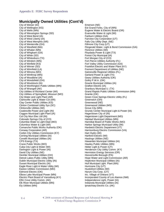City of Weiser (ID) City of Wellington (KS) City of Wells (MN) City of Wessington Springs (SD) City of West Bend (IA) City of West Liberty (IA) City of West Memphis (AR) City of Westerville (OH) City of Westfield (MA) City of Whalan (MN) City of Whigham (GA) City of White (SD) City of Whitesboro (TX) City of Windom (MN) City of Winfield (KS) City of Winner (SD) City of Winnfield (LA) City of Winona (MO) City of Winthrop (MN) City of Woodbine (IA) City of Woodsfield (OH) City of Woolstock (IA) City of Worthington Public Utilities (MN) City of Wrangell (AK) City Utilities of Richland Center (WI) City Utilities of Springfield, Missouri (MO) City Water and Light Plant (AR) Clarksville Light & Water Col (AR) Clay Center Public Utilities (KS) Clinton Combined Utility Sys (SC) Clintonville Utilities (WI) Coatesville Power and Light (IN) Coggon Municipal Light Plant (IA) Col City Mun Elec Util (IN) Colorado Springs City of (CO) Columbia Water & Light Dept (MO) Columbus Water & Light (WI) Comanche Public Works Authority (OK) Conway Corporation (AR) Corbin City Utilities Commission (KY) Corning Municipal Utilities (IA) Corwith Municipal Utilities (IA) CPS Energy (TX) Crane Public Works (MO) Cuba City Light & Water (WI) Darlington Light & Power (IN) David City Utilities (NE) Deshler Municipal Utilities (OH) Detroit Lakes Public Utility (MN) Dublin Municipal Electric Utility (IN) Durant Municipal Electric (IA) Eagle River Light & Water Utility (WI) Easton Utilities Commission (MD) Edmond Electric (OK) Elbow Lake Municipal Power (MN) Electric Plant Board of Vanceburg (KY) Elfin Cove Utility Comm. (AK) Elk River Municipal Utilities (MN) Ely Utilities (MN)

Emerson (NE) Est Grand Forks, City of (MN) Eugene Water & Electric Board (OR) Evansville Water & Light (WI) Fairburn Utilities (GA) Fairview City Corporation (UT) Falls City Utility Dept. (NE) Fillmore City Corp (UT) Fitzgerald Water, Light & Bond Commission (GA) Florence Utilities (WI) Floydada Power & Light (TX) Forest City Municipal (IA) Fort Morgan City of (CO) Fort Pierce Utilities Authority (FL) Fort Valley Utility Commission (GA) Frankfort Electric and Water Plant (KY) Fremont Department of Utilities (NE) Gainesville Regional Utilities (FL) Garland Power & Light (TX) Geary Utilities Authority (OK) Goltry P.W.A. (OK) Gowrie Municipal Utilities (IA) Grafton Electric (IA) Granbury Municipal U. (TX) Grand Rapids Public Utilities Commission (MN) Granite (OK) Green Cove Springs Electric Utility (FL) Greenwich (OH) Greenwood (NE) Greenwood Utilities (MS) Grove City (MN) Grundy Center Municipal Light & Power (IA) Hagerstown City of (IN) Hagerstown Light Department (MD) Halstad Municipal Utilities (MN) Hannibal Board of Public Works (MO) Harbor Springs Municipal Utility (MI) Hardwick Electric Department (VT) Harrisonburg Electric Commission (VA) Hart Hydro (MI) Hartford Electric (WI) Hastings Utilities (NE) Hawarden Municipal Utilities (IA) Hawley Public Utilities (MN) Heber Light & Power (UT) Henderson City Utility Comm. (KY) Hermiston Energy Services (OR) Hooversville Borough (PA) Hope Water and Light Commission (AR) Hopkinton Municipal Utilities (IA) Hull Municipal Light Plant (MA) Hurricane City (UT) Hustisford Utilities (WI) Hyrum City Corp. (UT) Inc. Village of Orleans (VT) Incorporated County of Los Alamos (NM) Independence Light, Power (IA) Indianola Municipal Utilities (IA) Ipnatchiaq Electric Co. (AK)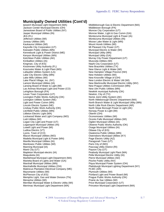Ipswich Municipal Light Department (MA) Jackson Center Municipal Electric (OH) Jamestown Board of Public Utilities (NY) Jasper Municipal Utilities (IN) JEA (FL) Jefferson Utilities (WI) Juneau Utilities (WI) Kaukauna Utilities (WI) Kaysville City Corporation (UT) Keewatin Public Utilities (MN) Kennebunk Light & Power District (ME) Kenyon Municipal Utilities (MN) Ketchikan Public Utilities (AK) Kimballton Utilities (IA) Kingman, City of (KS) Kissimmee Utility Authority (FL) Kosciusko Water & Light Plant (MS) Lafayette Utilities System (LA) Lake City Electric Utility (MN) Lake Mills Utilities (WI) Lake Placid Village, Inc. (NY) Lamoni Municipal Utilities (IA) Lansing Board of Water & Light (MI) Las Animas Municipal Light and Power (CO) Lehighton Borough (PA) Levan Town Corporation (UT) Lexington Public Works Authority (OK) Lexington Utilities System (NE) Light and Power Comm (MN) Lincoln Electric System (NE) Lindsay Public Work Authority (OK) Litchfield Public Utilities (MN) Littleton Electric Light (MA) Lockwood Water and Light Company (MO) Lodi Utilities (WI) Logan City Light and Power (UT) Logansport Municipal Utilities (IN) Lowell Light and Power (MI) Ludlow Electric (VT) Lyons, Town of (CO) Macon Municipal Utilities (MO) Madelia Municipal Light & Power (MN) Manilla Municipal Utilities (IA) Manitowoc Public Utilities (WI) Manning Municipal (IA) Manti City (UT) Mapleton Municipal electric (IA) Maquoketa (IA) Marblehead Municipal Light Department (MA) Marietta Board of Lights and Water (GA) Marshall Municipal Utilities (MN) Marshallville Municipal Utilities (OH) Matinicus Plantation Electrical Company (ME) Mazomanie Utilities (WI) McPherson City of (KS) Memphis Light, Gas and Water Division (TN) Menasha Utilities (WI) Merrillan Municipal Water & Electric Utility (WI) Merrimac Municipal Light Department (MA)

Middleborough Gas & Electric Department (MA) Middletown Borough (PA) Monroe City Corporation (UT) Monroe Water, Light & Gas Comm (GA) Montezuma Municipal Light & Power (IA) Montezuma Municipal Utilities (IN) Moose Lake Water & Light (MN) Mount Horeb Utilities (WI) Mt Pleasant City Power (UT) Municipal Electric & Water (WI) Municipal Utility (MN) Municipal Utility (GA) Murray City Power Department (UT) Muscoda Utilities (WI) Nephi City Corporation (UT) New Braunfels Utilities (TX) New Glarus Light & Water (WI) New Hampton Village Precinct (NH) New Holstein Utilities (WI) New Knoxville Village of (OH) New London Electric & Water Util (WI) New Martinsville Municipal Electric Utility (WV) New Prague Utilities Commission (MN) New Ulm Public Utilities (MN) Newkirk municipal Authority (OK) Newton, City of (TX) Nome Joint Utility System (AK) North Attleborough Electric Department (MA) North Branch Water & Light Municipal Utility (MN) North Little Rock Electric Department (AR) North Slope Borough Power & Light (AK) Norway Power & Light (MI) Oberlin (OH) Oconomowoc Utilities (WI) Oconto Falls Municipal Utilities (WI) Ogden Municipal Utilities (IA) Okeene Public Works Authority (OK) Osage Municipal Utilities (IA) Ottawa City of (KS) Owatonna Public Utilities (MN) Owensboro Municipal Utilities (KY) Page Electric Utility (AZ) Paragonah Town (UT) Paris City of (MO) Pascoag Utility District (RI) Payson City (UT) Peabody Municipal Light Plant (MA) Pella Municipal Electric Utility (IA) Pierre Municipal Utilities (SD) Pioche Public Utility (NV) Piqua Municipal Power System (OH) Plattsburgh Municipal Lighting Department (NY) PLWC (AR) Plymouth Utilities (WI) Portland Light and Power Board (MI) Prague Public Works Authority (OK) Prairie du Sac Utilities (WI) Price Municipal Corporation (UT) Princeton Municipal Light Department (MA)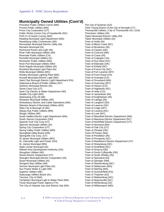Princeton Public Utilities Comm (MN) Proctor Public Utilities (MN) Provo City Corporation (UT) Public Works Comm-City of Fayetteville (NC) PUD #1 of Asotin County (WA) Reading Municipal Light Department (MA) Reedsburg Utility Commission (WI) Rensselaer Municipal Electric Utility (IN) Renwick Municipal (IA) Richmond Power and Light (IN) River Falls Municipal Utilities (WI) Riverside Public Utilities (CA) Rochelle Municipal Utilities (IL) Rochester Public Utilities (MN) Rock Port Municipal Utilities (MO) Rock Rapids Municipal Utilities (IA) Rockford Municipal Light Plant (IA) Rolla Municipal Utilities (MO) Rowley Municipal Lighting Plant (MA) Russell Municipal Electric Light (MA) Saint Clair Borough Electric Light Department (PA) Salamanca Board of Public Utilities (NY) Sanborn Municipal Electric (IA) Santa Clara City (UT) Sauk City Electric & Water Department (WI) Seattle City Light (WA) Sebewaing (City of) (MI) Shawano Municipal Utilities (WI) Shrewsbury Electric and Cable Operations (MA) Sikeston Board of Municipal Utilities (MO) Sitka City & Borough of (AK) Sleepy Eye Public Utilities (MN) Slinger Utilities (WI) South Hadley Electric Light Department (MA) South Vienna Corporation (OH) Spanish Fork City Corp (UT) Spencer Municipal Utilities (IA) Spring City Corporation (UT) Spring Valley Public Utilities (MN) Springfield Utility Board (OR) Springville City Corp. (UT) St James Municipal Utilities (MO) St. Clairsville Light and Power (OH) St. James Municipal (MN) State Center Municipal (IA) Stilwell Area Development Authority (OK) Stoughton Utilities (WI) Stowe Electric Department (VT) Straughn Municipal Electric Corporation (IN) Stuart Municipal Utilities (IA) Sturgeon Bay Utilities (WI) Sumner Municipal Light Plant (IA) Sun Prairie Water & Light (WI) Superior Utilities (NE) Sylacauga Utilities Board (AL) Tacoma, City of (WA) Templeton Municipal Light & Water Plant (MA) Texas Municipal Power Agency (TX) The City of Holyoke Gas and Electric Dpt (MA)

The City of Quitman (GA) Third Taxing District of the City of Norwalk (CT) Thomasville Utilities ( City of Thomasville GA ) (GA) Thorntown Utilities (IN) Tipton Municipal Electric Utility (IN) Tipton Municipal Utilities (IA) Town of Avilla (IN) Town of Black Creek (NC) Town of Brookston (IN) Town of Clayton (DE) Town of Concord (MA) Town of Crane (IN) Town of Culpeper (VA) Town of Due West (SC) Town of Eldorado (OK) Town of Enfield (NC) Town of Forest City (NC) Town of Fort Laramie (WY) Town of Front Royal (VA) Town of Granada (CO) Town of Groveland (MA) Town of Guernsey (WY) Town of Haxtun (CO) Town of Highlands (NC) Town of Holly (CO) Town of Jamestown (IN) Town of Knightstown (IN) Town of Ladoga (IN) Town of Langford (SD) Town of Laverne (OK) Town of Lingle (WY) Town of Lucama (NC) Town of Lusk (WY) Town of Mansfield Electric Department (MA) Town of Massena Electric Department (NY) Town of Northfield Electric Department (VT) Town of Norwood (MA) Town of Oak City (UT) Town of Olustee (OK) Town Of Paxton (MA) Town of Pendleton (IN) Town of Prosperity (SC) Town of Readsboro Electric Department (VT) Town of Sharpsburg (NC) Town of Smithfield (NC) Town of Smyrna (DE) Town of South Coffeyville (OK) Town of South Whitley (IN) Town of Spiceland (IN) Town of Springer (NM) Town of Stantonsburg (NC) Town of Steilacoom (WA) Town of Sterling (MA) Town of Summerfield (KS) Town of Thatcher (AZ) Town of Walstonburg (NC) Town of Waynesville (NC) Town of Wickenburg (AZ) Town of Williamsport (MD)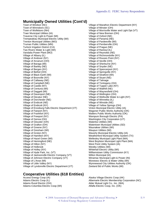Town of Windsor (NC) Town of Winnsboro (SC) Town of Wolfeboro (NH) Traer Municipal Utilities (IA) Traverse City Light & Power (MI) Trempealeau Municipal Electric Utility (WI) Trenton Municipal Utilities (MO) Truman Public Utilities (MN) Turlock Irrigation District (CA) Two Rivers Water & Light (WI) Vandalia Power Plant (MO) Village of Albany (IL) Village of Andover (NY) Village of Arcanum (OH) Village of Baraga (MI) Village of Bartley (NE) Village of Bergen (NY) Village of Bethel (OH) Village of Black Earth (WI) Village of Boonville (NY) Village of Callaway (NE) Village of Campbell (NE) Village of Castile (NY) Village of Centuria (WI) Village of Daggett (MI) Village of Davenport (NE) Village of Decatur (NE) Village of Dorchester (NE) Village of Endicott (NE) Village of Endicott (NY) Village of Enosburg Falls Electric Department (VT) Village of Fairport (NY) Village of Frankfort (NY) Village of Freeport (NY) Village of Genoa (OH) Village of Glouster (OH) Village of Grafton (OH) Village of Greene (NY) Village of Gresham (WI) Village of Groton (NY) Village of Hamilton (NY) Village of Hazel Green (WI) Village of Hemingford (NE) Village of Hilton (NY) Village of Holbrook Village of Holley (NY) Village of Hyde Park, Inc. (VT) Village of Jacksonville Electric Company (VT) Village of Johnson Electric Company (VT) Village of L'Anse (MI) Village of Little Valley (NY) Village of Lyndonville Electric Department (VT)

### **Cooperative Utilities (618 Entities)**

Access Energy Coop (IA) Adams Electric Coop (IL) Adams Rural Electric (OH) Adams-Columbia Electric Coop (WI) Village of Marathon Electric Department (NY) Village of Minster (OH) Village of Morrisville Water and Light Dpt (VT) Village of New Bremen (OH) Village of Oxford (NE) Village of Panama (NE) Village of Pardeeville (WI) Village of Pemberville (OH) Village of Prague (NE) Village of Rantoul (IL) Village of Reynolds (NE) Village of Richmondville (NY) Village of Rouses Point (NY) Village of Seville (OH) Village of Sherburne (NY) Village of Snyder (NE) Village of Spencerport (NY) Village of Springville (NY) Village of Stratford (WI) Village of Stuart (NE) Village of Talmage Village of Tontogany (OH) Village of Tupper Lake (NY) Village of Walthill (NE) Village of Waynesfield (OH) Village of Wellington (OH) Village of Wellsville Water & Light (NY) Village of Winnetka (IL) Village of Winside (NE) Village of Yellow Springs (OH) Vinton Municipal Electric Utility (IA) Wagoner Public Works Authority (OK) Walters Public Works Authority (OK) Wampum Borough Electric (PA) Washington City Corporation (UT) Waterloo Utilities (WI) Watertown Municipal Utilities (SD) Waunakee Utilities (WI) Waupun Utilities (WI) Waverly Municipal Electric Utility (IA) Weatherford Municipal Utility System (TX) Wellesley Municipal Light Plant (MA) West Boylston Municipal Light Plant (MA) West Point Utility System (IA) Westby Utilities (WI) Whitehall Electric Utility (WI) Williamstown Utility Commission (KY) Wilton Municipal (IA) Winamac Municipal Light & Power (IN) Wonewoc Electric & Water Utility (WI) Wynnewood City Utilities Authority (OK) Zeeland Bd of Public Works (MI)

Alaska Village Electric Coop (AK) Albemarle Electric Membership Corporation (NC) Alder Mutual Light Co., Inc. (WA) Alfalfa Electric Coop, Inc. (OK)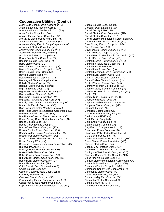### **Cooperative Utilities (Cont'd)**

Alger Delta Coop Electric Association (MI) Altamaha Electric Member Corp (GA) Amicalola Electric Membership Corp (GA) Anza Electric Coop, Inc. (CA) Arizona Electric Power Coop, Inc. (AZ) Ark Valley Electric Coop Assn., Inc. (KS) Arkansas Electric Coop Corporation (AR) Arkansas Valley Electric Coop Corporation (AR) Arrowhead Electric Coop, Inc. (MN) Ashley-Chicot Electric Coop, Inc. (AR) Associated Electric Coop, Inc (MO) Atchison-Holt Electric Coop (MO) Bailey County Elec Coop Assn (TX) Bandera Electric Coop, Inc. (TX) Barry Electric Coop (MO) Bartholomew County Rural E M C (IN) Barton County Electric Coop, Inc. (MO) Basin Electric Power Coop (ND) Bayfield Electric Coop (WI) Beartooth Electric Coop, Inc. (MT) Beauregard Electric Co-op Inc (LA) Belfalls Electric Coop Inc (TX) Beltrami Electric Coop, Inc (MN) Big Flat Electric Coop. (MT) Big Horn County Electric Coop, Inc (MT) Big Horn Rural Electric Co (WY) Big Rivers Electric Corporation (KY) Big Sandy Rural Elec Coop Corp (KY) Blachly Lane County Coop Electric Assn (OR) Black Hills Electric Coop, Inc. (SD) Black Warrior Electric Member Corp (AL) Blue Ridge Electric Membership Corporation (NC) Bluestem Electric Coop, Inc. (KS) Bon Homme Yankton Electric Assn., Inc. (SD) Boone County Rural Electric Member Corp (IN) Boone Electric Coop (MO) Boone Valley Electric Coop (IA) Bowie-Cass Electric Coop, Inc. (TX) Brazos Electric Power Coop, Inc. (TX) Bridger Valley Electric Association, Inc. (WY) Broad River Electric Coop, Inc. (SC) Brown Atchison Electric Coop Assn., Inc. (KS) Brown County REA (MN) Brunswick Electric Membership Corporation (NC) Buckeye Power, Inc. (OH) Buckeye Rural Electric Coop Inc (OH) Burke-Divide Electric Coop (ND) Butler County Rural Electric Coop (IA) Butler Rural Electric Coop Assn., Inc. (KS) Butler Rural Electric Coop, Inc. (OH) Butte Electric Coop, Inc. (SD) C & L Electric Coop Corporation (AR) Caddo Electric Coop (OK) Calhoun County Electric Coop Assn (IA) Callaway Electric Coop (MO) Cam Wal Electric Coop, Inc (SD) Caney Valley Electric Coop Assn., Inc. (KS) Canoochee Electric Member Corp (GA) Cape Hatteras Electric Membership Corp (NC)

Capital Electric Coop, Inc. (ND) Carbon Power & Light Inc (WY) Carroll County REMC (IN) Carroll Electric Coop Corporation (AR) Carroll Electric Coop, Inc. (OH) Carroll Electric Membership Corporation (GA) Carteret-Craven El Member Corp (NC) Cass County Electric Coop, Inc. (ND) Cass Electric Coop (IA) Cavalier Rural Electric Coop, Inc. (ND) Central Electric Coop, Inc (OR) Central Electric Membership Corporation (NC) Central Electric Power Coop (MO) Central Electric Power Coop, Inc. (SC) Central Florida Electric Coop, Inc (FL) Central Indiana Power (IN) Central Iowa Power Coop (IA) Central Montana Electric Power Coop (MT) Central Rural Electric Coop (OK) Central Texas Electric Coop, Inc. (TX) Central Valley Electric Coop Inc. (NM) Central Virginia Electric Coop (VA) Central Wisconsin Electric Coop (WI) Chariton Valley Electric Coop Inc. (IA) Charles Mix Electric Association, Inc. (SD) Chelco (FL) Cherry Todd Electric Coop Inc. (SD) Cherryland Electric Coop (MI) Chippewa Valley Electric Coop (WIS) Choptank Electric Coop, Inc. (MD) Chugach Electric (AK) Cimarron Electric Coop (OK) Claiborne Electric Coop, Inc. (LA) Clark County REMC (IN) Clark Electric Coop (WI) Clark Energy Coop, Inc. (KY) Clarke Electric Coop, Inc (IA) Clay Electric Co-operative, Inc. (IL) Clearwater Power Company (ID) Clearwater-Polk Electric Coop, Inc. (MN) CMS Electric Coop., Inc. (KS) Coahoma Electric Power Association (MS) Coast Electric Power Association (MS) Coastal Electric Coop (GA) Cobb E M C - Pataula District (GA) Cobb Electric Membership Corp (GA) Codington-Clark Electric Coop, Inc. (SD) Coleman County Electric Coop. Inc (TX) Coles-Moultrie Electric Coop (IL) Colquitt Electric Membership Corporation (GA) Columbia Basin Electric Coop, Inc. (OR) Columbus Electric Coop, Inc. (NM) Comanche County Elec Coop Assn (TX) Community Electric Coop (VA) Co-Mo Electric Coop, Inc. (MO) Concho Valley Elec Coop Inc (TX) Concordia Electric Coop Inc (LA) Connexus Energy (MN) Consolidated Electric Coop (MO)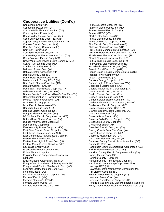Consumers Energy (IA) Consumers Power, Inc. (OR) Cookson Hills Electric Coop, Inc. (OK) Coop Light and Power (MN) Coosa Valley Electric Coop, Inc. (AL) Coos-Curry Electric Coop, Inc. (OR) Copper Valley Electric Association, Inc. (AK) Cordova Electric Coop, Inc. (AK) Corn Belt Energy Corporation (IL) Corn Belt Power Coop Covington Electric Coop, Inc. (AL) Coweta-Fayette Electric Member Corp (GA) Craig-Botetourt Electric Coop (VA) Crow Wing Coop Power & Light Company (MN) Cuivre River Electric Coop (MO) Cumberland Valley Electric (KY) Dairyland Power Coop (WI) Dakota Electric Association (MN) Dakota Energy Coop (SD) Darke Rural Electric Coop. (OH) Daviess-Martin County REMC (IN) Deaf Smith Electric Coop, Inc. (TX) Decatur County REMC (IN) Deep East Texas Electric Coop, Inc. (TX) Delaware Electric Coop, Inc. (DE) Denton County Elec Coop, d/b/a CoServ Elec (TX) Deseret Generation & Transmission Coop (UT) Diverse Power Incorporated (GA) Dixie Electric Coop (AL) Dixie Electric Power Assn (MS) Doniphan Electric Coop (KS) Douglas Electric Coop Inc. (OR) Douglas Electric Coop, Inc. (SD) DS&O Rural Electric Coop Assn. Inc. (KS) Dubois Rural Electric Coop, Inc. (IN) Duncan Valley Electric Coop (AZ) Dunn Energy Coop (WI) East Kentucky Power Coop, Inc. (KY) East River Electric Power Coop, Inc. (SD) East Texas Electric Coop, Inc. (TX) East-Central Iowa Rural Electric Coop (IA) Eastern Illini Electric Coop (IL) Eastern Iowa Light & Power Coop (IA) Eastern Maine Electric Coop Inc. (ME) Eau Claire Energy Coop Edgecombe-Martin County E M C Edisto Electric Coop, Inc. Egyptian Electric Cooperative Association **Elmhurst** Empire Electric Association, Inc. (CO) Energy Coop Association of Pennsylvania (PA) EnergyUnited Electric Membership Corp (NC) Excelsior Electric Member Corp (GA) Fairfield Electric (SC) Fall River Rural Electric Coop, Inc. (ID) Farmers' Electric (NM) Farmers Electric Co LTD (ID) Farmers Electric Coop (IA) Farmers Electric Coop Corp (AR)

Farmers Electric Coop, Inc (TX) Farmers' Electric Coop, Inc. (MO) Farmers Mutual Electric Co. (IL) Farmers RECC (KY) FEM Electric Assn., Inc (SD) Fergus Electric Coop, Inc. (MT) Firelands Electric Coop, Inc. (OH) First Electric Coop Corporation (AR) Flathead Electric Coop, Inc. (MT) Flint Electric Membership Corporation (GA) Flint Hills Rural Electric Coop Assn., Inc. (KS) Florida Keys Electric Coop Assn. Inc. (FL) Flowell Electric Association, Inc. (UT) Fort Belknap Electric Coop, Inc. (TX) Four County Elec Member Corp (NC) Fox Islands Electric Coop, Inc. (ME) Franklin Rural Electric Coop (IA) French Broad Electric Membership Corp (NC) Frontier Power Company (OH) Fulton County REMC (IN) Garakne Energy Coop, Inc. (UT) Garland Light & Power Company (WY) Gascosage Electric Coop (MO) Georgia Transmission Corporation (GA) Glacier Electric Coop, Inc (MT) Glades Electric Coop, Inc. (FL) Glidden Rural Electric Coop (IA) Golden Spread Electric Coop, Inc. (TX) Golden Valley Electric Association, Inc (AK) Goldenwest Electric Coop, Inc. (MT) Grady Electric Member Corp (GA) Graham County Electric Coop, Inc. (AZ) Grand Valley Power (CO) Grayson Rural Electric (KY) Grayson-Collin Electric Coop, Inc. (TX) Great Lakes Energy Coop (MI) Great River Energy (MN) Greenbelt Electric Coop, Inc. (TX) Grundy County Rural Elec Coop (IA) Grundy Electric Coop, Inc. (MO) Guernsey Muskingum EC (OH) Gulf Coast Electric Coop, Inc. (FL) Gunnison County Electric Association, Inc. (CO) Guthrie Co REC (IA) Habersham Electric Membership Corporation (GA) Halifax Electric Member Corp (NC) Hamilton County Electric Coop Association (TX) Harney Electric Coop (OR) Harrison County REMC (IN) Harrison County Rural Electric Coop (IA) Hart Electric Membership Corporation (GA) Hawkeye REC (IA) Haywood Electric Membership Corporation (NC) H-D Electric Coop Inc. (SD) Heart of Texas Electric Coop Inc (TX) Heartland Power Coop (IA) Heartland Rural Electric Coop, Inc. (KS) Hendricks County Rural Elec Membership Coop (IN) Henry County Rural Electric Membership Corp (IN)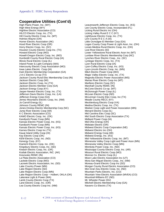High Plains Power, Inc. (WY) High West Energy (WY) Highline Electric Association (CO) HILCO Electric Coop, Inc. (TX) Hill County Electric Coop, Inc. (MT) Holmes-Wayne (OH) Homer Electric Association (AK) Hood River Electric Coop (OR) Horry Electric Coop, Inc. (SC) Houston County Electric Coop Inc. (TX) Howard Electric Coop (MO) Howell-Oregon Electric Coop, Inc. (MO) Humboldt County Rural Electric Coop (IA) Illinois Rural Electric Coop (IL) Inland Power & Light Company (WA) Intercounty Electric Coop Association (MO) Iowa Lakes Electric Coop (IA) Irwin Electric Membership Corporation (GA) J-A-C Electric Co-op (TX) Jackson County Rural Elec Membership Corp (IN) Jackson Electric Coop (WI) Jackson Electric Coop, Inc (TX) Jackson Electric Member Corp (GA) Jackson Energy Coop (KY) Jasper-Newton Electric Coop, Inc. (TX) Jefferson Davis Electric Coop, Inc. (LA) Jefferson Energy Coop (GA) Jemez Mountains Electric Coop, Inc. (NM) Jo-Carroll Energy (IL) Johnson County REMC (IN) Jones-Onslow Electric Membership Corp (NC) Jump River Electric Coop (WI) K C Electric Association (CO) KAMO Electric Coop, Inc. (OK) Kandiyohi Power Coop (MN) Kansas Electric Power Coop, Inc. (KS) Kandiyohi Power Coop (MN) Kansas Electric Power Coop, Inc. (KS) Karnes Electric Coop Inc (TX) Kauai Island Utility Coop (HI) Kay Electric Coop (OK) KEM Electric Coop, Inc. (ND) Kenergy Corp. (KY) Kiamichi Electric Coop, Inc. (OK) Kingsbury Electric Coop, Inc. (SD) Kiwash Electric Coop, Inc. (OK) Kodiak Electric Association, INC. (AK) Kosciusko REMC (IN) La Plata Electric Association (CO) Laclede Electric Coop (MO) Lacreek Electric Association, Inc. (SD) Lake Country Power (MN) Lake Region Electric (SD) Lake Region Electric Coop (MN) Lake Region Electric Coop ~ Hulbert, OKLA (OK) Lakeview Light & Power (WA) Lamb County Electric Coop (TX) Lane Electric Coop, Inc. (OR) Lea County Electric Coop Inc. (NM)

Leavenworth-Jefferson Electric Coop, Inc. (KS) Lee County Electric Coop, Incorporated (FL) Licking Rural Electric Inc (OH) Licking Valley Rural E C C (KY) Lighthouse Electric Coop, Inc. (TX) Linn County R E C A (IA) Little Ocmulgee El Member Corp (GA) Logan County Coop Power & Light Assn, Inc. (OH) Lorain-Medina Rural Electric Coop, Inc. (OH) Lost River Electric (ID) Lower Yellowstone Rural Electric Assn Inc (MT) Lumbee River Electric Membership Corp (NC) Lynches River Electric Coop., Inc. (SC) Lyntegar Electric Coop, Inc. (TX) Lyon Rural Electric Coop (IA) Lyon-Coffey Electric Coop, Inc. (KS) Lyon-Lincoln Electric Coop, Inc. (MN) M&A Electric Power Coop (MO) Magic Valley Electric Coop, Inc. (TX) Magnolia Electric Power Association (MS) Marias River Electric Coop Inc (MT) Marlboro Electric Coop (SC) Marshall County REMC (IN) McCone Electric Co-op. (MT) McDonough Power Coop (IL) McLean Electric Coop (ND) McLennan County Elec Coop, Inc (TX) Meade County RECC (KY) Mecklenburg Electric Coop (VA) Medina Electric Coop, Inc. (TX) Meeker Coop Light and Power Association (MN) Menard Electric Coop (IL) Mid Carolina Elec Coop (SC) Mid South Electric Coop Association (TX) Midland Power Coop (IA) Mid-Ohio Energy (OH) Midstate Electric (OR) Midwest Electric Coop Corporation (NE) Midwest Electric Inc (OH) Midwest Energy Coop (MI) Midwest Energy, Inc. (KS) Mid-Yellowstone Electric Coop, Inc. (MT) Minnesota Valley Coop Light and Power Assn (MN) Minnesota Valley Electric Coop (MN) Minnkota Power Coop, Inc. (ND) Mississippi County Electric Coop, Inc. (AR) Missouri Rural Electric Coop (MO) Monroe Co. Electric Coop (IL) Moon Lake Electric Association Inc (UT) Mora-San Miguel Electric Coop., Inc. (NM) Moreau-Grand Electric Coop Inc (SD) Morgan County Rural Electric Association (CO) Mor-Gran-Sou Electric Coop, Inc. (ND) Mountain Parks Electric, Inc. (CO) Mountain View Electric Association (MVEA) (CO) Mountrail-Williams EC (ND) Mt. Wheeler Power (NV) Mitchell Electric Membership Corp (GA) Navarro Co Electric (TX)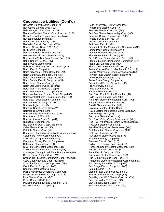Navasota Valley Electric Coop (TX) Navopache Electric Coop (AZ) Nelson Lagoon Elec Coop Inc (AK) Nemaha-Marshall Electric Coop Assn, Inc. (KS) Nespelem Valley Electric Coop, Inc. (WA) Nevada Irrigation District (CA) Nevada Power Authority (CA) New-Mac Electric Coop, Inc. (MO) Newton County Rural E M C (IN) NH Electric Coop (NH) Ninnescah Rural Electric Coop (KS) Niobrara Electric Association Inc (WY) Nishnabotna Valley Rural Electric Coop (IA) Noble County R.E.M.C. (IN) Nobles Coop Electric (MN) Nolin Rural Electric Coop Corporation (KY) Norris Electric Coop (IL) North Arkansas Electric Coop, Inc. (AR) North Carolina El Member Corp (NC) North Central Electric Coop, Inc. (ND) North Central Electric Coop, Inc. (OH) North Itasca Electric Coop (MN) North Star Electric Coop Inc. (MN) North West Rural Electric Coop (IA) North Western Electric Coop Inc (OH) Northeast Missouri Electric Power Coop (MO) Northeast Oklahoma Electric Coop., Inc. (OK) Northeast Texas Electric Coop, Inc. (TX) Northern Electric Coop, Inc. (MT) Northern Lights, Inc. (ID) Northern Neck Electric Coop (VA) Northern Rio Arriba (NM) Northern Virginia Electric Coop (VA) Northeastern REMC (IN) Northwest Iowa Power Coop (IA) Nushagak Coop Inc. (AK) NW Electric Power Coop., Inc. (MO) Oahe Electric Coop Inc (SD) Oakdale Electric Coop (WI) Ocmulgee Electric Membership Corporation (GA) Oglethorpe Power Corporation (GA) Ohop Mutual Light Company (WA) Okanogan County Electric Coop (WA) Oklahoma Electric Coop (OK) Oliver-Mercer Electric Coop, Inc. (ND) Oneida-Madison Electric Coop Inc. (NY) Ontonagon County Rural Electrification Assn (MI) Orcase Power & Light Coop (WA) Oregon Trail Electric Consumers Coop, Inc. (OR) Otero County Electric Coop, Inc. (NM) Ouachita Electric Coop Corporation (AR) Ozark Electric Coop, Inc. (MO) Ozarks Electric Coop Corp (AR) Pacific Northwest Generating Coop (OR) Panola-Harrison Electric Coop, Inc. (TX) Park Electric Coop Inc. (MT) Parke County REMC (IN) Paulding Putnam Electric Coop Inc. (OH) Pea River Electric Coop (AL)

Pearl River Valley El Pwr Assn (MS) Pedernales Electric Coop (TX) Pee Dee Electric Coop, Inc. (SC) Pee Dee Electric Membership Corp. (NC) Pemiscot Dunklin Electric Coop (MO) People's Coop Services (MN) People's Electric Coop (OK) Petit Jean Electric (AR) Piedmont Electric Membership Corporation (NC) Pierce Pepin Coop Services (WI) Pioneer Electric Coop, Inc. (KS) Pioneer Rural Electric Coop (OH) Pitt & Greene Electric Member Corp (NC) Planters Electric Membership Corporation (GA) Platte Clay Electric Coop (MO) Plumas-Sierra Rural Electric Coop (CA) Pointe Coupee Electric Membership Corp (LA) Poudre Valley Rural Electric Association (CO) Powder River Energy Corporation (WY) Power Resources Coop (OR) PowerSouth Energy Coop (AL) Prairie Land Electric Coop, Inc. (KS) Prairie Power, Inc. (IL) Price Electric Coop (WI) Radiant Electric Coop (KS) Raft River Rural Electric Coop, Inc. (ID) Ralls County Electric Coop (MO) Randolph Electric membership Corp. (NC) Rappahannock Electric Coop (VA) Ravalli Electric Coop, Inc. (MT) Rayburn Country Electric Coop (TX) Rayle Electric Membership Corporation (GA) REA Energy Coop (PA) Red Lake Electric Coop (MN) Red River Valley Co-op Power Assoc. (MN) Red River Valley Rural Electric Association (OK) Redwood Electric Coop (MN) Renville-Sibley Coop Power Assn. (MN) Rich Mountain Electric Coop, Inc. (AR) Richland Electric Coop (WI) Rita Blanca Electric Coop Inc. (TX) Riverland Energy Coop (WI) Roanoke Electric Coop (NC) Rolling Hills Electric Coop, Inc. (KS) Roosevelt County Electric Coop, Inc. (NM) Rosebud Electric Coop, Inc. (SD) Rural Electric Coop, Inc (OK) Rushmore Electric Power Coop (SD) Rusk County Electric Coop, Inc. (TX) Rutherford Electric Membership Corporation (NC) Sac County Rural Electric Coop (IA) Sac Osage Electric Coop, Inc. (MO) Salem Electric (OR) Salmon River Electric Coop, Inc. (ID) Salt River Electric Coop. Corp. (KY) Sam Rayburn G&T Electric Coop Inc. (TX) San Luis Valley R E C, Inc (CO) San Miguel Electric Coop (TX) San Miguel Power Assn., Inc. (CO)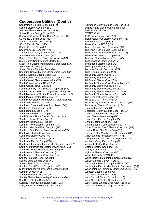San Patricio Electric Coop, Inc. (TX) Santee Electric Coop, Inc (SC) Sawnee Electric Member Corp (GA) Scenic Rivers Energy Coop (WI) Sedgwick County Electric Coop Assn., Inc. (KS) Se-Ma-No Electric Coop (MO) Seminole Electric Coop, Inc. (FL) SEMO Electric Coop (MO) Shelby Electric Coop (IL) Shelby Energy Coop Inc (KY) Shenandoah Valley Electric Coop (VA) Sho-Me Power Electric Coop (MO) Singing River Electric Power Association (MS) Sioux Valley Southwestern Electric (SD) Slash Pine Electric Membership Corporation (GA) Slope Electric Coop (ND) Smarr Electric Member Corp (GA) Snapping Shoals Electric Membership Coop (GA) South Alabama Electric Coop (AL) South Central Arkansas Electric Coop, Inc. (AR) South Central Electric Association (MN) South Central Indiana REMC (IN) South Central power Co. (OH) South Kentucky Rural Electric Coop Corp (KY) South Louisiana Electric Coop Association (LA) South Mississippi Electric Power Association (MS) South Plains Electric Coop Inc (TX) South River Electric Membership Corporation (NC) South Side Electric, Inc. (ID) Southeast Colorado Power Association (CO) Southeast Electric Coop (MT) Southeastern Electric (OK) Southeastern Electric Coop (SD) SouthEastern Illinois Electric Coop, Inc. (IL) Southern Illinois Power Coop (IL) Southern Indiana REC, Inc. (IN) Southern Iowa Electric Coop, Inc. (IA) Southern Maryland Elec Coop Inc (MD) Southern Pine Electric Power Association (MS) Southside Electric Coop (VA) Southside Electric Coop (VA) Southwest Arkansas E C C (TX) Southwest Electric Coop (MO) Southwest Louisiana Electric Membership Corp (LA) Southwest Mississippi Electric Power Assn (MS) Southwest Rural Electric Association (OK) Southwestern Electric Coop, Inc. (IL) Southwestern Electric Coop, Inc. (NM) Springer Electric Coop, Inc. (NM) Square Butte Electric Coop (ND) Stearns Electric Assn. (MN) Steuben Rural Electric Coop, Inc. (NY) Sulphur Springs Valley Electric Coop Inc (AZ) Sumner-Cowley (KS) Sumter Electric Coop, Inc. (FL) Sumter Electric Membership Corporation (GA) Sun River Electric Coop (MT) Surprise Valley Electrification Corp. (CA) Surry-Yadkin Elec Member Corp (NC)

Suwannee Valley Electric Coop, Inc. (FL) Swans Island Electric Co-op Inc (ME) Swisher Electric Coop. (TX) SWTEC (TX) T I P Rural Electric Coop (IA) Tallapoosa River Electric Coop, Inc. (AL) Talquin Electric Coop (FL) Taylor County RECC (KY) Tex-La Electric Coop-Texas Inc. (TX) The Lane-Scott Electric Coop, Inc. (KS) Three Notch Electric Member Corp (GA) Three Rivers Electric Coop (MO) Tideland Electric Member Corp (NC) Todd-Wadena Electric Coop (MN) Tombigbee Electric Coop (AL) Tombigbee Electric Coop (AL) Traverse Electric Coop, Inc. (MN) Trico Electric Coop, Inc. (AZ) Tri-County Electric Coop (MI) Tri-County Electric Coop (MN) Tri-County Electric Coop (OK) Tri-County Electric Coop Association (MO) Tri-County Electric Coop, Inc. (IL) Tri-County Electric Coop, Inc. (TX) Tri-County Electric Member Corp (GA) Tri-County Electric Member Corp (NC) Trinity Valley Electric Coop, Inc. (TX) Tri-State G & T Assn, Inc (CO) Twin County Electric Power Association (MS) Twin Valley Electric Coop, Inc. (KS) Umatilla Electric Coop (OR) Unalakleet Valley Electric Coop, Inc. (AK) Union County Electric Coop, Inc. (SD) Union Electric Membership (NC) Union Rural Electric Coop Inc (OH) United Electric Co-op Inc. (ID) United Electric Coop Services, Inc. (TX) Upper Missouri G & T Electric Coop, Inc. (MT) Upshur Rural Elec Coop Corp (TX) Upson Electric Membership Corporation (GA) Valley Electric Association, Inc. (NV) Valley Electric Membership Corporation (LA) Verdigris Valley Electric Coop (OK) Vermont Electric Coop, Inc. (VT) Victoria Electric Coop, Inc. (TX) Victory Electric Coop Assn Inc (KS) Vigilante Electric Coop, Inc (MT) Wabash County REMC (IN) Wake Electric Membership Corporation (NC) Walton Electric Member Corp (GA) Washington Electric Coop Inc NPCC (VT) Washington Electric Membership Corporation (GA) Washington-St.Tammany Electric Coop, Inc. (LA) Webster Electric Coop (MO) Wells Rural Electric Co. (NV) West Central Electric Coop, Inc. (MO) West Central Electric Coop, Inc. (MO) West Florida Electric Coop Assn. Inc. (FL) West Plains Electric Coop, Inc. (ND)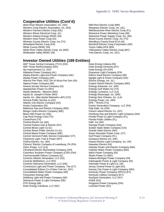West River Electric Association, Inc. (SD) Western Coop Electric Association, Inc. (KS) Western Farmers Electric Coop (OK) Western Illinois Electrical Coop. (IL) Western Indiana Energy REMC (IN) Western Iowa Power Coop (IA) Wharton County Electric Coop, Inc (TX) Wheatland Electric Coop (KS) White County REMC (IN) White River Valley Electric Coop, Inc (MO) Whitewater Valley REMC (IN)

Wild Rice Electric Coop (MN) Wiregrass Electric Coop, Inc. (AL) Withlacoochee River Electric Coop (FL) Wolverine Power Marketing Coop (MI) Wolverine Power Supply Coop, Inc. (MI) Wood County Electric Coop, Inc (TX) Woodbury County Rural ECA (IA) Woodruff Electric Coop Corporation (AR) Yazoo Valley EPA (MS) Yellowstone Valley Electric Coop (MT) York Electric Coop, Inc. (SC)

## **Investor Owned Utilities (189 Entities)**

AEP Texas Central Company (TCC) (OH) AEP Texas NorthCompany (OH) Ajo Improvement Co. (AZ) Alabama Power Company (AL) Alaska Electric Light and Power Company (AK) Alaska Power Company (AK) Warrick Pwr Plant, AGC Div of Alcoa Pwr Gen (IN) Alpena Power Company (MI) Amana Society Service Company (IA) Appalachian Power Co (WV) Aquila Networks - Missouri (MO) Aquila St. Joseph's Power (MO) Aquila, Inc. (dba Aquila Networks-L&P) (CO) Arizona Public Service co (AZ) Atlantic City Electric Company (NJ) Avista Corporation (ID) Baltimore Gas and Electric Company (MD) Bangor Hydro-Electric Company (ME) Black Hills Power Inc (SD) Cap Rock Energy Corp (TX) CenterPoint (TX) Central Electric Inc (AK) Central Hudson Gas & Electric (NY) Central Illinois Light Co (IL) Central Illinois Public Service Co (IL) Central Maine Power Company (ME) Central Vermont Public Service Corporation (VT) Cheyenne Light, Fuel & Power (WY) Chitina Electric, Inc. (AK) Citizens' Electric Company of Lewisburg, PA (PA) Cleco Power, LLC (LA) Cleveland Electric Illuminating Company (OH) Columbus Southern Power Company (CSP) (OH) Commonwealth Edison Company (IL) Conectiv Atlantic Generation, LLC (NJ) Conectiv Bethlehem, LLC (PA) Conectiv Delmarva Generation, LLC (DE) Connecticut Light and Power Company, The (CT) Consolidated Edison Co of New York Inc. (NY) Consolidated Water Power Company (WI) Consumers Energy (MI) Dahlberg Light and Power Company (WI) Delmarva Power & Light Company (DE) DTE Energy (MI) Duke Energy Carolinas, LLC (NC)

Duke Energy Indiana (IN) Duke Energy Kentucky (KY) Duke Energy OH (OH) Duquesne Light Company (PA) Edison Sault Electric Company (MI) Egegik Light & Power Company (AK) Electric Energy, Inc. (IL) Empire District Electric Company (MO) Entergy Arkansas, Inc. (AR) Entergy Gulf States Inc (TX) Entergy Louisiana, LLC (LA) Entergy Mississippi, Inc. (MS) Entergy New Orleans, Inc. (LA) Entergy Power, Inc. (AR) EPE - TEXAS (TX) Exelon Generation Company, LLC (PA) Fale-Safe, Inc (OR) Fishers Island Electric Co. (NY) Fitchburg Gas and Electric Light Company (NH) Florida Power & Light Company (FL) Florida Public Utilities (FL) G&K, Inc (AK) Georgia Power Company (GA) Golden State Water Company (CA) Granite State Electric (NH) Green Mountain Power Corp. (VT) Gulf Power Company (FL) Gustavus Electric Inc. (AK) Hawaii Electric Light Company, Inc. (HI) Hawaiian Electric (HI) Holyoke Power and Electric Company (MA) Holyoke Water Power Company (MA) Idaho Power Company (ID) Illinois Power Co (MO) Indiana-Michigan Power Company (IN) Indianapolis Power & Light Company (IN) Interstate Power & Light Co. (IA) Jersey Central Power & Light (NJ) Kansas City Power & Light Company (MO) Kentucky Power Company (KPCo) (KY) Kentucky Utilities Company (KY) KeySpan Generation, LLC (NY) KG&E (KS) Kingsport Power Company (OH) Lockhart Power (SC)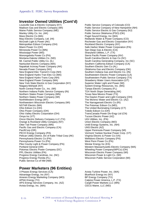## **Investor Owned Utilities (Cont'd)**

Louisville Gas & Electric Company (KY) Madison Gas and Electric Company (WI) Maine Public Service Company (ME) Manley Utility Co. Inc. (AK) Mass Electric Co (MA) Maui Electric Company, Ltd. (HI) McGrath Light & Power (AK) Metropolitan Edison Company (OH) Miami Power Co (OH) Minnesota Power Co (MN) Mississippi Power (MS) Monongahela Power Co (PA) Montana-Dakota Utilities Co. (ND) Mt. Carmel Public Utility Co. (IL) Nantucket Electric Company (MA) Napakiak Ircinraq Power Company (AK) Nevada Power Company (NV) New England Elec Transm'n Corp (NH) New England Hydro-Tran Elec Co (MA) New England Hydro-Trans Corp (NH) New England Power Company (MA) New York State Electric & Gas Corporation (NY) Niagara Mohawk (NY) North Central Power Co., Inc. (WI) Northern Indiana Public Service Company (IN) Northern States Power Company (MN) Northern States Power Company (WI) NorthWestern Energy (MT) Northwestern Wisconsin Electric Company (WI) NSTAR Electric (MA) Ohio Edison Co (OH) Ohio Power Company (OH) Ohio Valley Electric Corporation (OH) Omya Inc (VT) Oncor Electric Delivery Company LLC (TX) Orange & Rockland Utility Company (NY) Otter Tail Power Company (MN) Pacific Gas and Electric Company (CA) PacifiCorp (OR) PECO Energy Company (PA) Pelican Utility District, Div of Kake Tribal Corp (AK) Pennsylvania Electric Co (PA) Pennsylvania Power Co (PA) Pike County Light & Power Company (PA) Portland General (OR) Potomac Electric Power Company (DC) PPL Electric Utilities (PA) Progress Energy Carolinas, Inc. (NC) Progress Energy Florida (FL) Public Service Co of NM (NM)

## **Power Marketers (96 Entities)**

3 Phases Energy Services (CA) Advantage Energy, Inc (NY) Ameren Energy Marketing Company (MO) APNA Energy (TX) APS Energy Services Company, Inc. (AZ) Avista Energy, Inc. (WA)

Public Service Company of Colorado (CO) Public Service Company of New Hampshire (NH) Public Service Electric & Gas Company (NJ) Public Service Oklahoma (PSO) (OK) Puget Sound Energy, Inc (WA) Redlands Water & Power Company (CO) Rochester Gas and Electric Corporation (NY) Rockland Electric Company (NY) Safe Harbor Water Power Corporation (PA) San Diego Gas & Electric (CA) Sharyland Utilities, L.P. (TX) Sierra Pacific Power Company (NV) South Carolina Electric & Gas Co (SC) South Carolina Generating Company, Inc (SC) Southern California Edison Company (CA) Southern Electric Gen Co (AL) Oklahoma Gas and Electric Company (OK) Southern Indiana Gas and Electric Co. (IN) Southwestern Electric Power Company (LA) Southwestern Public Service Company (TX) Strawberry Water Users Association (UT) Superior Water Light and Power (WI) System Energy Resources, Inc. (MS) Tampa Electric Company (FL) TDX North Slope Generating (AK) Texas New Mexico Power (TX) The Dayton Power and Light Company (OH) The Morenci Water and Electric Co. (AZ) The Narragansett Electric Co (RI) The Potomac Edison Co (MD), The United Illuminating Company (CT) Toledo Edison Co (OH) TransCanada Power Div-Engy Ltd (CN) Tucson Electric Power (AZ) UGI Utilities, Inc. (PA) Union Electric Company (MO) Unitil Energy Systems, Inc. (NH) UNS Electric (AZ) Upper Peninsula Power Company (MI) Vermont Yankee Nuclear Power Corp. (VT) Virginia Electric & Power Co (VA) Wellsboro Electric Company (PA) West Penn Power Co (PA) Westar Energy Inc (KS) Western Massachusetts Electric Company (MA) Wheeling Power Company(WPCo) (OH) Wisconsin Electric Power Company (WI) Wisconsin Power & Light Co. (WI) Wisconsin Public Service Corporation (WI)

Avista Turbine Power, Inc. (WA) BlueRock Energy inc (NY) BP Energy Company (TX) Calpine Power America, L.P. (TX) Cargill Power Markets LLC (MN) CECG Maine, LLC (MD)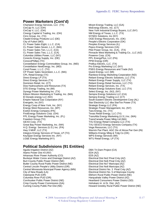#### **Power Marketers (Cont'd)**

Champion Energy Services, LLC (TX) CinCap IV, LLC (OH) CinCap V, LLC. (OH) Cinergy Capital & Trading, Inc. (OH) Cirro Group, Inc. (TX) Citadel Energy Products LLC (DE) City of Fulton (MO) CL Power Sales Eight, L.L.C. (CA) CL Power Sales Seven, L.L.C. (MA) CL Power Sales Ten, L.L.C. (CA) CL Power Sales Two, L.L.C. (CA) Columbia Utilities Power, LLC (NY) Conectiv Energy Supply, Inc. (DE) ConocoPhillips (TX) Constellation Energy Commodities Group, Inc. (MD) Constellation NewEnergy, Inc. (MD) Coral Power, L.L.C. (TX) CP Power Sales Seventeen, L.L.C. (MA) CPL Retail Energy (TX) Direct Energy LP (TX) Direct Energy Services (TX) Dominion Retail, Inc. (CT) Dow Hydrocarbons and Resources (TX) DTE Energy Trading, Inc (MI) Dynegy Power Marketing Inc. (TX) Edison Mission Marketing & Trading, Inc. (MA) El Dorado energy LLC (NV) Empire Natural Gas Corporation (NY) Energetix, Inc (NY) Energy Coop of New York, Inc. (NY) Energy West Resources, Inc. (MT) Exelon Energy Company (PA) FirstEnergy Solutions Corp. (OH) FPL Energy Power Marketing, Inc. (FL) Freedom Group (TX) GEXA Corp. (TX) Great Bay Power Marketing, Inc. (NH) H.Q. Energy Services (U.S.) Inc. (PA) Hwy 3 MHP, LLC (TX) Integrys Energy Services of Texas, LP (TX) KeySpan Energy Services Inc. (NY) LG&E Energy Marketing (KY)

## **Political Subdivisions (91 Entities)**

Aguila Irrigation District (AZ) Alamo Power Dist #3 (NV) Arkansas River Power Authority (CO) Buckeye Water Consv and Drainage District (AZ) Burt County Public Power District (NE) Butler County Rural Public Power District (NE) Central Lincoln People's Utility District (OR) Central Minnesota Municipal Power Agency (MN) City of New Roads (LA) Clatckanie PUD (OR) Columbia River PUD (OR) Cornhusker Public Power District (NE) Crisp County Power Commission (GA) Cuming County Public Pwr Dist (NE)

Mirant Energy Trading, LLC (GA) MxEnergy Electric, Inc. (CT) New York Industrial Energy Buyers, LLC (NY) NM Energy of Texas, L.L.C. (TX) NYSEG Solutions, Inc (NY) OGE Energy Resources, Inc. (OK) People's Electric Corporation (OK) Peoples Energy Services (IL) Pepco Energy Services (VA) Pilot Power Group, Inc. (CA), (TX) Pinnacle West Marketing & Trading Co., LLC (AZ) Powerex Corp. (CN) PPL EnergyPlus, LLC (PA) PPM Energy (OR) PreBuy Electric, LLC. (TX) Pro Energy Marketing LLC (NY) PSEG Energy Resources and Trade (NJ) Quest Energy, LLC (MI) Rainbow Energy Marketing Corporation (ND) Reliant Energy Electric Solutions, LLC (TX) Reliant Energy Power Supply, LLC (TX) Reliant Energy Retail Services, LLC (TX) Reliant Energy Services, Inc. (TX) Reliant Energy Solutions East, LLC (TX) Select Energy, Inc. (NJ), (NY) Sempra Energy Solutions LLC (CA) Sempra Energy Trading LLC (CT) South Eastern Electric Development Corp (AL) Star Electricity LLC dba StarTex Power (TX) Strategic Energy LLC (PA) Strategic Power Management, Inc. (NY) Tara Energy, Inc. (TX) Texas Retail Energy, LLC (TX) TransAlta Energy Marketing (U.S.) Inc. (WA) TransCanada Power Mktg Ltd (MA) TXU Energy Retail Company LLC (TX) TXU SESCO Energy Services Company (TX) Vega Resources, LLC (TX) Warrick Pwr Plant, AGC Div of Alcoa Pwr Gen (IN) Williams Energy Mktg & Trdg Co (OK) WPS Energy Services (WI) WTU Retail Energy, LP (TX)

DBA Tri-Dam Project (CA) ED4 (AZ) ED5 (AZ) Electrical Dist No2 Pinal Cnty (AZ) Electrical Dist No6 Pinal Cnty (AZ) Electrical Dist No7 Maricopa (AZ) Electrical Dist No8 Maricopa (AZ) Electrical District No. 3 Pinal Cnty (AZ) Electrical District No. 5 of Maricopa County Elkhorn Rural Public Power District (NE) Harquahala Valley Power District (AZ) Heartland Consumers Power District (SD) Hohokam Irr. & Dr. Dist. (AZ) Howard Greeley Rural Public Power District (NE)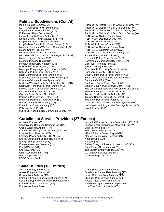## **Political Subdivisions (Cont'd)**

Igiugig Electric Company (AK) KBR Rural Public Power District (NE) Kings River Conservation Dist (CA) Kokhanok Village Council (AK) Lafayette Public Power Authority (LA) Lincoln County Power District No. 1 (NV) Loup River Public Power District (NE) Loup Valleys Rural Public Power District (NE) Maricopa Cnty Muni Wtr Consv District No. 1 (AZ) Mason County PUD #3 (WA) McCook Public Power District (NE) McMullen Val Wtr Consv and Drainage District (AZ) Merced Irrigation District (CA) Modesto Irrigation District (CA) Mohgan Tribal Utility Authority (CT) MSR Public Power Agency (CA) Municipal Energy Agency of Nebraska (NE) Nebraska Public Power District (NE) North Central Public Power District (NE) Northeast Nebraska Public Power District (NE) Northern California Power Agency (CA) Northern Wasco County People's Utility Dist. (OR) Northwest Rural Public Power District (NE) Ocotillo Water Conservation District (AZ) Omaha Public Power District (NE) Overton Power District No. 5 (NV) Perennial Public Power District (NE) Piedmont Municipal Power Agency (SC) Placer County Water Agency (CA) Platte River Power Authority (CO) Polk County RPPD (NE) Public Utility District No. 1 of Chelan County (WA)

Public Utility District No. 1 of Wahkiakum Cnty (WA) Public Utility District No. 2 of Grant County (WA) Public Utility District No. 2 of Pacific County (WA) Public Utility District #1 of Pend Oreille County (WA) PUD No 1 of Clallam County (WA) PUD No 1 of Douglas County (WA) PUD No 1 of Ferry County (WA) PUD NO 1 of Lewis County (WA) PUD No 1 of Okanogan County (WA) PUD No 1 of Whatcom County (WA) PUD No. 1 of Grays Harbor County (WA) Roosevelt Irrigation District (AZ) Roosevelt Public Power District (NE) Sacramento Municipal Utility District (CA) Salt River Project (SRP) (AZ) Seward County PPD (NE) Skamania Public Utility District #1 (WA) Snohomish County PUD #1 (WA) South Central Public Power District (NE) South Feather Water & Power Agency (CA) Southern CA PPA (CA) Southwest Public Power District (NE) Stanton County Public Power District (NE) The Central Nebraska Pub Pwr and Irr District (NE) Tillamook People's Utility District (OR) Tohono O'odham Utility Authority (AZ) Truckee Donner Public Utility District (CA) Tuolumne Public Power Agency (CA) Utah Associated Municipal Power Systems (UT) Wellton-Mohawk Irrigation & Drainage District (AZ) Yakutat Power (AK)

## **Curtailment Service Providers (27 Entities)**

Absolute Energy (NY) Conservation Resource Solutions Inc. (GA) Credit Suisse (USA), Inc. (NY) Customized Energy Solutions, Ltd. (NJ), (PA) Downes Associates, Inc. (MD) Eastside Power Authority (ESPA) (CA) Energy Curtailment Specialists, Inc. (NY) Energy Enterprises Inc. (NY) Energy Investment Systems (NY) EnerNOC Inc. (MA) EnerNOC, Inc. (CA) GDS Associates, Inc. (NH) Hess Corporation (NJ) HSBC Bank USA (NY)

## **State Utilities (18 Entities)**

Ak-Chin Energy Services (AZ) Alaska Energy Authority (AK) Brazos River Authority (TX) California Energy Resource Scheduling (CA) California Department of Water Resources (CA) Colorado River Commission (NV) Energy Northwest (WA)

Integrated Energy Services Corporation (IES) (NJ) Integrys Energy Services of New York, Inc (WI) Lynx Technologies (NY) Metropolitan Energy, LLC (IL) Millard Fillmore Gates Hospital (NY) Monroe County Water Authority (NY) National Grid (MA) Norbord (NY) Reliant Energy Solutions Northeast, LLC (NY) Suez Energy Resources NA (TX) The Legacy Energy Group, LLC (VA) UGI Energy Services, Inc. (PA) Virtual Energy LLC (NY)

Grand River Dam Authority (OK) Guadalupe-Blanco River Authority (TX) Lower Colorado River Authority (TX) Michigan Public Power Agency (MI) Navajo Tribal Utility Authority (AZ) New River Light & Power Company (NC) New York Power Authority (NY)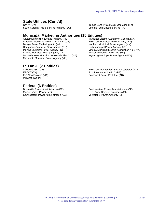## **State Utilities (Cont'd)**

OMPA (OK) South Carolina Public Service Authority (SC)

## **Municipal Marketing Authorities (15 Entities)**

Alabama Municipal Electric Authority (AL) American Municipal Power - Ohio, Inc. (OH) Badger Power Marketing Auth (WI) Hampshire Council of Governments (NH) Indiana Municipal Power Agency (IN) Kansas Municipal Energy Agency (KS) Massachusetts Municipal Wholesale Elec Co (MA) Minnesota Municipal Power Agency (MN)

# **RTO/ISO (7 Entities)**

California ISO (CA) ERCOT (TX) ISO New England (MA) Midwest ISO (IN)

## **Federal (6 Entities)**

Bonneville Power Administration (OR) Mission Valley Power (MT) Southeastern Power Administration (GA) Toledo Bend Project Joint Operation (TX) Virginia Tech Electric Service (VA)

Municipal Electric Authority of Georgia (GA) New York Municipal Power Agency (NY) Northern Municipal Power Agency (MN) Utah Municipal Power Agency (UT) Virginia Municipal Electric Association No 1 (VA) Wisconsin Public Power, Inc. (WI) Wyoming Municipal Power Agency (WY)

New York Independent System Operator (NY) PJM Interconnection LLC (PA) Southwest Power Pool, Inc. (AR)

Southwestern Power Administration (OK) U. S. Army Corps of Engineers (MI) VI Water & Power Authority (VI)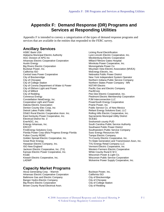# **Appendix F: Demand Response (DR) Programs and Services at Responding Utilities**

Appendix F is intended to convey a categorization of the types of demand response programs and services that are available in the entities that responded to the FERC survey.

## **Ancillary Services**

HSBC Bank USA Alabama Municipal Electric Authority AGC Division of APG Inc Arkansas Electric Cooperative Corporation Austin Energy Big Rivers Electric Corporation Buckeye Power, Inc. California ISO Central Iowa Power Cooperative City of Breckenridge City of Chicopee City of College Station City of Corona Department of Water & Power City of Elkhorn Light and Power City of Milford City of Redding Connexus Energy Constellation NewEnergy, Inc. Cooperative Light and Power Dakota Electric Association Denton County Elec Coop, Inc Detroit Lakes Public Utility DS&O Rural Electric Cooperative Assn. Inc. East Kentucky Power Cooperative, Inc. Electrical District No. 3 EnerNOC, Inc. Entergy Arkansas, Inc. ERCOT FirstEnergy Solutions Corp. Florida Power Corp d/b/a Progress Energy Florida Fulton County REMC Golden Spread Electric Cooperative, Inc. Great River Energy Hawaiian Electric Company, Inc. ISO New England Jackson Electric Cooperative, Inc. (TX) Kansas Electric Power Cooperative, Inc. KG&E Kiwash Electric Cooperative, Inc. LADWP

## **Capacity Market Programs**

Alcoa Generating Corp. - Warrick Arkansas Electric Cooperative Corporation Baltimore Gas and Electric Company Bangor Hydro-Electric Company Big Rivers Electric Corporation Brown County Rural Electrical Assn.

Licking Rural Electrification Lyon-Lincoln Electric Cooperative, Inc. Mecklenburg Electric Cooperative Millard Fillmore Gates Hospital Minnkota Power Cooperative, Inc. Monongahela Power Co Mountain View Electric Association (MVEA) MxEnergy Electric, Inc. Nebraska Public Power District New York Independent System Operator Northern Indiana Public Service Company Northern States Power Company - MN NSTAR Electric Pacific Gas and Electric Company PacifiCorp Pee Dee Electric Cooperative, Inc. Piedmont Electric Membership Corporation PJM Interconnection LLC PowerSouth Energy Cooperative Prairie Power, Inc. Public Service Co. of New Mexico Reliant Energy Solutions East, LLC Rolling Hills Electric Cooperative, Inc. Sacramento Municipal Utility District SCE&G Snohomish county PUD South Carolina Public Service Authority Southwest Public Power District Southwestern Public Service Company Suez Energy Resources NA Tampa Electric Company Tri-County Electric Cooperative, Inc. Tri-State Generation and Transmission Assn, Inc. TXU Energy Retail Company LLC Vermont Electric Cooperative, Inc Western Farmers Electric Cooperative White County Rural E M C Wisconsin Power & Light Co. Wisconsin Public Service Corporation Wolverine Power Supply Cooperative, Inc.

Buckeye Power, Inc. California ISO City of Breckenridge City of Chicopee City of College Station City of Redding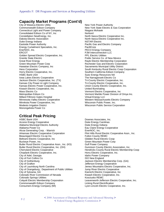# **Capacity Market Programs (Cont'd)**

City of Waseca Electric Utility Commonwealth Edison Company Connecticut Light and Power Company Consolidated Edison Co of NY, Inc Constellation NewEnergy, Inc. Dakota Electric Association Duke Energy Indiana Eastside Power Authority Energy Curtailment Specialists, Inc. EnerNOC, Inc. ERCOT Golden Spread Electric Cooperative, Inc. Granite State Electric Great River Energy Green Mountain Power Corp Hawaiian Electric Company, Inc Hess Corporation Horry Electric Cooperative, Inc. HSBC Bank USA Iowa Lakes Electric Cooperative Jackson Electric Cooperative, Inc. (TX) Kansas City Power & Light Company Kansas Electric Power Cooperative, Inc. Kiwash Electric Cooperative, Inc. Mass Electric Co Metropolitan Edison Co Millard Fillmore Gates Hospital Minnesota Valley Electric Cooperative Minnkota Power Cooperative, Inc. Modesto Irrigation District Monongahela Power Co

# **Critical Peak Pricing**

HSBC Bank USA Access Energy Cooperative Alabama Municipal Electric Authority Alabama Power Co Alcoa Generating Corp. - Warrick Arkansas Electric Cooperative Corporation Beauregard Electric Co-op Inc. Beltrami Electric Cooperative, Inc Buckeye Power, Inc. Butler Rural Electric Cooperative Assn., Inc. (KS) Butler Rural Electric Cooperative, Inc. (OH) Cherryland Electric Cooperative Choptank Electric Cooperative, Inc. City of Adel, Georgia City of Fort Collins Co City of Gothenburg City of Grafton City of Laurinburg North Carolina City of Orangeburg ; Department of Public Utilities City of Sylvania, GA Colorado River Commission of Nevada Colorado Springs Utilities Colquitt Electric Membership Corporation Commonwealth Edison Company Consumers Energy Company (MI)

New York Power Authority New York State Electric & Gas Corporation Niagara Mohawk **Norbord** North Itasca Electric Cooperative Inc. North Itasca Electric Cooperative Inc. NSTAR Electric Pacific Gas and Electric Company PacifiCorp PECO Energy Company PJM Interconnection LLC PPL Electric Utilities Public Service Co. of New Mexico Rayle Electric Membership Corporation Rochester Gas and Electric Corporation Sacramento Municipal Utility District South Kentucky Rural Electric Coop Corporation Southern California Edison Company Suez Energy Resources NA The Narragansett Electric Co Tri-County Electric Cooperative, Inc. Tri-County Electric Cooperative, Inc. Union County Electric Cooperative, Inc. United Illuminating Vermont Electric Cooperative, Inc Vermont Marble Power Division of Omya Inc. Virtual Energy LLC Western Massachusetts Electric Company Wisconsin Public Power, Inc. Wisconsin Public Service Corporation

Downes Associates, Inc. Duke Energy Carolinas Duke Energy Indiana Eau Claire Energy Cooperative EnerNOC, Inc. Flint Hills Rural Electric Cooperative Assn., Inc. Fulton County REMC Glidden Rural Electric Coop Green Mountain Power Corp Gulf Power Company Gunnison County Electric Association, Inc. Hendricks County Rural Electric Membership Coop Horry Electric Cooperative, Inc. Idaho Power Company ISO New England Jackson Electric Membership Corp. (GA) Jefferson Energy Cooperative Jemez Mountains Electric Cooperative, Inc. Jump River Electric Cooperative Kiamichi Electric Cooperative, Inc Kiwash Electric Cooperative, Inc. Kosciusko REMC Leavenworth-Jefferson Electric Cooperative, Inc. Licking Rural Electrification Lyon-Lincoln Electric Cooperative, Inc.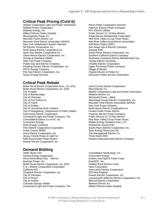# **Critical Peak Pricing (Cont'd)**

Meeker Cooperative Light and Power Association Midland Power Cooperative Midwest Energy, Inc. Millard Fillmore Gates Hospital. Monongahela Power Co Mountain Parks Electric, Inc. Mountain View Electric Association (MVEA) New York Independent System Operator NH Electric Cooperative, Inc. North Itasca Electric Cooperative Inc. North Star Electric Cooperative Inc. Oliver-Mercer Electric Cooperative, Inc. Orange & Rockland Utilities Otter Tail Power Company Pacific Gas and Electric Company Paulding Putnam Electric Cooperative, Inc. PECO Energy Company Pee Dee Electric Cooperative, Inc. Pepco Energy Services

## **Critical Peak Rebate**

Butler Rural Electric Cooperative Assn., Inc. (KS) Butler Rural Electric Cooperative, Inc. (OH) City of Alpha City of Breckenridge City of Chicopee City of Fort Collins Co City of Friend City of Grafton City of Laurinburg North Carolina City of Orangeburg ; Department of Public Utilities Community Electric Cooperative Connecticut Light and Power Company, The Consolidated Edison Co of NY, Inc Consumers Energy Duke Energy Carolinas First Electric Cooperative Corporation Fulton County REMC Horry Electric Cooperative, Inc. Jersey Central Power & Light Co KBR Rural Public Power District Kiwash Electric Cooperative, Inc.

# **Demand Bidding**

HSBC Bank USA Access Energy Cooperative Alcoa Generating Corp. - Warrick Buckeye Power, Inc. Butler Rural Electric Cooperative, Inc. (OH) C & L Electric Cooperative Corporation California ISO Choptank Electric Cooperative, Inc. City of Chicopee City of Friend City of Grafton Colorado Springs Utilities Connecticut Light and Power Company, The Pierce Pepin Cooperative Services Potomac Electric Power Company PPL Electric Utilities Public Service Co. of New Mexico Rayle Electric Membership Corporation Red River Valley Co-op Power Assoc. Red River Valley Rural Electric Association Salt River Project (SRP) San Diego Gas & Electric Company Sawnee EMC South Plains Electric Cooperative, Inc. Southern California Edison Company Southwest Louisiana Electric Membership Corp Tampa Electric Company Umatilla Electric Cooperative Upper Peninsula Power Company Village of Minster Virginia Electric & Power Co Wisconsin Public Service Corporation

- Lamb County Electric Cooperative Mass Electric Co Meeker Cooperative Light and Power Association Midwest Electric Inc Minnesota Power - Allete Mississippi County Electric Cooperative, Inc. Mountain View Electric Association (MVEA) New York Power Authority North Itasca Electric Cooperative Inc. Omaha Public Power District Potomac Electric Power Company Public Service Co. of New Mexico Red River Valley Co-op Power Assoc. Reliant Energy Solutions East, LLC Snohomish county PUD South Plains Electric Cooperative, Inc. Suez Energy Resources NA The Narragansett Electric Co Three Notch EMC Western Massachusetts Electric Company
- Constellation NewEnergy, Inc. Consumers Energy Eastern Iowa light & Power Coop EnerNOC, Inc. Glidden Rural Electric Coop Hess Corporation Iowa Lakes Electric Cooperative ISO New England Kiwash Electric Cooperative, Inc. Leavenworth-Jefferson Electric Cooperative, Inc. Menard Electric Cooperative Midwest Electric Inc Millard Fillmore Gates Hospital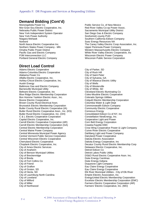# **Demand Bidding (Cont'd)**

Monongahela Power Co Mor-Gran-Sou Electric Cooperative, Inc. Nebraska Public Power District New York Independent System Operator New York Power Authority Niagara Mohawk **Norbord** North Itasca Electric Cooperative Inc. Northern States Power Company - MN Omaha Public Power District Pacific Gas and Electric Company PJM Interconnection LLC Portland General Electric Company

#### **Direct Load Control**

Adams Electric Cooperative Adams-Columbia Electric Cooperative Alabama Power Co Alfalfa Electric Cooperative, Inc. Ashley-Chicot Electric Cooperative, Inc. Austin Energy Baltimore Gas and Electric Company Barnesville Municipal Utility Beltrami Electric Cooperative, Inc Blue Ridge Electric Membership Corporation Bon Homme Yankton Electric Assn., Inc. Boone Electric Cooperative Brown County Rural Electrical Assn. Brunswick Electric Membership Corporation Butler County Rural Electric Cooperative (IA) Butler Rural Electric Cooperative Assn., Inc. (KS) Butler Rural Electric Cooperative, Inc. (OH) C & L Electric Cooperative Corporation Capital Electric Cooperative, Inc. Carroll Electric Cooperative Corporation (AR) Carroll Electric Membership Corporation (GA) Central Electric Membership Corporation Central Maine Power Company Central Minnesota Municipal Power Agency Central Vermont Public Service Corporation Central Wisconsin Electric Cooperative Cherryland Electric Cooperative Choptank Electric Cooperative, Inc. City of Ames Electric Services City of Anaheim City of Benson Municipal Utilities City of Breckenridge City of Breda City of Fort Collins Co City of Friend City of Grafton City of Groton, SD City of Hecla, SD City of Laurinburg North Carolina City of Loveland City of Milford City of Miller City of Northwood

Public Service Co. of New Mexico Red River Valley Co-op Power Assoc. Sacramento Municipal Utility District San Diego Gas & Electric Company Snohomish county PUD Southern California Edison Company Suez Energy Resources NA The Caney Valley Electric Coop Association, Inc. Upper Peninsula Power Company Western Massachusetts Electric Company White River Valley Electric Cooperative, Inc Wisconsin Electric Power Company Wisconsin Public Service Corporation

City of Parker, SD City of Rock Hill City of Saint Peter City of Sylvania, GA City of Waseca Electric Utility City of Wells City of Westerville City of White, SD Cleveland Electric Illuminating Co Coles-Moultrie Electric Cooperative Colorado Springs Utilities Colquitt Electric Membership Corporation Columbia Water & Light Dept Commonwealth Edison Company Community Electric Cooperative Connexus Energy Consolidated Edison Co of NY, Inc Constellation NewEnergy, Inc. Cooperative Light and Power Corn Belt Energy Corporation Coweta-Fayette EMC Crow Wing Cooperative Power & Light Company Cuivre River Electric Cooperative Dahlberg Light and Power Company Dairyland Power Cooperative Dakota Electric Association Dakota Energy Cooperative, Inc Decatur County Rural Electric Membership Corp Delaware Electric Cooperative, Inc. Detroit Edison Co Detroit Lakes Public Utility DS&O Rural Electric Cooperative Assn. Inc. Duke Energy Carolinas Duke Energy Indiana Duquesne Light Company Eau Claire Energy Cooperative Eau Claire Energy Cooperative Elk River Municipal Utilities - City of Elk River Empire Electric Association, Inc. EnergyUnited Electric Membership Corporation Excelsior Electric Membership Corporation (EMC) Farmers Electric Cooperative Corporation (AR) Farmers' Electric Cooperative, Inc. (MO)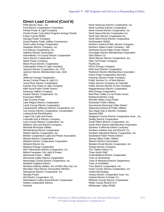## **Direct Load Control (Cont'd)**

FEM Electric Assn., Inc First Electric Cooperative Corporation Florida Power & Light Company Florida Power Corp d/b/a Progress Energy Florida Fulton County REMC Georgia Power Company Grand Rapids Public Utilities Commission Great Lakes Energy Cooperative Hawaiian Electric Company, Inc H-D Electric Cooperative, Inc. Highline Electric Association HomeWorks Tri-County Electric Cooperative Horry Electric Cooperative, Inc. Idaho Power Company Illinois Rural Electric Cooperative Indianapolis Power & Light Company Jackson Electric Cooperative, Inc. (TX) Jackson Electric Membership Corp. (GA) JEA Jefferson Energy Cooperative Jersey Central Power & Light Co Jump River Electric Cooperative Kansas City Power & Light Company KBR Rural Public Power District Kentucky Utilities Company Kiwash Electric Cooperative, Inc. Kosciusko REMC Lake Country Power Lake Region Electric Cooperative Lamb County Electric Cooperative Leavenworth-Jefferson Electric Cooperative, Inc. Lee County Electric Cooperative, Incorporated Licking Rural Electrification Logan City Light and Power Louisville Gas & Electric Company Lyon-Lincoln Electric Cooperative, Inc. Madison Gas and Electric Company Marshall Municipal Utilities Mecklenburg Electric Cooperative Medina Electric Cooperative, Inc. Meeker Cooperative Light and Power Association Menard Electric Cooperative Midwest Electric Cooperative Corporation Midwest Electric Inc Midwest Energy Cooperative Mid-Yellowstone Electric Cooperative, Inc. Milton-Freewater City Light & Power Minnesota Power – Allete Minnesota Valley Electric Cooperative Mississippi County Electric Cooperative, Inc. Modesto Irrigation District Montana-Dakota Utilities, Div of MDU Res Grp, Inc. Mountain View Electric Association (MVEA) Navopache Electric Cooperative, Inc. Nevada Power NH Electric Cooperative, Inc. Nishnabotna Valley Rural Electric Cooperative Nobles Cooperative Electric **Norbord** 

North Arkansas Electric Cooperative, Inc. North Carolina Electric Cooperative North Central Electric Cooperative, Inc. North Itasca Electric Cooperative Inc. North Star Electric Cooperative Inc. North West Rural Electric Cooperative Northeastern REMC Northern Indiana Public Service Company Northern States Power Company - MN Northwest Rural Public Power District Ocmulgee Electric Membership Corporation Ohio Edison Co Oliver-Mercer Electric Cooperative, Inc. Otter Tail Power Company **PacifiCorp** PECO Energy Company Petit Jean Electric Cooperative Piedmont Electric Membership Corporation Pierce Pepin Cooperative Services Potomac Electric Power Company Public Service Co. of New Mexico Public Service Company of Colorado Public Service Electric & Gas Company Rappahannock Electric Cooperative REA Energy Cooperative Red River Valley Co-op Power Assoc. Redwood Electric Coop Renville-Sibley Coop Power Rochester Public Utilities Sacramento Municipal Utility District Salamanca Board of Public Utilities San Diego Gas & Electric Company Sawnee EMC Sedgwick County Electric Cooperative Assn., Inc. Shelby Electric Cooperative South Plains Electric Cooperative, Inc. South River Electric Membership Corporation Southern California Edison Company Southern Indiana Gas and Electric Co. Southern Maryland Electric Cooperative, Inc. Southwest Public Power District Spring Valley Public Utilities Stearns Electric Association Steuben Rural Electric Cooperative, Inc Tampa Electric Company The Toledo Edison Co Three Notch EMC Todd-Wadena Electric Cooperative Town of Jamestown Town of Massena Electric Department Town of Smithfield Trico Electric Cooperative, Inc. Union County Electric Cooperative, Inc. United Illuminating Victory Electric Cooperative Assn, Inc. Virginia Electric & Power Co Wharton County Electric Cooperative White County Rural E M C Whitewater Valley REMC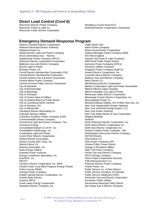## **Direct Load Control (Cont'd)**

Wisconsin Electric Power Company Wisconsin Power & Light Co. Wisconsin Public Service Corporation

Woodbury County Rural ECA Woodruff Electric Cooperative Corporation

#### **Emergency Demand Response Program**

Adams-Columbia Electric Cooperative Alabama Municipal Electric Authority Alabama Power Co Alaska Electric Light and Power Company Alcoa Generating Corp. - Warrick Appalachian Power Company (APCo) Arkansas Electric Cooperative Corporation Baltimore Gas and Electric Company Bozrah Light & Power Buckeye Power, Inc. Carroll Electric Membership Corporation (GA) Central Electric Membership Corporation Central Hudson Gas & Electric Corporation Central Maine Power Company Central Vermont Public Service Corporation City of Alameda City of Breckenridge City of Brookings City of Chicopee City of Groton Dept of Utilities City of Holland Board of Public Works City of Laurinburg North Carolina City of Sylvania, GA City of Westerville Cleveland Electric Illuminating Co Colorado Springs Utilities Columbus Southern Power Company (CSP) Commonwealth Edison Company Connecticut Light and Power Company, The Connexus Energy Consolidated Edison Co of NY, Inc Constellation NewEnergy, Inc. Cooperative Light and Power Cuivre River Electric Cooperative Dakota Electric Association Denton County Elec Coop, Inc. Detroit Edison Co Downes Associates, Inc. Duke Energy Indiana Eastside Power Authority Energy Curtailment Specialists, Inc. EnerNOC, Inc. ERCOT Farmers' Electric Cooperative, Inc. (MO) Florida Power Corp d/b/a Progress Energy Florida Fulton County REMC Georgia Power Company Golden Spread Electric Cooperative, Inc. Granite State Electric Grayson RECC Great Lakes Energy Cooperative Hawaiian Electric Company, Inc

HSBC Bank USA Idaho Power Company Illinois Rural Electric Cooperative Indiana-Michigan Power Company (I&M) ISO New England Kansas City Power & Light Company KBR Rural Public Power District Kentucky Power Company (KPCo) Kentucky Utilities Company Kingsport Power Company (KgPCo) Kiwash Electric Cooperative, Inc. Louisville Gas & Electric Company Madison Gas and Electric Company Mass Electric Co Mecklenburg Electric Cooperative Meeker Cooperative Light and Power Association Millard Fillmore Gates Hospital Milton-Freewater City Light & Power Minnesota Valley Electric Cooperative Mississippi County Electric Cooperative, Inc. Monongahela Power Co Montana-Dakota Utilities, Div of MDU Res Grp, Inc. New York Independent System Operator New York Industrial Energy Buyers, LLC New York Power Authority New York State Electric & Gas Corporation Niagara Mohawk **Norbord** North Arkansas Electric Cooperative, Inc. North Itasca Electric Cooperative Inc. North Star Electric Cooperative Inc. Northern States Power Company - MN Northwestern Wisconsin Electric Company NSTAR Electric Ohio Edison Co Ohio Power Company (OP) Omaha Public Power District Orange & Rockland Utilities Otter Tail Power Company Pacific Gas and Electric Company PECO Energy Company Pierce Pepin Cooperative Services PJM Interconnection LLC Potomac Electric Power Company Prairie Power, Inc. Public Service Co. of New Mexico Public Service Company of Colorado Public Service Oklahoma (PSO) Rochester Gas and Electric Corporation Rochester Public Utilities Sacramento Municipal Utility District San Diego Gas & Electric Company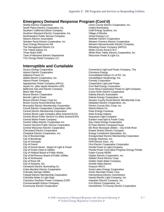## **Emergency Demand Response Program (Cont'd)**

Shelby Electric Cooperative South Plains Electric Cooperative, Inc. Southern California Edison Company Southern Maryland Electric Cooperative, Inc. Southwestern Public Service Company Stearns Electric Association Steuben Rural Electric Cooperative, Inc Suez Energy Resources NA The Narragansett Electric Co The Toledo Edison Co Three Notch EMC Town of Massena Electric Department TXU Energy Retail Company LLC

#### **Interruptible and Curtailable**

Access Energy Cooperative Adams Electric Cooperative Alabama Power Co Alfalfa Electric Cooperative, Inc. Alpena Power Company Appalachian Power Company (APCo) Aquila Inc. (dba Aquila Networks-L&P) Baltimore Gas and Electric Company Black Hills Power Boone Electric Cooperative Bozrah Light & Power Brazos Electric Power Coop Inc Brown County Rural Electrical Assn. Brunswick Electric Membership Corporation Carroll Electric Cooperative Corporation (AR) Central Electric Membership Corporation Central Illinois Light Company d/b/a AmerenCILCO Central Illinois Public Service Co d/b/a AmerenCIPS Central Maine Power Company Central Valley Electric Cooperative Inc. Central Vermont Public Service Corporation Central Wisconsin Electric Cooperative Cherryland Electric Cooperative Choptank Electric Cooperative, Inc. City of Breckenridge City of Brookings City of Chicopee City of Friend City of Grand Haven - Board of Light & Power City of Groton Dept of Utilities City of Holland Board of Public Works City of McPherson Board of Public Utilities City of Northwood City of Rock Hill City of Sylvania, GA Cleveland Electric Illuminating Co Coles-Moultrie Electric Cooperative Colorado Springs Utilities Colquitt Electric Membership Corporation Columbia Water & Light Dept Columbus Southern Power Company (CSP) Commonwealth Edison Company Community Electric Cooperative

Union County Electric Cooperative, Inc. United Illuminating Unitil Energy Systems, Inc. Village of Minster Virtual Energy LLC Webster Electric Cooperative Western Farmers Electric Cooperative Western Massachusetts Electric Company Wheeling Power Company (WPCo) White County Rural E M C White River Valley Electric Cooperative, Inc Wisconsin Power & Light Co.

Connecticut Light and Power Company, The Connexus Energy Consolidated Edison Co of NY, Inc Constellation NewEnergy, Inc. Conway Corporation Cooperative Light and Power Corn Belt Energy Corporation Crow Wing Cooperative Power & Light Company Cuivre River Electric Cooperative Dakota Electric Association Dakota Energy Cooperative, Inc Decatur County Rural Electric Membership Corp Delaware Electric Cooperative, Inc. Denton County Elec Coop, Inc. Detroit Edison Co Duke Energy Carolinas Duke Energy Indiana Duquesne Light Company Eastern Iowa light & Power Coop Eau Claire Energy Cooperative El Paso Electric Company/Texas Elk River Municipal Utilities - City of Elk River Empire District Electric Company Energy Curtailment Specialists, Inc. EnergyUnited Electric Membership Corporation Entergy Arkansas, Inc. FEM Electric Assn., Inc First Electric Cooperative Corporation Florida Power & Light Company Florida Power Corp d/b/a Progress Energy Florida Fulton County REMC Glades Electric Cooperative, Inc. Glidden Rural Electric Coop Golden State Water Company Granite State Electric Grayson RECC Great Lakes Energy Cooperative Green Mountain Power Corp Harrisonburg Electric Commission Hawaii Electric Light Company, Inc. Hawaiian Electric Company, Inc H-D Electric Cooperative, Inc. HomeWorks Tri-County Electric Cooperative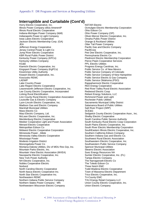## **Interruptible and Curtailable (Cont'd)**

Horry Electric Cooperative, Inc. Illinois Power Company d/b/a AmerenIP Illinois Rural Electric Cooperative Indiana-Michigan Power Company (I&M) Indianapolis Power & Light Company Iowa Lakes Electric Cooperative Jackson Electric Membership Corp. (GA) JEA Jefferson Energy Cooperative Jersey Central Power & Light Co Jump River Electric Cooperative KBR Rural Public Power District Kentucky Power Company (KPCo) Kentucky Utilities Company KG&E Kiamichi Electric Cooperative, Inc Kingsport Power Company (KgPCo) Kissimmee Utility Authority Kiwash Electric Cooperative, Inc. Kosciusko REMC LADWP Lake Country Power Lake Region Electric Cooperative Leavenworth-Jefferson Electric Cooperative, Inc. Lee County Electric Cooperative, Incorporated Licking Rural Electrification Linn County Rural Electric Cooperative Association Louisville Gas & Electric Company Lyon-Lincoln Electric Cooperative, Inc. Madison Gas and Electric Company Marshall Municipal Utilities Mass Electric Co Maui Electric Company, Ltd. McLean Electric Cooperative, Inc. Mecklenburg Electric Cooperative Meeker Cooperative Light and Power Association Menard Electric Cooperative Metropolitan Edison Co Midwest Electric Cooperative Corporation Minnesota Power - Allete Minnesota Valley Electric Cooperative Mississippi Power Modesto Irrigation District Monongahela Power Co Montana-Dakota Utilities, Div of MDU Res Grp, Inc. Mountain Parks Electric, Inc. Mountain View Electric Association (MVEA) Navopache Electric Cooperative, Inc. New York Power Authority NH Electric Cooperative, Inc. Nobles Cooperative Electric Norbord North Carolina Electric Cooperative North Itasca Electric Cooperative Inc. North Star Electric Cooperative Inc. Northeastern REMC Northern Indiana Public Service Company Northern States Power Company - MN Northwestern Wisconsin Electric Company

NSTAR Electric Ocmulgee Electric Membership Corporation Ohio Edison Co Ohio Power Company (OP) Oliver-Mercer Electric Cooperative, Inc. Omaha Public Power District Orange & Rockland Utilities Otter Tail Power Company Pacific Gas and Electric Company **PacifiCorp** Pee Dee Electric Cooperative, Inc. Pennsylvania Electric Co Piedmont Electric Membership Corporation Pierce Pepin Cooperative Services PPL Electric Utilities Progress Energy Carolinas, Inc. Public Service Co. of New Mexico Public Service Company of Colorado Public Service Company of New Hampshire Public Service Electric & Gas Company Public Service Oklahoma (PSO) Rappahannock Electric Cooperative REA Energy Cooperative Red River Valley Rural Electric Association Redwood Electric Coop Reliant Energy Solutions, LLC Richmond Power and Light Rochester Public Utilities Sacramento Municipal Utility District Salamanca Board of Public Utilities Salt River Project (SRP) SCE&G Sedgwick County Electric Cooperative Assn., Inc. Shelby Electric Cooperative South Carolina Public Service Authority South Kentucky Rural Electric Coop Corporation South Plains Electric Cooperative, Inc. South River Electric Membership Corporation SouthEastern Illinois Electric Cooperative, Inc. Southern California Edison Company Southern Indiana Gas and Electric Co. Southwest Rural Electric Association Southwestern Electric Cooperative, Inc. Southwestern Public Service Company Spencer Municipal Utilities Stearns Electric Association Suez Energy Resources NA Sumter Electric Cooperative, Inc. (FL) Tampa Electric Company The Narragansett Electric Co The Toledo Edison Co Three Notch EMC Todd-Wadena Electric Cooperative Town of Massena Electric Department Trico Electric Cooperative, Inc. Tri-County EMC TXU Energy Retail Company LLC Union County Electric Cooperative, Inc. Union Electric Company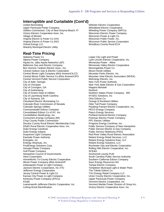## **Interruptible and Curtailable (Cont'd)**

United Illuminating Upper Peninsula Power Company Utilities Commission, City of New Smyrna Beach, Fl Victory Electric Cooperative Assn, Inc. Village of Minster Virginia Electric & Power Co (VA) Virginia Electric & Power Co (NC) Virtual Energy LLC Waverly Municipal Electric Utility

## **Real-Time Pricing**

Alabama Power Co Alpena Power Company Aquila Inc. (dba Aquila Networks-L&P) Baltimore Gas and Electric Company Bon Homme Yankton Electric Assn., Inc. Central Hudson Gas & Electric Corporation Central Illinois Light Company d/b/a AmerenCILCO Central Illinois Public Service Co d/b/a AmerenCIPS Central Vermont Public Service Corporation City of Adel, Georgia City of Chicopee City of Covington, GA City of Gothenburg City of Groton Dept of Utilities City of Laurinburg North Carolina City of Sylvania, GA Cleveland Electric Illuminating Co Colorado River Commission of Nevada Colorado Springs Utilities Commonwealth Edison Company Consolidated Edison Co of NY, Inc Constellation NewEnergy, Inc. Consumers Energy Company (MI) Crisp County Power Commission Decatur County Rural Electric Membership Corp DS&O Rural Electric Cooperative Assn. Inc. Duke Energy Carolinas Duke Energy Indiana Duquesne Light Company Eastside Power Authority Energetix, Inc Entergy Arkansas, Inc. FirstEnergy Solutions Corp. Georgia Power Company Gulf Power Company Hampshire Council of Governments Hess Corporation HomeWorks Tri-County Electric Cooperative Illinois Power Company d/b/a AmerenIP Indianapolis Power & Light Company Jackson Electric Cooperative, Inc (TX) Jefferson Energy Cooperative Jersey Central Power & Light Co Kansas City Power & Light Company Kentucky Power Company (KPCo) KG&E Leavenworth-Jefferson Electric Cooperative, Inc. Licking Rural Electrification

Webster Electric Cooperative Wheatland Electric Cooperative Wheeling Power Company (WPCo) Wisconsin Electric Power Company Wisconsin Power & Light Co. Wisconsin Public Power, Inc. Wisconsin Public Service Corporation Woodbury County Rural ECA

Logan City Light and Power Lyon-Lincoln Electric Cooperative, Inc. Minnesota Power - Allete Minnesota Valley Electric Cooperative Monongahela Power Co Mount Horeb Utilities Mountain Parks Electric, Inc. Mountain View Electric Association (MVEA) MxEnergy Electric, Inc. New York Power Authority New York State Electric & Gas Corporation Niagara Mohawk Norbord Northern States Power Company - MN NYSEG Solutions, Inc Ohio Edison Co Orange & Rockland Utilities Otter Tail Power Company Paulding Putnam Electric Cooperative, Inc. PECO Energy Company Pepco Energy Services Portland General Electric Company Potomac Electric Power Company PPL Electric Utilities Progress Energy Carolinas, Inc. Public Service Company of New Hampshire Public Service Electric & Gas Company Public Service Oklahoma (PSO) Red River Valley Rural Electric Association Reliant Energy Retail Services, LLC Reliant Energy Solutions East, LLC Reliant Energy Solutions, LLC Rochester Gas and Electric Corporation Rolling Hills Electric Cooperative, Inc. SCE&G Snohomish county PUD South Carolina Public Service Authority Southern California Edison Company Suez Energy Resources NA Tampa Electric Company Templeton Municipal Light & Water Plant The Toledo Edison Co TXU Energy Retail Company LLC Union County Electric Cooperative, Inc. Upper Peninsula Power Company Vermont Electric Cooperative, Inc Vermont Marble Power Division of Omya Inc. Victory Electric Cooperative Assn, Inc.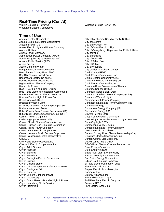# **Real-Time Pricing (Cont'd)**

Virginia Electric & Power Co Wheatland Electric Cooperative

#### **Time-of-Use**

Adams Electric Cooperative Adams-Columbia Electric Cooperative Alabama Power Co Alaska Electric Light and Power Company Algoma Utilities Alpena Power Company Appalachian Power Company (APCo) Aquila Inc. (dba Aquila Networks-L&P) Arizona Public Service (APS) Austin Energy Azusa Light and Water Bangor Hydro-Electric Company Bartholomew County Rural EMC Bay City Electric Light & Power Beauregard Electric Co-op Inc. Belfalls Electric Cooperative Inc Big Horn Rural Electric Company Black Hills Power Black River Falls Municipal Utilities Blue Ridge Electric Membership Corporation Bon Homme Yankton Electric Assn., Inc. Bremen Electric Light & Power Co. Bristol Virginia Utilities Brodhead Water & Light Brunswick Electric Membership Corporation Burbank Water and Power Butler County Rural Electric Cooperative (IA) Butler Rural Electric Cooperative, Inc. (OH) Carbon Power & Light Inc Cedarburg Light & Water Utility Central Florida Electric Cooperative, Inc. Central Hudson Gas & Electric Corporation Central Maine Power Company Central Rural Electric Cooperative Central Vermont Public Service Corporation Central Wisconsin Electric Cooperative CHELCO Cherryland Electric Cooperative Choptank Electric Cooperative, Inc. City of Adel, Georgia City of Anaheim City of Banning City of Brookings City of Burlington Electric Department City of Bushnell City of College Station City of Corona Department of Water & Power City of Covington, GA City of Douglas City of Elkhorn Light and Power City of Gothenburg City of Grand Haven - Board of Light & Power City of Laurinburg North Carolina City of Marshfield

Wisconsin Public Power, Inc.

City of McPherson Board of Public Utilities City of Medford City of Mountain Iron City of Ocala Electric Utility City of Orangeburg ; Department of Public Utilities City of Paris City of Redding City of Rock Hill City of Salem, VA City of St Mary's City of Westfield City Utilities of Richland Center Clark County REMC Clark Energy Cooperative, Inc. Clarke Electric Cooperative, Inc Cleveland Electric Illuminating Co CMS Electric Cooperative, inc. Colorado River Commission of Nevada Colorado Springs Utilities Columbia Water & Light Dept Columbus Southern Power Company (CSP) Columbus Water & Light Commonwealth Edison Company Connecticut Light and Power Company, The Connexus Energy Consumers Energy Company (MI) Consumers Energy (IA) Coweta-Fayette EMC Crisp County Power Commission Crow Wing Cooperative Power & Light Company Cuba City Light & Water Cumberland Valley Electric Dahlberg Light and Power Company Dakota Electric Association Decatur County Rural Electric Membership Corp Delaware Electric Cooperative, Inc. Denton County Elec Coop, Inc. Detroit Lakes Public Utility DS&O Rural Electric Cooperative Assn. Inc. Duke Energy Carolinas Duke Energy Indiana Eagle River Light & Water Utility Eastern Iowa light & Power Coop Eau Claire Energy Cooperative Edison Sault Electric Company El Paso Electric Company/Texas Electrical District No. 3 Empire Electric Association, Inc. Energetix, Inc Entergy Arkansas, Inc. Evansville Water & Light Fall River Rural Electric Coop, Inc. Farmers RECC FEM Electric Assn., Inc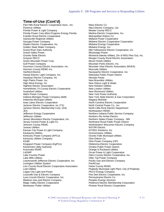#### **Time-of-Use (Cont'd)**

Flint Hills Rural Electric Cooperative Assn., Inc. Florence Utilities Florida Power & Light Company Florida Power Corp d/b/a Progress Energy Florida Franklin Rural Electric Cooperative Gainesville Regional Utilities Georgia Power Company Glades Electric Cooperative, Inc. Golden State Water Company Grand River Dam Authority Grand Valley Power Granite State Electric Grayson RECC Green Mountain Power Corp Gulf Power Company Gunnison County Electric Association, Inc. Harrison County REMC Inc. Hartford Electric Hawaii Electric Light Company, Inc. Hawaiian Electric Company, Inc High Plains Power, Inc. High West Energy, Inc Highline Electric Association HomeWorks Tri-County Electric Cooperative Hustisford Utilities Idaho Power Company Indiana-Michigan Power Company (I&M) Indianola Municipal Utilities Iowa Lakes Electric Cooperative Jackson Electric Cooperative, Inc (TX) Jackson Electric Membership Corp. (GA) JEA Jefferson Energy Cooperative Jefferson Utilities Jemez Mountains Electric Cooperative, Inc. Jersey Central Power & Light Co Johnson County REMC Juneau Utilities Kansas City Power & Light Company Kaukauna Utilities Kentucky Power Company (KPCo) Kentucky Utilities Company KG&E Kingsport Power Company (KgPCo) Kissimmee Utility Authority Kosciusko REMC LADWP Lake Country Power Lake Mills Utilities Leavenworth-Jefferson Electric Cooperative, Inc. Lexington Utilities System Linn County Rural Electric Cooperative Association Lodi Utilities Logan City Light and Power Louisville Gas & Electric Company Lyon-Lincoln Electric Cooperative, Inc. Madison Gas and Electric Company Magic Valley Electric Cooperative Manitowoc Public Utilities

Mass Electric Co Maui Electric Company, Ltd. Meade County RECC Medina Electric Cooperative, Inc. Metropolitan Edison Co Midland Power Cooperative Midwest Electric Cooperative Corporation Midwest Energy Cooperative Midwest Energy, Inc. Mid-Yellowstone Electric Cooperative, Inc. Mississippi Power Montana-Dakota Utilities, Div of MDU Res Grp, Inc. Morgan County Rural Electric Association Mount Horeb Utilities Mountain Parks Electric, Inc. Mountain View Electric Association (MVEA) Muscoda Utilities Navopache Electric Cooperative, Inc. Nebraska Public Power District Nevada Power New Braunfels Utilities New Glarus Light & Water New Holstein Utilities New London Utilities New Richmond Utilities New York Power Authority New York State Electric & Gas Corporation Niagara Mohawk North Carolina Electric Cooperative North Central Power Co., Inc. North Little Rock Electric Department Northeastern REMC Northern Indiana Public Service Company Northern Rio Arriba Electric Northern States Power Company - MN Northwest Rural Public Power District Northwestern Wisconsin Electric Company NSTAR Electric NYSEG Solutions, Inc Oconomowoc Utilities Oconto Falls Municipal Utilities Ohio Edison Co Ohio Power Company (OP) Oklahoma Electric Cooperative Omaha Public Power District Orange & Rockland Utilities Orcas Power & Light Cooperative Otero County Electric Cooperative, Inc. Otter Tail Power Company Pacific Gas and Electric Company PacifiCorp Parke County REMC Peabody Municipal Light Plant, City of Peabody PECO Energy Company Pee Dee Electric Cooperative, Inc. Pennsylvania Electric Co Peoples Energy Services Piedmont Electric Membership Corporation Pioneer Rural Electric Cooperative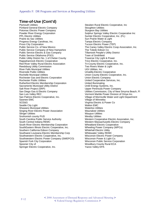# **Time-of-Use (Cont'd)**

Plymouth Utilities Portland General Electric Company Potomac Electric Power Company Powder River Energy Corporation PPL Electric Utilities Prairie du Sac Utilities Progress Energy Carolinas, Inc. Provo City Corporation Public Service Co. of New Mexico Public Service Company of New Hampshire Public Service Electric & Gas Company Public Service Oklahoma (PSO) Public Utility District No. 1 of Chelan County Rappahannock Electric Cooperative Red River Valley Rural Electric Association Reedsburg Utility Commission River Falls Municipal Utilities Riverside Public Utilities Rochelle Municipal Utilities Rochester Gas and Electric Corporation Rochester Public Utilities Rutherford Electric Membership Corporation Sacramento Municipal Utility District Salt River Project (SRP) San Diego Gas & Electric Company San Luis Valley REC San Patricio Electric Cooperative, Inc. Sawnee EMC SCE&G Seattle City Light Shawano Municipal Utilities Singing River Electric Power Association Slinger Utilities Snohomish county PUD South Carolina Public Service Authority South Central Indiana REMC South River Electric Membership Corporation SouthEastern Illinois Electric Cooperative, Inc. Southern California Edison Company Southwest Louisiana Electric Membership Corp Southwestern Electric Cooperative, Inc. Southwestern Electric Power Company (SWEPCO) Spanish Fork City Corporation Spooner City of Springer Electric Cooperative, Inc.

Steuben Rural Electric Cooperative, Inc Stoughton Utilities Sturgeon Bay Utilities Sulphur Springs Valley Electric Cooperative Inc Sumter Electric Cooperative, Inc. (FL) Sun Prairie Water & Light Tampa Electric Company Tucson Electric Power (TEP) The Caney Valley Electric Coop Association, Inc. The Toledo Edison Co Tillamook People's Utility District Town of Smithfield Traverse City Light & Power Trico Electric Cooperative, Inc. Tri-County Electric Cooperative, Inc. Two Rivers Water & Light UGI Utilities, Inc. Umatilla Electric Cooperative Union County Electric Cooperative, Inc. Union Electric Company United Cooperative Services, Inc. United Illuminating Unitil Energy Systems, Inc. Upper Peninsula Power Company Utilities Commission, City of New Smyrna Beach, Fl Vermont Marble Power Division of Omya Inc. Village of Morrisville Water and Light Department Village of Winnetka Virginia Electric & Power Co Walton EMC Waterloo Utilities Waunakee Utilities Waupun Utilities Westby Utilities Western Cooperative Electric Association, Inc. Western Massachusetts Electric Company Wheatland Electric Cooperative Wheeling Power Company (WPCo) Whitehall Electric Utility Whitewater Valley REMC Wisconsin Electric Power Company Wisconsin Power & Light Co. Wisconsin Public Service Corporation Woodbury County Rural ECA Yazoo Valley EPA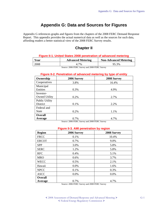# **Appendix G: Data and Sources for Figures**

Appendix G references graphs and figures from the chapters of the 2008 FERC Demand Response Report. This appendix provides the actual numerical data as well as the sources for such data, affording readers a better statistical view of the 2008 FERC Survey results.

## **Chapter II**

#### **Figure II-1. United States 2008 penetration of advanced metering**

| Year | <b>Advanced Metering</b> | <b>Non-Advanced Metering</b> |
|------|--------------------------|------------------------------|
| 2008 | 4.7%                     | 95.3%                        |

Source: 2006 FERC Survey and 2008 FERC Survey

#### **Figure II-2. Penetration of advanced metering by type of entity**

| Ownership            | 2006 Survey | 2008 Survey |
|----------------------|-------------|-------------|
| Cooperatives         | 3.8%        | 16.4%       |
| Municipal            |             |             |
| Entities             | 0.3%        | 4.9%        |
| Investor-            |             |             |
| <b>Owned Utility</b> | 0.2%        | 2.7%        |
| Public Utility       |             |             |
| <b>District</b>      | 0.1%        | 2.2%        |
| Federal and          |             |             |
| <b>State</b>         | 0.2%        | 1.1%        |
| <b>Overall</b>       |             |             |
| Average              | 0.7%        | 4.7%        |

Source: 2006 FERC Survey and 2008 FERC Survey

#### **Figure II-3. AMI penetration by region**

| <b>Region</b>  | 2006 Survey | 2008 Survey |
|----------------|-------------|-------------|
| <b>FRCC</b>    | 0.1%        | 10.4%       |
| <b>ERCOT</b>   | 0.7%        | 9.0%        |
| <b>SPP</b>     | 3.0%        | 5.8%        |
| <b>SERC</b>    | 1.2%        | 5.8%        |
| <b>RFC</b>     | 0.4%        | 5.1%        |
| <b>MRO</b>     | 0.6%        | 3.7%        |
| <b>WECC</b>    | 0.5%        | 2.1%        |
| Hawaii         | 0.0%        | 1.6%        |
| <b>NPCC</b>    | 0.1%        | 0.3%        |
| <b>ASCC</b>    | 0.0%        | 0.0%        |
| <b>Overall</b> |             |             |
| Average        | 0.7%        | 4.7%        |

Source: 2006 FERC Survey and 2008 FERC Survey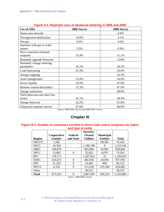| <b>Use of AMI</b>              | $\sim$ 1901 0 $\sim$ 11 Temporatum about 01 Martin 1900 investment<br>2006 Survey | 2008 Survey |
|--------------------------------|-----------------------------------------------------------------------------------|-------------|
| Home area network              |                                                                                   | 0.9%        |
| Pricing/event notification     | 14.0%                                                                             | 4.1%        |
| Pre-pay                        | 0.4%                                                                              | 4.6%        |
| Interface with gas or water    |                                                                                   |             |
| meters                         | 5.5%                                                                              | 6.9%        |
| Price responsive demand        |                                                                                   |             |
| response                       | 25.4%                                                                             | 11.1%       |
| Remotely upgrade firmware      |                                                                                   | 13.8%       |
| Remotely change metering       |                                                                                   |             |
| parameters                     | 24.2%                                                                             | 20.3%       |
| Load forecasting               | 41.9%                                                                             | 29.0%       |
| Outage mapping                 |                                                                                   | 32.3%       |
| Asset management               | 22.0%                                                                             | 34.6%       |
| Power Quality                  | 33.9%                                                                             | 47.0%       |
| Remote connect/disconnect      | 15.3%                                                                             | 47.9%       |
| Outage restoration             |                                                                                   | 48.8%       |
| Theft detection and other line |                                                                                   |             |
| losses                         | 41.1%                                                                             | 58.5%       |
| Outage detection               | 32.2%                                                                             | 61.8%       |
| Enhanced customer service      | 67.8%                                                                             | 66.8%       |

#### **Figure II-4. Reported uses of advanced metering in 2006 and 2008**

Source: 2006 FERC Survey and 2008 FERC Survey

# **Chapter III**

#### **Figure III-1. Number of customers enrolled in direct load control programs by region and type of entity**

|               |                 |                          | <b>Investor-</b> |                  |              |
|---------------|-----------------|--------------------------|------------------|------------------|--------------|
|               | Cooperative     | Federal                  | Owned            | <b>Municipal</b> |              |
| <b>Region</b> | <b>Entities</b> | and State                | <b>Utilities</b> | <b>Entities</b>  | <b>Total</b> |
| <b>ERCOT</b>  | 1,582           |                          |                  | 68,581           | 70,163       |
| <b>FRCC</b>   | 19,328          |                          | 1,190,798        | 0                | 1,210,126    |
| <b>MRO</b>    | 328,879         |                          | 493,084          | 36,901           | 858,864      |
| <b>NPCC</b>   | 13,095          | $\theta$                 | 55,022           | 6,076            | 74,193       |
| <b>RFC</b>    | 118,171         |                          | 1,207,821        | 32               | 1,326,024    |
| <b>SERC</b>   | 354,472         | $\Omega$                 | 482,564          | 20,956           | 857,992      |
| <b>SPP</b>    | 31,330          | 0                        | 14,405           | 400              | 46,135       |
| <b>WECC</b>   | 6,326           | $\Omega$                 | 515,228          | 133,308          | 654,862      |
| Other         |                 |                          | 28,525           |                  | 28,525       |
| <b>Total</b>  | 873,183         | 0                        | 3,987,447        | 266,254          | 5,126,884    |
|               |                 | Source: 2008 FERC Survey |                  |                  |              |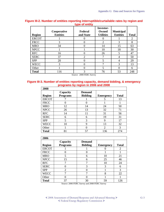| <b>Region</b> | Cooperative<br><b>Entities</b> | Federal<br>and State | <b>Investor-</b><br>Owned<br><b>Utilities</b> | <b>Municipal</b><br><b>Entities</b> | <b>Total</b> |
|---------------|--------------------------------|----------------------|-----------------------------------------------|-------------------------------------|--------------|
| <b>ERCOT</b>  |                                |                      |                                               |                                     | 2            |
| <b>FRCC</b>   | 3                              |                      | $\overline{2}$                                | 3                                   | 8            |
| <b>MRO</b>    | 34                             |                      | 14                                            | 15                                  | 63           |
| <b>NPCC</b>   |                                |                      | 10                                            | 18                                  | 30           |
| <b>RFC</b>    | 16                             |                      | 26                                            | 5                                   | 47           |
| <b>SERC</b>   | 37                             | $\overline{2}$       | ┑                                             |                                     | 50           |
| <b>SPP</b>    | 20                             |                      | 5                                             |                                     | 29           |
| <b>WECC</b>   | 3                              |                      | ⇁                                             | 3                                   | 13           |
| Other         |                                |                      | 5                                             | 0                                   | 6            |
| <b>Total</b>  | 116                            | 3                    | 76                                            | 53                                  | 248          |

#### **Figure III-2. Number of entities reporting interruptible/curtailable rates by region and type of entity**

Source: 2008 FERC Survey

#### **Figure III-3. Number of entities reporting capacity, demand bidding, & emergency programs by region in 2006 and 2008**

| 2008          |                 |                |                  |              |
|---------------|-----------------|----------------|------------------|--------------|
|               | Capacity        | <b>Demand</b>  |                  |              |
| <b>Region</b> | <b>Programs</b> | <b>Bidding</b> | <b>Emergency</b> | <b>Total</b> |
| <b>ERCOT</b>  |                 |                | 5                | 13           |
| <b>FRCC</b>   |                 |                |                  |              |
| <b>MRO</b>    | 12              | 14             | 24               | 50           |
| <b>NPCC</b>   | 26              | 13             | 32               | 71           |
| <b>RFC</b>    | 14              | 11             | 31               | 56           |
| <b>SERC</b>   | 6               | 6              | 19               | 31           |
| <b>SPP</b>    | 5               | 3              | 9                | 17           |
| WECC          | 10              | 9              | 13               | 32           |
| Other         |                 | ⋂              | 2                | 3            |
| <b>Total</b>  | 81              | 57             | 136              | 274          |

| 2006          |                             |                                 |                  |                       |
|---------------|-----------------------------|---------------------------------|------------------|-----------------------|
| <b>Region</b> | Capacity<br><b>Programs</b> | <b>Demand</b><br><b>Bidding</b> | <b>Emergency</b> | <b>Total</b>          |
| <b>ERCOT</b>  |                             |                                 |                  | $\mathcal{D}_{\cdot}$ |
| <b>FRCC</b>   |                             |                                 |                  |                       |
| <b>MRO</b>    | 5                           | 6                               | 10               | 21                    |
| <b>NPCC</b>   | 15                          | 6                               | 25               | 46                    |
| <b>RFC</b>    |                             |                                 | 10               | 24                    |
| <b>SERC</b>   |                             | 3                               | 3                | 6                     |
| <b>SPP</b>    | $\mathfrak{D}$              |                                 |                  | 3                     |
| <b>WECC</b>   |                             |                                 | 8                | 22                    |
| Other         |                             |                                 |                  |                       |
| <b>Total</b>  | 37                          | 30                              | 59               | 126                   |

Source: 2006 FERC Survey and 2008 FERC Survey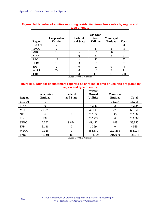| <b>Region</b> | Cooperative<br><b>Entities</b> | Federal<br>and State | <b>Investor-</b><br>Owned<br><b>Utilities</b> | <b>Municipal</b><br><b>Entities</b> | <b>Total</b> |
|---------------|--------------------------------|----------------------|-----------------------------------------------|-------------------------------------|--------------|
| <b>ERCOT</b>  | 2                              |                      |                                               |                                     | 3            |
| <b>FRCC</b>   |                                |                      | 5                                             | 3                                   | 8            |
| <b>MRO</b>    | 19                             |                      | 16                                            | 30                                  | 65           |
| <b>NPCC</b>   |                                | 0                    | 20                                            | 2                                   | 23           |
| <b>RFC</b>    | 12                             |                      | 42                                            |                                     | 55           |
| <b>SERC</b>   | 15                             | 3                    | 16                                            |                                     | 35           |
| <b>SPP</b>    | 2                              | 0                    | 2                                             |                                     | 4            |
| WECC          | 22                             | $\Omega$             | 16                                            | Q                                   | 47           |
| <b>Total</b>  | 73                             | 3                    | 118                                           | 47                                  | 241          |

#### **Figure III-4. Number of entities reporting residential time-of-use rates by region and type of entity**

Source: 2008 FERC Survey

#### **Figure III-5. Number of customers reported as enrolled in time-of-use rate programs by region and type of entity**

| <b>Region</b> | Cooperative<br><b>Entities</b> | Federal<br>and State | Investor-<br>Owned<br><b>Utilities</b> | <b>Municipal</b><br><b>Entities</b> | <b>Total</b> |
|---------------|--------------------------------|----------------------|----------------------------------------|-------------------------------------|--------------|
| <b>ERCOT</b>  |                                |                      |                                        | 13,217                              | 13,218       |
| <b>FRCC</b>   | 0                              |                      | 9,288                                  | 2                                   | 9,290        |
| <b>MRO</b>    | 20,273                         |                      | 42,605                                 | 273                                 | 63,151       |
| <b>NPCC</b>   | 6                              | 0                    | 212,935                                | 45                                  | 212,986      |
| <b>RFC</b>    | 797                            |                      | 252,777                                | 6                                   | 253,580      |
| <b>SERC</b>   | 7,362                          | 9,894                | 41,450                                 | 149                                 | 58,855       |
| <b>SPP</b>    | 3,136                          | 0                    | 1,399                                  | 0                                   | 4,535        |
| <b>WECC</b>   | 9,326                          | 0                    | 454,370                                | 203,238                             | 666,934      |
| <b>Total</b>  | 40,901                         | 9,894                | 1,014,824                              | 216,930                             | 1,282,549    |

Source: 2008 FERC Survey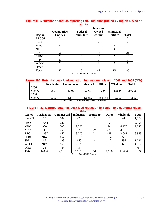| <b>Region</b> | Cooperative<br><b>Entities</b> | Federal<br>and State | <b>Investor-</b><br>Owned<br><b>Utilities</b> | <b>Municipal</b><br><b>Entities</b> | <b>Total</b> |
|---------------|--------------------------------|----------------------|-----------------------------------------------|-------------------------------------|--------------|
| <b>ERCOT</b>  |                                |                      |                                               |                                     | 2            |
| <b>FRCC</b>   |                                |                      | $\overline{2}$                                |                                     | 2            |
| <b>MRO</b>    | 5                              |                      | 4                                             | 3                                   | 12           |
| <b>NPCC</b>   |                                |                      | 9                                             |                                     | 15           |
| <b>RFC</b>    | 3                              |                      | 18                                            |                                     | 21           |
| <b>SERC</b>   | 2                              |                      | 10                                            | 5                                   | 18           |
| <b>SPP</b>    | 5                              |                      | $\overline{2}$                                |                                     | 7            |
| <b>WECC</b>   | $\overline{2}$                 |                      | $\overline{2}$                                | 3                                   | 8            |
| Other         |                                |                      |                                               |                                     |              |
| <b>Total</b>  | 20                             | 3                    | 47                                            | 15                                  | 85           |

#### **Figure III-6. Number of entities reporting retail real-time pricing by region & type of entity**

Source: 2008 FERC Survey

#### **Figure III-7. Potential peak load reduction by customer class in 2006 and 2008 (MW)**

|        | <b>Residential</b> | <b>Commercial</b> | <b>Industrial</b> | <b>Other</b> | Wholesale | <b>Total</b> |
|--------|--------------------|-------------------|-------------------|--------------|-----------|--------------|
| 2006   |                    |                   |                   |              |           |              |
| Survey | 5,803              | 4,802             | 9,560             | 589          | 8,899     | 29,653       |
| 2008   |                    |                   |                   |              |           |              |
| Survey | 6,056              | 4.119             | 13,315            | 1189.551     | 12,656    | 37,335       |

Source: 2006 FERC Survey and 2008 FERC Survey

#### **Figure III-8. Reported potential peak load reduction by region and customer class (MW)**

| <b>Region</b> | <b>Residential</b> | <b>Commercial</b> | <b>Industrial</b> | <b>Transport</b> | <b>Other</b> | Wholesale | <b>Total</b> |
|---------------|--------------------|-------------------|-------------------|------------------|--------------|-----------|--------------|
| <b>ERCOT</b>  | 80                 | 102               | 729               | 0                | 51           | 41        | 1,002        |
| <b>FRCC</b>   | 1,644              | 732               | 613               |                  | 9            |           | 2,998        |
| <b>MRO</b>    | 908                | 303               | 2,388             |                  | 74           | 4,176     | 7,848        |
| <b>NPCC</b>   | 111                | 752               | 379               | 24               | 229          | 3,870     | 5,365        |
| <b>RFC</b>    | 1,337              | 457               | 3,005             | 24               | 498          | 3,662     | 8,983        |
| <b>SERC</b>   | 944                | 657               | 3,916             |                  | 114          | 346       | 5,978        |
| <b>SPP</b>    | 67                 | 198               | 150               | $\overline{4}$   | 112          | 496       | 1,026        |
| <b>WECC</b>   | 942                | 869               | 2,130             |                  | 51           | 65        | 4,057        |
| Other         | 25                 | 49                | 5                 |                  |              |           | 78           |
| <b>Total</b>  | 6,056              | 4,119             | 13,315            | 51               | 1,138        | 12,656    | 37,335       |

Source: 2008 FERC Survey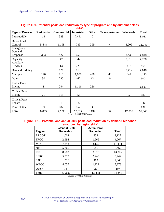| <b>Type of Program</b> | <b>Residential</b> | <b>Commercial</b> | <b>Industrial</b>                                        | <b>Other</b>     | <b>Transportation</b> | Wholesale | <b>Total</b> |
|------------------------|--------------------|-------------------|----------------------------------------------------------|------------------|-----------------------|-----------|--------------|
| Interruptible          | 13                 | 529               | 7,491                                                    | $\boldsymbol{0}$ |                       |           | 8,033        |
| Direct Load            |                    |                   |                                                          |                  |                       |           |              |
| Control                | 5,448              | 1,198             | 789                                                      | 399              | $\overline{4}$        | 3,209     | 11,047       |
| Emergency              |                    |                   |                                                          |                  |                       |           |              |
| Demand                 |                    |                   |                                                          |                  |                       |           |              |
| Response               | 303                | 427               | 650                                                      |                  |                       | 3,438     | 4,818        |
| Capacity               |                    | 42                | 347                                                      |                  |                       | 2,319     | 2,708        |
| Ancillary              |                    |                   |                                                          |                  |                       |           |              |
| Services               |                    | 13                | 223                                                      |                  |                       | 417       | 653          |
| Demand Bidding         |                    | 121               | 115                                                      |                  |                       | 2,412     | 2,648        |
| Multiple               | 140                | 910               | 1,680                                                    | 498              | 48                    | 847       | 4,123        |
| Other                  | 30                 | 290               | 167                                                      | 12               | $\overline{0}$        | 1         | 500          |
| Real - Time            |                    |                   |                                                          |                  |                       |           |              |
| Pricing                | 1                  | 294               | 1,116                                                    | 226              |                       |           | 1,637        |
| <b>Critical Peak</b>   |                    |                   |                                                          |                  |                       |           |              |
| Pricing                | 21                 | 115               | 32                                                       |                  |                       | 12        | 180          |
| <b>Critical Peak</b>   |                    |                   |                                                          |                  |                       |           |              |
| Rebate                 |                    | 1                 | 55                                                       |                  |                       |           | 56           |
| Time of Use            | 99                 | 182               | 652                                                      | $\overline{4}$   |                       |           | 937          |
| <b>Total</b>           | 6,055              | 4,122             | 13,317<br>$0 \leq \ldots \leq 2000$ EEDO $0 \leq \ldots$ | 1139             | 52                    | 12,655    | 37,340       |

#### **Figure III-9. Potential peak load reduction by type of program and by customer class (MW)**

Source: 2008 FERC Survey

#### **Figure III-10. Potential and actual 2007 peak load reduction by demand response resources, by region (MW)**

|               | <b>Potential Peak</b> | <b>Actual Peak</b>        |              |
|---------------|-----------------------|---------------------------|--------------|
| <b>Region</b> | <b>Reduction</b>      | <b>Reduction</b>          | <b>Total</b> |
| <b>ERCOT</b>  | 1,002                 | 353                       | 3,127        |
| <b>FRCC</b>   | 2,998                 | 1,269                     | 4,267        |
| <b>MRO</b>    | 7,848                 | 3,130                     | 11,434       |
| <b>NPCC</b>   | 5,365                 | 986                       | 6,452        |
| <b>RFC</b>    | 8,983                 | 3,678                     | 13,365       |
| <b>SERC</b>   | 5,978                 | 2,243                     | 8,442        |
| <b>SPP</b>    | 1,026                 | 489                       | 1,868        |
| <b>WECC</b>   | 4,057                 | 1,222                     | 5,278        |
| Other         | 78                    | 29                        | 107          |
| <b>Total</b>  | 37,335                | 13,398<br>$0.000$ mmm $A$ | 54,341       |

Source: 2008 FERC Survey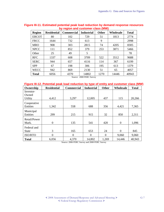| $1991011$ and bactonich class (intr |                    |                   |                   |              |           |              |  |
|-------------------------------------|--------------------|-------------------|-------------------|--------------|-----------|--------------|--|
| <b>Region</b>                       | <b>Residential</b> | <b>Commercial</b> | <b>Industrial</b> | <b>Other</b> | Wholesale | <b>Total</b> |  |
| <b>ERCOT</b>                        | 80                 | 102               | 729               | 51           | 1813      | 2774         |  |
| <b>FRCC</b>                         | 1644               | 732               | 613               | 9            |           | 2998         |  |
| <b>MRO</b>                          | 908                | 303               | 2815              | 74           | 4205      | 8305         |  |
| <b>NPCC</b>                         | 111                | 852               | 379               | 253          | 3871      | 5466         |  |
| Other                               | 25                 | 49                | 5                 |              |           | 78           |  |
| <b>RFC</b>                          | 1337               | 608               | 3709              | 522          | 3512      | 9688         |  |
| <b>SERC</b>                         | 944                | 657               | 4116              | 114          | 367       | 6199         |  |
| <b>SPP</b>                          | 67                 | 198               | 306               | 195          | 613       | 1379         |  |
| <b>WECC</b>                         | 942                | 869               | 2130              | 51           | 65        | 4057         |  |
| <b>Total</b>                        | 6056               | 4370              | 14802             | 1270         | 14446     | 40943        |  |

#### **Figure III-11. Estimated potential peak load reduction by demand response resources by region and customer class (MW)**

Source: 2008 FERC Survey

#### **Figure III-12. Potential peak load reduction by type of entity and customer class (MW)**

| Ownership    | <b>Residential</b> | <b>Commercial</b> | <b>Industrial</b> | Other    | Wholesale      | <b>Total</b> |
|--------------|--------------------|-------------------|-------------------|----------|----------------|--------------|
| Investor-    |                    |                   |                   |          |                |              |
| Owned        |                    |                   |                   |          |                |              |
| Utility      | 4,412              | 3,297             | 12,005            | 437      | 115            | 20,266       |
| Cooperative  |                    |                   |                   |          |                |              |
| Entities     | 1,342              | 558               | 688               | 356      | 4,421          | 7,365        |
| Municipal    |                    |                   |                   |          |                |              |
| Entities     | 299                | 215               | 915               | 32       | 850            | 2,311        |
| Retail/Power |                    |                   |                   |          |                |              |
| Mark.        | $\overline{0}$     | 135               | 541               | 420      | $\overline{0}$ | 1,096        |
| Federal and  |                    |                   |                   |          |                |              |
| <b>State</b> | 3                  | 165               | 653               | 24       | $\Omega$       | 845          |
| ISO/RTO      | $\overline{0}$     | $\Omega$          | $\Omega$          | $\Omega$ | 9,060          | 9,060        |
| <b>Total</b> | 6,056              | 4,370             | 14,802            | 1,269    | 14,446         | 40,943       |

Source: 2006 FERC Survey and 2008 FERC Survey